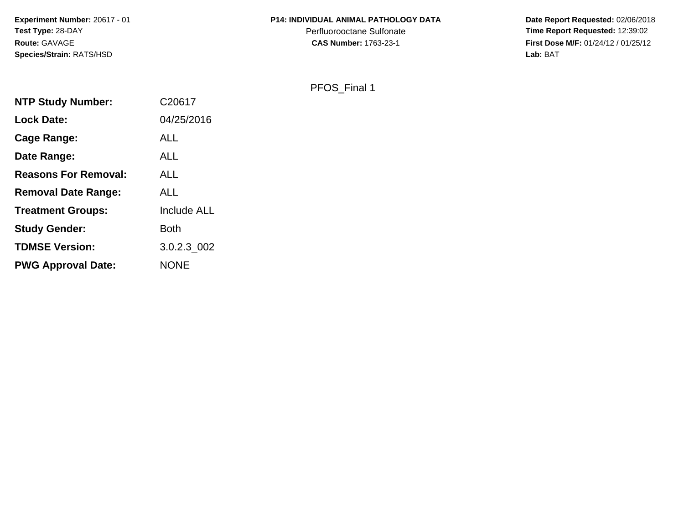**Experiment Number:** 20617 - 01**Test Type:** 28-DAY**Route:** GAVAGE**Species/Strain:** RATS/HSD

## **P14: INDIVIDUAL ANIMAL PATHOLOGY DATA**

Perfluorooctane Sulfonate<br>CAS Number: 1763-23-1

 **Date Report Requested:** 02/06/2018 **Time Report Requested:** 12:39:02 **First Dose M/F:** 01/24/12 / 01/25/12<br>Lab: BAT **Lab:** BAT

PFOS\_Final 1

| <b>NTP Study Number:</b>    | C20617             |
|-----------------------------|--------------------|
| <b>Lock Date:</b>           | 04/25/2016         |
| Cage Range:                 | ALL                |
| Date Range:                 | ALL                |
| <b>Reasons For Removal:</b> | <b>ALL</b>         |
| <b>Removal Date Range:</b>  | ALL                |
| <b>Treatment Groups:</b>    | <b>Include ALL</b> |
| <b>Study Gender:</b>        | <b>Both</b>        |
| <b>TDMSE Version:</b>       | 3.0.2.3_002        |
| <b>PWG Approval Date:</b>   | <b>NONE</b>        |
|                             |                    |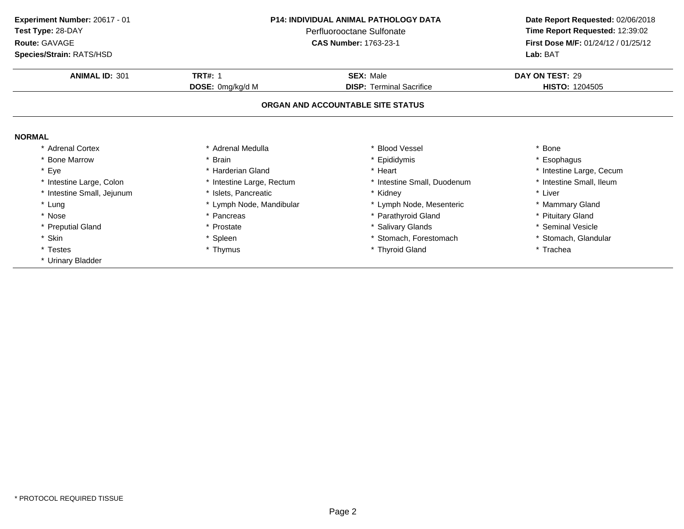**ANIMAL ID:** <sup>301</sup> **TRT#:** <sup>1</sup> **SEX:** Male **DAY ON TEST:** <sup>29</sup> **DOSE:** 0mg/kg/d M**DISP:** Terminal Sacrifice **HISTO:** 1204505 **ORGAN AND ACCOUNTABLE SITE STATUSNORMAL** \* Adrenal Cortex\* Adrenal Medulla<br>\* Brain a the set of the set of the set of the set of the set of the set of the set of the set of the set of the set o<br>Set of the set of the set of the set of the set of the set of the set of the set of the set of the set of the s \* Bone Marrow \* Brain \* Epididymis \* Esophagus \* Eyee the second of the second term in the second term in the second term in the second term in the second term in the second term in the second term in the second term in the second term in the second term in the second term \* Intestine Small, Ileum \* Intestine Large, Colon\* Intestine Large, Rectum<br>\* Islets, Pancreatic \* Intestine Small, Duodenum \* \* Intest<br>\* Kidney \* \* Liver \* Intestine Small, Jejunum \* Islets, Pancreatic \* Kidney \* Liver \* Lung\* Lymph Node, Mandibular \* 1990 \* Lymph Node, Mesenteric \* \* Mammary Gland<br>
\* Pancreas \* Parathyroid Gland \* \* Parathyroid Gland \* \* Pituitary Gland \* Nosee the second of the second of the second vertex  $\ast$  Parathyroid Gland  $\ast$  Pituitary Gland  $\ast$  Pituitary Gland \* Preputial Gland \* Prostate \* Salivary Glands \* Seminal Vesicle \* Skin\* Spleen \* Stomach, Forestomach \* \* Stomach, \* Stomach, Glandular<br>
\* Thymus \* Thyroid Gland \* The \* Trachea \* Testes \* Thymus \* Thyroid Gland \* Trachea \* Urinary Bladder **Experiment Number:** 20617 - 01 **P14: INDIVIDUAL ANIMAL PATHOLOGY DATA Date Report Requested:** 02/06/2018 **Test Type:** 28-DAYPerfluorooctane Sulfonate<br>CAS Number: 1763-23-1 **Time Report Requested:** 12:39:02 **Route:** GAVAGE**First Dose M/F:** 01/24/12 / 01/25/12<br>**Lab:** BAT **Species/Strain:** RATS/HSD**Lab:** BAT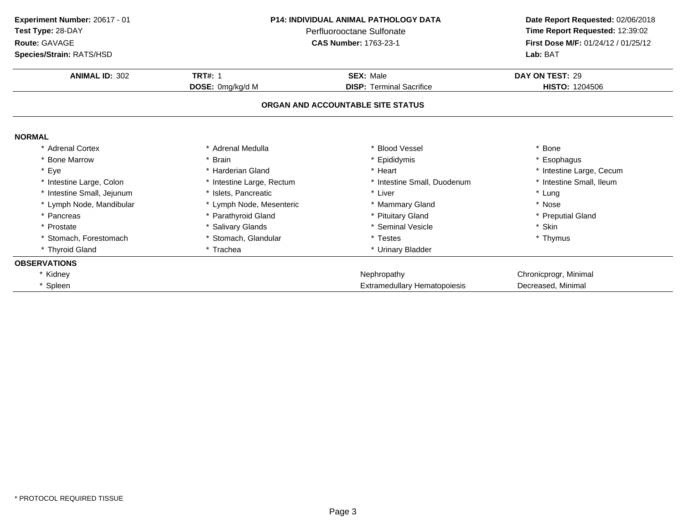| Experiment Number: 20617 - 01 | P14: INDIVIDUAL ANIMAL PATHOLOGY DATA<br>Perfluorooctane Sulfonate |                                     | Date Report Requested: 02/06/2018   |  |
|-------------------------------|--------------------------------------------------------------------|-------------------------------------|-------------------------------------|--|
| Test Type: 28-DAY             |                                                                    |                                     | Time Report Requested: 12:39:02     |  |
| Route: GAVAGE                 |                                                                    | <b>CAS Number: 1763-23-1</b>        | First Dose M/F: 01/24/12 / 01/25/12 |  |
| Species/Strain: RATS/HSD      |                                                                    |                                     | Lab: BAT                            |  |
| <b>ANIMAL ID: 302</b>         | <b>TRT#: 1</b>                                                     | <b>SEX: Male</b>                    | DAY ON TEST: 29                     |  |
|                               | DOSE: 0mg/kg/d M                                                   | <b>DISP: Terminal Sacrifice</b>     | <b>HISTO: 1204506</b>               |  |
|                               |                                                                    | ORGAN AND ACCOUNTABLE SITE STATUS   |                                     |  |
| <b>NORMAL</b>                 |                                                                    |                                     |                                     |  |
| * Adrenal Cortex              | * Adrenal Medulla                                                  | * Blood Vessel                      | * Bone                              |  |
| * Bone Marrow                 | <b>Brain</b>                                                       | Epididymis                          | * Esophagus                         |  |
| * Eye                         | * Harderian Gland                                                  | * Heart                             | * Intestine Large, Cecum            |  |
| * Intestine Large, Colon      | * Intestine Large, Rectum                                          | * Intestine Small, Duodenum         | * Intestine Small, Ileum            |  |
| * Intestine Small, Jejunum    | * Islets, Pancreatic                                               | * Liver                             | * Lung                              |  |
| * Lymph Node, Mandibular      | * Lymph Node, Mesenteric                                           | * Mammary Gland                     | * Nose                              |  |
| * Pancreas                    | * Parathyroid Gland                                                | * Pituitary Gland                   | * Preputial Gland                   |  |
| * Prostate                    | * Salivary Glands                                                  | * Seminal Vesicle                   | * Skin                              |  |
| * Stomach, Forestomach        | * Stomach, Glandular                                               | * Testes                            | * Thymus                            |  |
| * Thyroid Gland               | * Trachea                                                          | * Urinary Bladder                   |                                     |  |
| <b>OBSERVATIONS</b>           |                                                                    |                                     |                                     |  |
| * Kidney                      |                                                                    | Nephropathy                         | Chronicprogr, Minimal               |  |
| * Spleen                      |                                                                    | <b>Extramedullary Hematopoiesis</b> | Decreased, Minimal                  |  |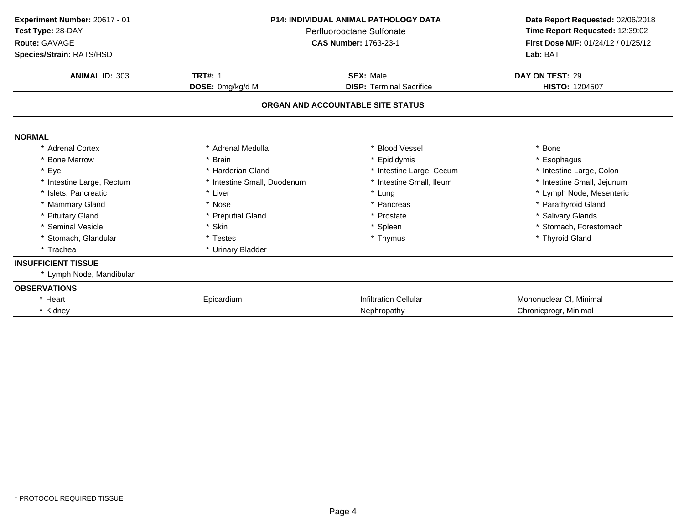| Experiment Number: 20617 - 01<br>Test Type: 28-DAY<br>Route: GAVAGE<br>Species/Strain: RATS/HSD | <b>P14: INDIVIDUAL ANIMAL PATHOLOGY DATA</b><br>Perfluorooctane Sulfonate<br><b>CAS Number: 1763-23-1</b> |                                   | Date Report Requested: 02/06/2018<br>Time Report Requested: 12:39:02<br>First Dose M/F: 01/24/12 / 01/25/12<br>Lab: BAT |
|-------------------------------------------------------------------------------------------------|-----------------------------------------------------------------------------------------------------------|-----------------------------------|-------------------------------------------------------------------------------------------------------------------------|
| <b>ANIMAL ID: 303</b>                                                                           | <b>TRT#: 1</b>                                                                                            | <b>SEX: Male</b>                  | DAY ON TEST: 29                                                                                                         |
|                                                                                                 | DOSE: 0mg/kg/d M                                                                                          | <b>DISP: Terminal Sacrifice</b>   | <b>HISTO: 1204507</b>                                                                                                   |
|                                                                                                 |                                                                                                           | ORGAN AND ACCOUNTABLE SITE STATUS |                                                                                                                         |
| <b>NORMAL</b>                                                                                   |                                                                                                           |                                   |                                                                                                                         |
| * Adrenal Cortex                                                                                | * Adrenal Medulla                                                                                         | * Blood Vessel                    | * Bone                                                                                                                  |
| * Bone Marrow                                                                                   | * Brain                                                                                                   | * Epididymis                      | * Esophagus                                                                                                             |
| * Eye                                                                                           | * Harderian Gland                                                                                         | * Intestine Large, Cecum          | * Intestine Large, Colon                                                                                                |
| * Intestine Large, Rectum                                                                       | * Intestine Small, Duodenum                                                                               | * Intestine Small, Ileum          | * Intestine Small, Jejunum                                                                                              |
| * Islets. Pancreatic                                                                            | * Liver                                                                                                   | * Lung                            | * Lymph Node, Mesenteric                                                                                                |
| * Mammary Gland                                                                                 | * Nose                                                                                                    | * Pancreas                        | * Parathyroid Gland                                                                                                     |
| * Pituitary Gland                                                                               | * Preputial Gland                                                                                         | * Prostate                        | * Salivary Glands                                                                                                       |
| * Seminal Vesicle                                                                               | * Skin                                                                                                    | * Spleen                          | * Stomach, Forestomach                                                                                                  |
| * Stomach, Glandular                                                                            | * Testes                                                                                                  | * Thymus                          | * Thyroid Gland                                                                                                         |
| * Trachea                                                                                       | * Urinary Bladder                                                                                         |                                   |                                                                                                                         |
| <b>INSUFFICIENT TISSUE</b>                                                                      |                                                                                                           |                                   |                                                                                                                         |
| * Lymph Node, Mandibular                                                                        |                                                                                                           |                                   |                                                                                                                         |
| <b>OBSERVATIONS</b>                                                                             |                                                                                                           |                                   |                                                                                                                         |
| * Heart                                                                                         | Epicardium                                                                                                | <b>Infiltration Cellular</b>      | Mononuclear CI, Minimal                                                                                                 |
| * Kidney                                                                                        |                                                                                                           | Nephropathy                       | Chronicprogr, Minimal                                                                                                   |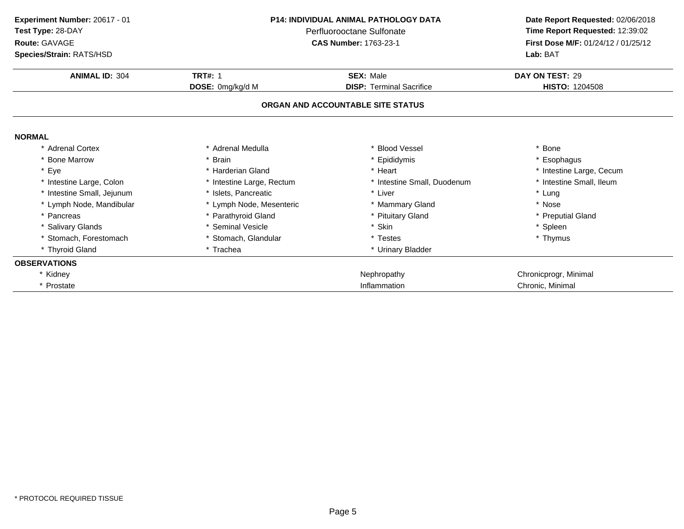| Experiment Number: 20617 - 01 | <b>P14: INDIVIDUAL ANIMAL PATHOLOGY DATA</b><br>Perfluorooctane Sulfonate |                                   | Date Report Requested: 02/06/2018   |
|-------------------------------|---------------------------------------------------------------------------|-----------------------------------|-------------------------------------|
| Test Type: 28-DAY             |                                                                           |                                   | Time Report Requested: 12:39:02     |
| Route: GAVAGE                 |                                                                           | <b>CAS Number: 1763-23-1</b>      | First Dose M/F: 01/24/12 / 01/25/12 |
| Species/Strain: RATS/HSD      |                                                                           |                                   | Lab: BAT                            |
| <b>ANIMAL ID: 304</b>         | <b>TRT#: 1</b>                                                            | <b>SEX: Male</b>                  | DAY ON TEST: 29                     |
|                               | DOSE: 0mg/kg/d M                                                          | <b>DISP: Terminal Sacrifice</b>   | <b>HISTO: 1204508</b>               |
|                               |                                                                           | ORGAN AND ACCOUNTABLE SITE STATUS |                                     |
| <b>NORMAL</b>                 |                                                                           |                                   |                                     |
| * Adrenal Cortex              | * Adrenal Medulla                                                         | * Blood Vessel                    | * Bone                              |
| * Bone Marrow                 | * Brain                                                                   | * Epididymis                      | * Esophagus                         |
| * Eye                         | * Harderian Gland                                                         | * Heart                           | * Intestine Large, Cecum            |
| * Intestine Large, Colon      | * Intestine Large, Rectum                                                 | * Intestine Small, Duodenum       | * Intestine Small, Ileum            |
| * Intestine Small, Jejunum    | * Islets. Pancreatic                                                      | * Liver                           | * Lung                              |
| * Lymph Node, Mandibular      | * Lymph Node, Mesenteric                                                  | * Mammary Gland                   | * Nose                              |
| * Pancreas                    | * Parathyroid Gland                                                       | * Pituitary Gland                 | * Preputial Gland                   |
| * Salivary Glands             | * Seminal Vesicle                                                         | * Skin                            | * Spleen                            |
| * Stomach. Forestomach        | * Stomach, Glandular                                                      | * Testes                          | * Thymus                            |
| * Thyroid Gland               | * Trachea                                                                 | * Urinary Bladder                 |                                     |
| <b>OBSERVATIONS</b>           |                                                                           |                                   |                                     |
| * Kidney                      |                                                                           | Nephropathy                       | Chronicprogr, Minimal               |
| * Prostate                    |                                                                           | Inflammation                      | Chronic, Minimal                    |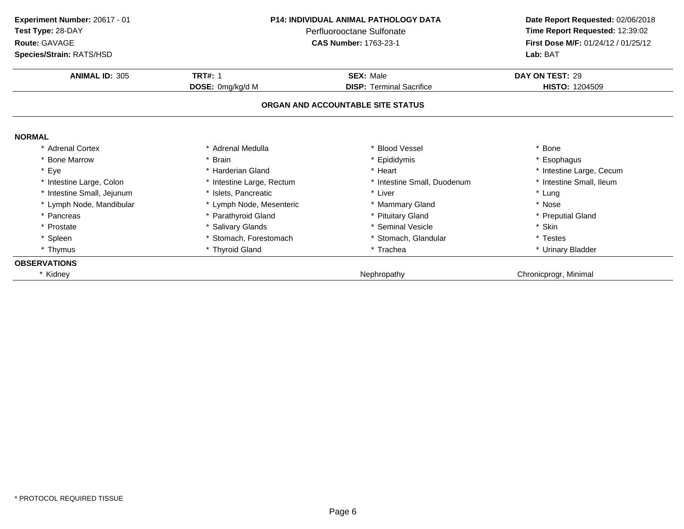| Experiment Number: 20617 - 01 | <b>P14: INDIVIDUAL ANIMAL PATHOLOGY DATA</b><br>Perfluorooctane Sulfonate |                                   | Date Report Requested: 02/06/2018   |  |
|-------------------------------|---------------------------------------------------------------------------|-----------------------------------|-------------------------------------|--|
| Test Type: 28-DAY             |                                                                           |                                   | Time Report Requested: 12:39:02     |  |
| Route: GAVAGE                 |                                                                           | <b>CAS Number: 1763-23-1</b>      | First Dose M/F: 01/24/12 / 01/25/12 |  |
| Species/Strain: RATS/HSD      |                                                                           |                                   | Lab: BAT                            |  |
| <b>ANIMAL ID: 305</b>         | <b>TRT#: 1</b>                                                            | <b>SEX: Male</b>                  | DAY ON TEST: 29                     |  |
|                               | DOSE: 0mg/kg/d M                                                          | <b>DISP: Terminal Sacrifice</b>   | <b>HISTO: 1204509</b>               |  |
|                               |                                                                           | ORGAN AND ACCOUNTABLE SITE STATUS |                                     |  |
| <b>NORMAL</b>                 |                                                                           |                                   |                                     |  |
| * Adrenal Cortex              | * Adrenal Medulla                                                         | * Blood Vessel                    | * Bone                              |  |
| * Bone Marrow                 | * Brain                                                                   | * Epididymis                      | * Esophagus                         |  |
| * Eye                         | * Harderian Gland                                                         | * Heart                           | * Intestine Large, Cecum            |  |
| * Intestine Large, Colon      | * Intestine Large, Rectum                                                 | * Intestine Small, Duodenum       | * Intestine Small, Ileum            |  |
| * Intestine Small, Jejunum    | * Islets, Pancreatic                                                      | * Liver                           | * Lung                              |  |
| * Lymph Node, Mandibular      | * Lymph Node, Mesenteric                                                  | * Mammary Gland                   | * Nose                              |  |
| * Pancreas                    | * Parathyroid Gland                                                       | * Pituitary Gland                 | * Preputial Gland                   |  |
| * Prostate                    | * Salivary Glands                                                         | * Seminal Vesicle                 | * Skin                              |  |
| * Spleen                      | * Stomach, Forestomach                                                    | * Stomach, Glandular              | * Testes                            |  |
| * Thymus                      | * Thyroid Gland                                                           | * Trachea                         | * Urinary Bladder                   |  |
| <b>OBSERVATIONS</b>           |                                                                           |                                   |                                     |  |
| * Kidney                      |                                                                           | Nephropathy                       | Chronicprogr, Minimal               |  |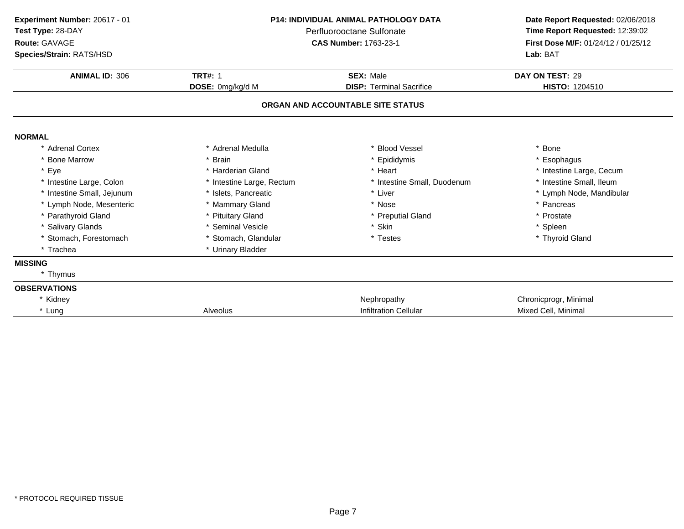| Experiment Number: 20617 - 01<br>Test Type: 28-DAY<br>Route: GAVAGE<br>Species/Strain: RATS/HSD | <b>P14: INDIVIDUAL ANIMAL PATHOLOGY DATA</b><br>Perfluorooctane Sulfonate<br><b>CAS Number: 1763-23-1</b> |                                   | Date Report Requested: 02/06/2018<br>Time Report Requested: 12:39:02<br>First Dose M/F: 01/24/12 / 01/25/12<br>Lab: BAT |
|-------------------------------------------------------------------------------------------------|-----------------------------------------------------------------------------------------------------------|-----------------------------------|-------------------------------------------------------------------------------------------------------------------------|
| <b>ANIMAL ID: 306</b>                                                                           | <b>TRT#: 1</b>                                                                                            | <b>SEX: Male</b>                  | DAY ON TEST: 29                                                                                                         |
|                                                                                                 | DOSE: 0mg/kg/d M                                                                                          | <b>DISP: Terminal Sacrifice</b>   | <b>HISTO: 1204510</b>                                                                                                   |
|                                                                                                 |                                                                                                           | ORGAN AND ACCOUNTABLE SITE STATUS |                                                                                                                         |
| <b>NORMAL</b>                                                                                   |                                                                                                           |                                   |                                                                                                                         |
| * Adrenal Cortex                                                                                | * Adrenal Medulla                                                                                         | * Blood Vessel                    | * Bone                                                                                                                  |
| * Bone Marrow                                                                                   | * Brain                                                                                                   | * Epididymis                      | * Esophagus                                                                                                             |
| * Eye                                                                                           | * Harderian Gland                                                                                         | * Heart                           | * Intestine Large, Cecum                                                                                                |
| * Intestine Large, Colon                                                                        | * Intestine Large, Rectum                                                                                 | * Intestine Small, Duodenum       | * Intestine Small, Ileum                                                                                                |
| * Intestine Small, Jejunum                                                                      | * Islets. Pancreatic                                                                                      | * Liver                           | * Lymph Node, Mandibular                                                                                                |
| * Lymph Node, Mesenteric                                                                        | * Mammary Gland                                                                                           | * Nose                            | * Pancreas                                                                                                              |
| * Parathyroid Gland                                                                             | * Pituitary Gland                                                                                         | * Preputial Gland                 | * Prostate                                                                                                              |
| * Salivary Glands                                                                               | * Seminal Vesicle                                                                                         | * Skin                            | * Spleen                                                                                                                |
| * Stomach, Forestomach                                                                          | * Stomach, Glandular                                                                                      | * Testes                          | * Thyroid Gland                                                                                                         |
| * Trachea                                                                                       | * Urinary Bladder                                                                                         |                                   |                                                                                                                         |
| <b>MISSING</b>                                                                                  |                                                                                                           |                                   |                                                                                                                         |
| * Thymus                                                                                        |                                                                                                           |                                   |                                                                                                                         |
| <b>OBSERVATIONS</b>                                                                             |                                                                                                           |                                   |                                                                                                                         |
| * Kidney                                                                                        |                                                                                                           | Nephropathy                       | Chronicprogr, Minimal                                                                                                   |
| * Lung                                                                                          | Alveolus                                                                                                  | <b>Infiltration Cellular</b>      | Mixed Cell, Minimal                                                                                                     |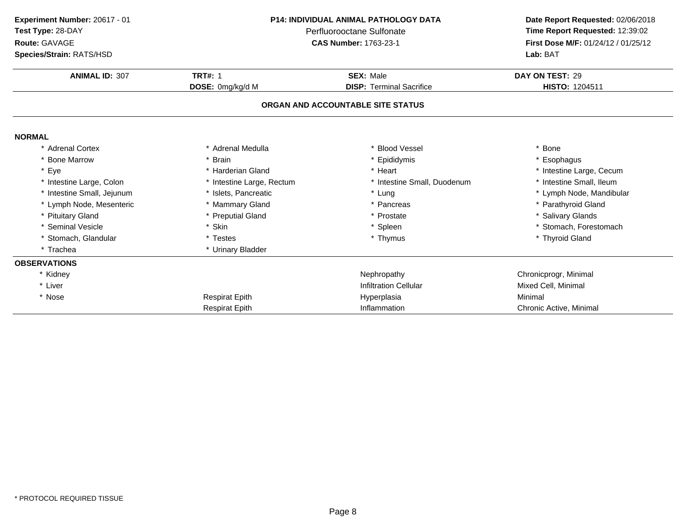| Experiment Number: 20617 - 01<br>Test Type: 28-DAY<br>Route: GAVAGE<br>Species/Strain: RATS/HSD | <b>P14: INDIVIDUAL ANIMAL PATHOLOGY DATA</b><br>Perfluorooctane Sulfonate<br><b>CAS Number: 1763-23-1</b> |                                   | Lab: BAT                 |  | Date Report Requested: 02/06/2018<br>Time Report Requested: 12:39:02<br>First Dose M/F: 01/24/12 / 01/25/12 |
|-------------------------------------------------------------------------------------------------|-----------------------------------------------------------------------------------------------------------|-----------------------------------|--------------------------|--|-------------------------------------------------------------------------------------------------------------|
| <b>ANIMAL ID: 307</b>                                                                           | <b>TRT#: 1</b>                                                                                            | <b>SEX: Male</b>                  | DAY ON TEST: 29          |  |                                                                                                             |
|                                                                                                 | DOSE: 0mg/kg/d M                                                                                          | <b>DISP: Terminal Sacrifice</b>   | <b>HISTO: 1204511</b>    |  |                                                                                                             |
|                                                                                                 |                                                                                                           | ORGAN AND ACCOUNTABLE SITE STATUS |                          |  |                                                                                                             |
| <b>NORMAL</b>                                                                                   |                                                                                                           |                                   |                          |  |                                                                                                             |
| * Adrenal Cortex                                                                                | * Adrenal Medulla                                                                                         | * Blood Vessel                    | * Bone                   |  |                                                                                                             |
| <b>Bone Marrow</b>                                                                              | <b>Brain</b>                                                                                              | * Epididymis                      | * Esophagus              |  |                                                                                                             |
| Eye                                                                                             | * Harderian Gland                                                                                         | * Heart                           | * Intestine Large, Cecum |  |                                                                                                             |
| * Intestine Large, Colon                                                                        | * Intestine Large, Rectum                                                                                 | * Intestine Small, Duodenum       | * Intestine Small, Ileum |  |                                                                                                             |
| * Intestine Small, Jejunum                                                                      | * Islets, Pancreatic                                                                                      | * Lung                            | * Lymph Node, Mandibular |  |                                                                                                             |
| * Lymph Node, Mesenteric                                                                        | * Mammary Gland                                                                                           | * Pancreas                        | * Parathyroid Gland      |  |                                                                                                             |
| <b>Pituitary Gland</b>                                                                          | * Preputial Gland                                                                                         | * Prostate                        | * Salivary Glands        |  |                                                                                                             |
| * Seminal Vesicle                                                                               | * Skin                                                                                                    | * Spleen                          | * Stomach, Forestomach   |  |                                                                                                             |
| * Stomach, Glandular                                                                            | * Testes                                                                                                  | * Thymus                          | * Thyroid Gland          |  |                                                                                                             |
| * Trachea                                                                                       | * Urinary Bladder                                                                                         |                                   |                          |  |                                                                                                             |
| <b>OBSERVATIONS</b>                                                                             |                                                                                                           |                                   |                          |  |                                                                                                             |
| * Kidney                                                                                        |                                                                                                           | Nephropathy                       | Chronicprogr, Minimal    |  |                                                                                                             |
| * Liver                                                                                         |                                                                                                           | <b>Infiltration Cellular</b>      | Mixed Cell, Minimal      |  |                                                                                                             |
| * Nose                                                                                          | <b>Respirat Epith</b>                                                                                     | Hyperplasia                       | Minimal                  |  |                                                                                                             |
|                                                                                                 | <b>Respirat Epith</b>                                                                                     | Inflammation                      | Chronic Active, Minimal  |  |                                                                                                             |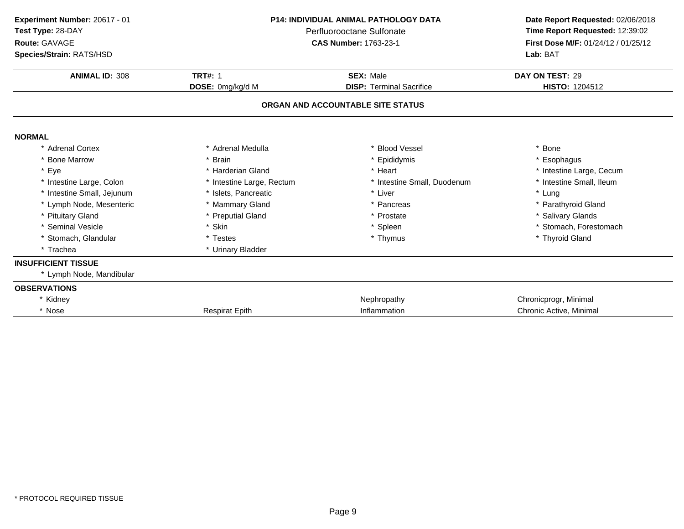| Experiment Number: 20617 - 01<br>Test Type: 28-DAY<br>Route: GAVAGE<br>Species/Strain: RATS/HSD | <b>P14: INDIVIDUAL ANIMAL PATHOLOGY DATA</b><br>Perfluorooctane Sulfonate<br><b>CAS Number: 1763-23-1</b> |                                   | Date Report Requested: 02/06/2018<br>Time Report Requested: 12:39:02<br>First Dose M/F: 01/24/12 / 01/25/12<br>Lab: BAT |
|-------------------------------------------------------------------------------------------------|-----------------------------------------------------------------------------------------------------------|-----------------------------------|-------------------------------------------------------------------------------------------------------------------------|
| <b>ANIMAL ID: 308</b>                                                                           | <b>TRT#: 1</b>                                                                                            | <b>SEX: Male</b>                  | DAY ON TEST: 29                                                                                                         |
|                                                                                                 | DOSE: 0mg/kg/d M                                                                                          | <b>DISP: Terminal Sacrifice</b>   | HISTO: 1204512                                                                                                          |
|                                                                                                 |                                                                                                           | ORGAN AND ACCOUNTABLE SITE STATUS |                                                                                                                         |
| <b>NORMAL</b>                                                                                   |                                                                                                           |                                   |                                                                                                                         |
| * Adrenal Cortex                                                                                | * Adrenal Medulla                                                                                         | * Blood Vessel                    | * Bone                                                                                                                  |
| * Bone Marrow                                                                                   | * Brain                                                                                                   | * Epididymis                      | * Esophagus                                                                                                             |
| * Eye                                                                                           | * Harderian Gland                                                                                         | * Heart                           | * Intestine Large, Cecum                                                                                                |
| * Intestine Large, Colon                                                                        | * Intestine Large, Rectum                                                                                 | * Intestine Small, Duodenum       | * Intestine Small, Ileum                                                                                                |
| * Intestine Small, Jejunum                                                                      | * Islets. Pancreatic                                                                                      | * Liver                           | * Lung                                                                                                                  |
| * Lymph Node, Mesenteric                                                                        | * Mammary Gland                                                                                           | * Pancreas                        | * Parathyroid Gland                                                                                                     |
| * Pituitary Gland                                                                               | * Preputial Gland                                                                                         | * Prostate                        | * Salivary Glands                                                                                                       |
| * Seminal Vesicle                                                                               | * Skin                                                                                                    | * Spleen                          | * Stomach, Forestomach                                                                                                  |
| * Stomach, Glandular                                                                            | * Testes                                                                                                  | * Thymus                          | * Thyroid Gland                                                                                                         |
| * Trachea                                                                                       | * Urinary Bladder                                                                                         |                                   |                                                                                                                         |
| <b>INSUFFICIENT TISSUE</b>                                                                      |                                                                                                           |                                   |                                                                                                                         |
| * Lymph Node, Mandibular                                                                        |                                                                                                           |                                   |                                                                                                                         |
| <b>OBSERVATIONS</b>                                                                             |                                                                                                           |                                   |                                                                                                                         |
| * Kidney                                                                                        |                                                                                                           | Nephropathy                       | Chronicprogr, Minimal                                                                                                   |
| * Nose                                                                                          | <b>Respirat Epith</b>                                                                                     | Inflammation                      | Chronic Active, Minimal                                                                                                 |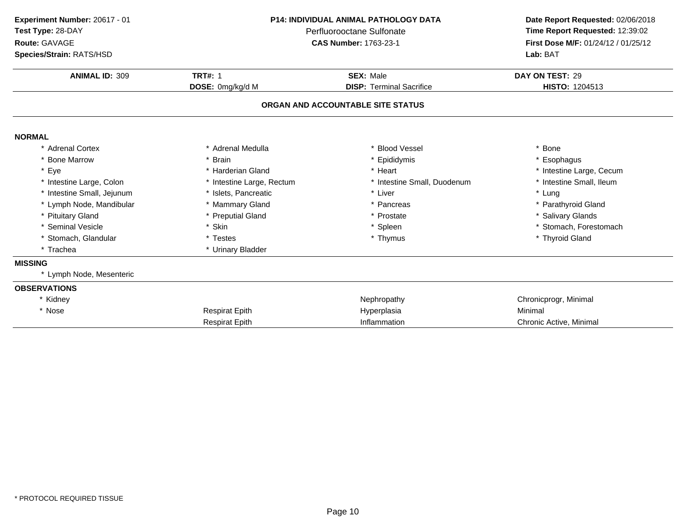| Experiment Number: 20617 - 01<br>Test Type: 28-DAY<br>Route: GAVAGE<br>Species/Strain: RATS/HSD | <b>P14: INDIVIDUAL ANIMAL PATHOLOGY DATA</b><br>Perfluorooctane Sulfonate<br><b>CAS Number: 1763-23-1</b> |                                                     | Date Report Requested: 02/06/2018<br>Time Report Requested: 12:39:02<br>First Dose M/F: 01/24/12 / 01/25/12<br>Lab: BAT |
|-------------------------------------------------------------------------------------------------|-----------------------------------------------------------------------------------------------------------|-----------------------------------------------------|-------------------------------------------------------------------------------------------------------------------------|
| <b>ANIMAL ID: 309</b>                                                                           | <b>TRT#: 1</b>                                                                                            | <b>SEX: Male</b><br><b>DISP: Terminal Sacrifice</b> | DAY ON TEST: 29<br>HISTO: 1204513                                                                                       |
|                                                                                                 | DOSE: 0mg/kg/d M                                                                                          | ORGAN AND ACCOUNTABLE SITE STATUS                   |                                                                                                                         |
| <b>NORMAL</b>                                                                                   |                                                                                                           |                                                     |                                                                                                                         |
| * Adrenal Cortex                                                                                | * Adrenal Medulla                                                                                         | * Blood Vessel                                      | * Bone                                                                                                                  |
| * Bone Marrow                                                                                   | * Brain                                                                                                   | * Epididymis                                        | * Esophagus                                                                                                             |
| * Eye                                                                                           | * Harderian Gland                                                                                         | * Heart                                             | * Intestine Large, Cecum                                                                                                |
| * Intestine Large, Colon                                                                        | * Intestine Large, Rectum                                                                                 | * Intestine Small, Duodenum                         | * Intestine Small, Ileum                                                                                                |
| * Intestine Small, Jejunum                                                                      | * Islets, Pancreatic                                                                                      | * Liver                                             | * Lung                                                                                                                  |
| * Lymph Node, Mandibular                                                                        | * Mammary Gland                                                                                           | * Pancreas                                          | * Parathyroid Gland                                                                                                     |
| * Pituitary Gland                                                                               | * Preputial Gland                                                                                         | * Prostate                                          | * Salivary Glands                                                                                                       |
| * Seminal Vesicle                                                                               | * Skin                                                                                                    | * Spleen                                            | * Stomach, Forestomach                                                                                                  |
| * Stomach, Glandular                                                                            | * Testes                                                                                                  | * Thymus                                            | * Thyroid Gland                                                                                                         |
| * Trachea                                                                                       | * Urinary Bladder                                                                                         |                                                     |                                                                                                                         |
| <b>MISSING</b>                                                                                  |                                                                                                           |                                                     |                                                                                                                         |
| * Lymph Node, Mesenteric                                                                        |                                                                                                           |                                                     |                                                                                                                         |
| <b>OBSERVATIONS</b>                                                                             |                                                                                                           |                                                     |                                                                                                                         |
| * Kidney                                                                                        |                                                                                                           | Nephropathy                                         | Chronicprogr, Minimal                                                                                                   |
| * Nose                                                                                          | <b>Respirat Epith</b>                                                                                     | Hyperplasia                                         | Minimal                                                                                                                 |
|                                                                                                 | <b>Respirat Epith</b>                                                                                     | Inflammation                                        | Chronic Active, Minimal                                                                                                 |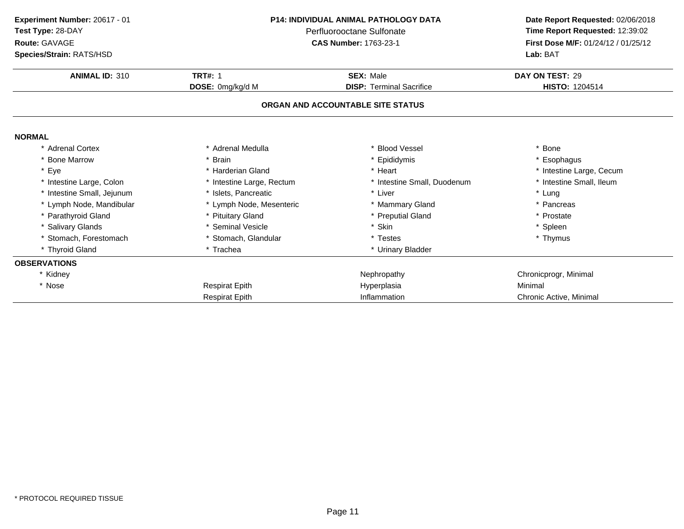| Experiment Number: 20617 - 01 | <b>P14: INDIVIDUAL ANIMAL PATHOLOGY DATA</b><br>Test Type: 28-DAY<br>Perfluorooctane Sulfonate<br><b>CAS Number: 1763-23-1</b> |                                   | Date Report Requested: 02/06/2018                                      |
|-------------------------------|--------------------------------------------------------------------------------------------------------------------------------|-----------------------------------|------------------------------------------------------------------------|
| Route: GAVAGE                 |                                                                                                                                |                                   | Time Report Requested: 12:39:02<br>First Dose M/F: 01/24/12 / 01/25/12 |
| Species/Strain: RATS/HSD      |                                                                                                                                |                                   | Lab: BAT                                                               |
|                               |                                                                                                                                |                                   |                                                                        |
| <b>ANIMAL ID: 310</b>         | <b>TRT#: 1</b>                                                                                                                 | <b>SEX: Male</b>                  | DAY ON TEST: 29                                                        |
|                               | DOSE: 0mg/kg/d M                                                                                                               | <b>DISP: Terminal Sacrifice</b>   | HISTO: 1204514                                                         |
|                               |                                                                                                                                | ORGAN AND ACCOUNTABLE SITE STATUS |                                                                        |
|                               |                                                                                                                                |                                   |                                                                        |
| <b>NORMAL</b>                 |                                                                                                                                |                                   |                                                                        |
| * Adrenal Cortex              | Adrenal Medulla                                                                                                                | <b>Blood Vessel</b>               | * Bone                                                                 |
| * Bone Marrow                 | * Brain                                                                                                                        | * Epididymis                      | * Esophagus                                                            |
| * Eye                         | * Harderian Gland                                                                                                              | * Heart                           | * Intestine Large, Cecum                                               |
| * Intestine Large, Colon      | * Intestine Large, Rectum                                                                                                      | * Intestine Small, Duodenum       | * Intestine Small, Ileum                                               |
| * Intestine Small, Jejunum    | * Islets. Pancreatic                                                                                                           | * Liver                           | * Lung                                                                 |
| * Lymph Node, Mandibular      | * Lymph Node, Mesenteric                                                                                                       | * Mammary Gland                   | * Pancreas                                                             |
| * Parathyroid Gland           | * Pituitary Gland                                                                                                              | * Preputial Gland                 | * Prostate                                                             |
| * Salivary Glands             | * Seminal Vesicle                                                                                                              | * Skin                            | * Spleen                                                               |
| * Stomach, Forestomach        | * Stomach, Glandular                                                                                                           | * Testes                          | * Thymus                                                               |
| * Thyroid Gland               | * Trachea                                                                                                                      | * Urinary Bladder                 |                                                                        |
| <b>OBSERVATIONS</b>           |                                                                                                                                |                                   |                                                                        |
| * Kidney                      |                                                                                                                                | Nephropathy                       | Chronicprogr, Minimal                                                  |
| * Nose                        | <b>Respirat Epith</b>                                                                                                          | Hyperplasia                       | Minimal                                                                |
|                               | <b>Respirat Epith</b>                                                                                                          | Inflammation                      | Chronic Active, Minimal                                                |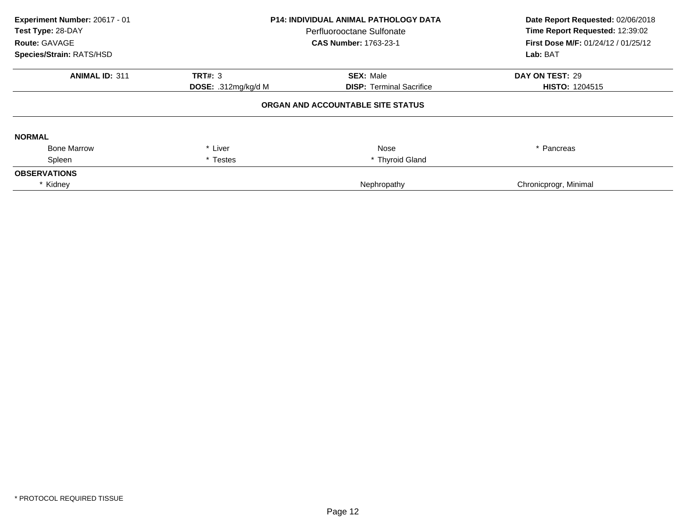| Experiment Number: 20617 - 01<br>Test Type: 28-DAY<br><b>Route: GAVAGE</b><br>Species/Strain: RATS/HSD | <b>P14: INDIVIDUAL ANIMAL PATHOLOGY DATA</b><br>Perfluorooctane Sulfonate<br><b>CAS Number: 1763-23-1</b> |                                   | Date Report Requested: 02/06/2018<br>Time Report Requested: 12:39:02<br><b>First Dose M/F: 01/24/12 / 01/25/12</b><br>Lab: BAT |
|--------------------------------------------------------------------------------------------------------|-----------------------------------------------------------------------------------------------------------|-----------------------------------|--------------------------------------------------------------------------------------------------------------------------------|
| <b>ANIMAL ID: 311</b>                                                                                  | <b>TRT#: 3</b>                                                                                            | <b>SEX: Male</b>                  | DAY ON TEST: 29                                                                                                                |
|                                                                                                        | DOSE: .312mg/kg/d M                                                                                       | <b>DISP:</b> Terminal Sacrifice   | <b>HISTO: 1204515</b>                                                                                                          |
|                                                                                                        |                                                                                                           | ORGAN AND ACCOUNTABLE SITE STATUS |                                                                                                                                |
| <b>NORMAL</b>                                                                                          |                                                                                                           |                                   |                                                                                                                                |
| <b>Bone Marrow</b>                                                                                     | * Liver                                                                                                   | Nose                              | * Pancreas                                                                                                                     |
| Spleen                                                                                                 | * Testes                                                                                                  | * Thyroid Gland                   |                                                                                                                                |
| <b>OBSERVATIONS</b>                                                                                    |                                                                                                           |                                   |                                                                                                                                |
| * Kidney                                                                                               |                                                                                                           | Nephropathy                       | Chronicprogr, Minimal                                                                                                          |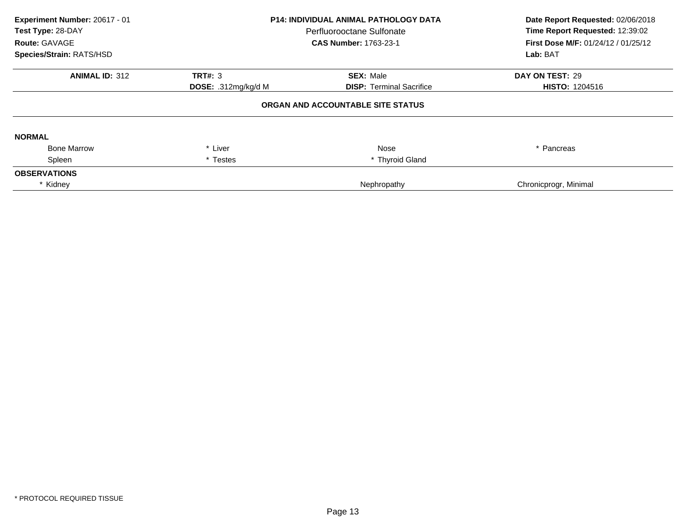| Experiment Number: 20617 - 01<br>Test Type: 28-DAY<br>Route: GAVAGE<br>Species/Strain: RATS/HSD | <b>P14: INDIVIDUAL ANIMAL PATHOLOGY DATA</b><br>Perfluorooctane Sulfonate<br><b>CAS Number: 1763-23-1</b> |                                   | Date Report Requested: 02/06/2018<br>Time Report Requested: 12:39:02<br><b>First Dose M/F: 01/24/12 / 01/25/12</b><br>Lab: BAT |
|-------------------------------------------------------------------------------------------------|-----------------------------------------------------------------------------------------------------------|-----------------------------------|--------------------------------------------------------------------------------------------------------------------------------|
| <b>ANIMAL ID: 312</b>                                                                           | <b>TRT#: 3</b>                                                                                            | <b>SEX: Male</b>                  | DAY ON TEST: 29                                                                                                                |
|                                                                                                 | DOSE: .312mg/kg/d M                                                                                       | <b>DISP:</b> Terminal Sacrifice   | <b>HISTO: 1204516</b>                                                                                                          |
|                                                                                                 |                                                                                                           | ORGAN AND ACCOUNTABLE SITE STATUS |                                                                                                                                |
| <b>NORMAL</b>                                                                                   |                                                                                                           |                                   |                                                                                                                                |
| <b>Bone Marrow</b>                                                                              | * Liver                                                                                                   | Nose                              | * Pancreas                                                                                                                     |
| Spleen                                                                                          | * Testes                                                                                                  | * Thyroid Gland                   |                                                                                                                                |
| <b>OBSERVATIONS</b>                                                                             |                                                                                                           |                                   |                                                                                                                                |
| * Kidney                                                                                        |                                                                                                           | Nephropathy                       | Chronicprogr, Minimal                                                                                                          |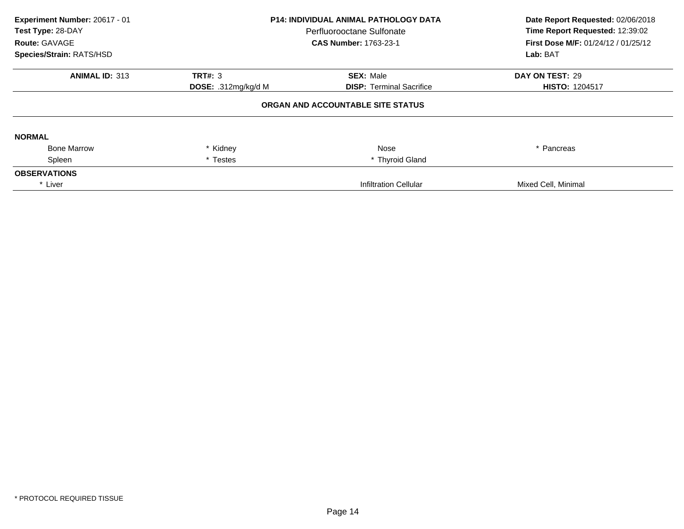| Experiment Number: 20617 - 01<br>Test Type: 28-DAY<br>Route: GAVAGE<br>Species/Strain: RATS/HSD | <b>P14: INDIVIDUAL ANIMAL PATHOLOGY DATA</b><br>Perfluorooctane Sulfonate<br><b>CAS Number: 1763-23-1</b> |                                   | Date Report Requested: 02/06/2018<br>Time Report Requested: 12:39:02<br>First Dose M/F: 01/24/12 / 01/25/12<br>Lab: BAT |
|-------------------------------------------------------------------------------------------------|-----------------------------------------------------------------------------------------------------------|-----------------------------------|-------------------------------------------------------------------------------------------------------------------------|
| <b>ANIMAL ID: 313</b>                                                                           | <b>TRT#: 3</b>                                                                                            | <b>SEX: Male</b>                  | DAY ON TEST: 29                                                                                                         |
|                                                                                                 | DOSE: .312mg/kg/d M                                                                                       | <b>DISP: Terminal Sacrifice</b>   | <b>HISTO: 1204517</b>                                                                                                   |
|                                                                                                 |                                                                                                           | ORGAN AND ACCOUNTABLE SITE STATUS |                                                                                                                         |
| <b>NORMAL</b>                                                                                   |                                                                                                           |                                   |                                                                                                                         |
| <b>Bone Marrow</b>                                                                              | * Kidney                                                                                                  | Nose                              | * Pancreas                                                                                                              |
| Spleen                                                                                          | * Testes                                                                                                  | * Thyroid Gland                   |                                                                                                                         |
| <b>OBSERVATIONS</b>                                                                             |                                                                                                           |                                   |                                                                                                                         |
| * Liver                                                                                         |                                                                                                           | <b>Infiltration Cellular</b>      | Mixed Cell, Minimal                                                                                                     |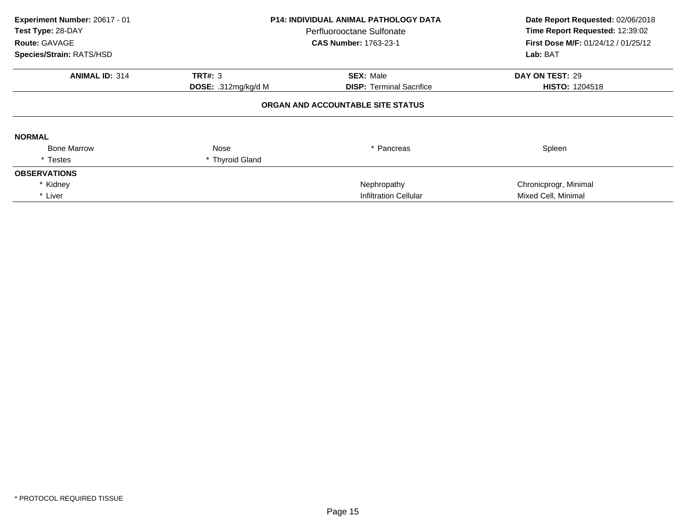| Experiment Number: 20617 - 01<br>Test Type: 28-DAY<br><b>Route: GAVAGE</b><br>Species/Strain: RATS/HSD | <b>P14: INDIVIDUAL ANIMAL PATHOLOGY DATA</b><br>Perfluorooctane Sulfonate<br><b>CAS Number: 1763-23-1</b> |                                   | Date Report Requested: 02/06/2018<br>Time Report Requested: 12:39:02<br>First Dose M/F: 01/24/12 / 01/25/12<br>Lab: BAT |
|--------------------------------------------------------------------------------------------------------|-----------------------------------------------------------------------------------------------------------|-----------------------------------|-------------------------------------------------------------------------------------------------------------------------|
| <b>ANIMAL ID: 314</b>                                                                                  | <b>TRT#: 3</b>                                                                                            | <b>SEX: Male</b>                  | DAY ON TEST: 29                                                                                                         |
|                                                                                                        | DOSE: .312mg/kg/d M                                                                                       | <b>DISP: Terminal Sacrifice</b>   | <b>HISTO: 1204518</b>                                                                                                   |
|                                                                                                        |                                                                                                           | ORGAN AND ACCOUNTABLE SITE STATUS |                                                                                                                         |
| <b>NORMAL</b>                                                                                          |                                                                                                           |                                   |                                                                                                                         |
| <b>Bone Marrow</b>                                                                                     | Nose                                                                                                      | * Pancreas                        | Spleen                                                                                                                  |
| * Testes                                                                                               | * Thyroid Gland                                                                                           |                                   |                                                                                                                         |
| <b>OBSERVATIONS</b>                                                                                    |                                                                                                           |                                   |                                                                                                                         |
| * Kidney                                                                                               |                                                                                                           | Nephropathy                       | Chronicprogr, Minimal                                                                                                   |
| * Liver                                                                                                |                                                                                                           | <b>Infiltration Cellular</b>      | Mixed Cell, Minimal                                                                                                     |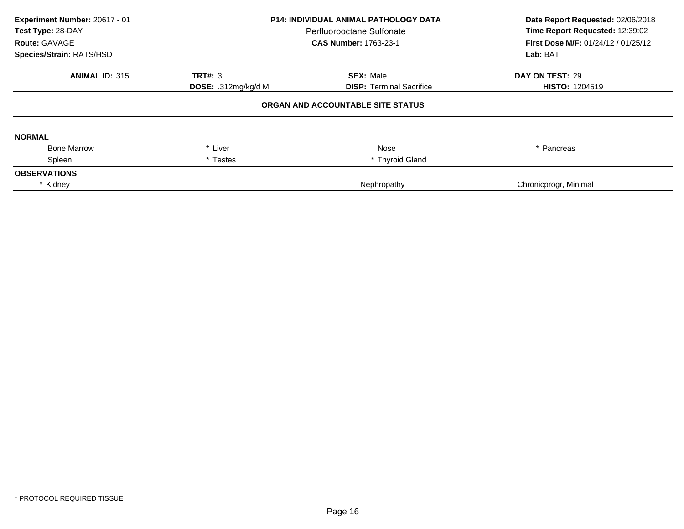| Experiment Number: 20617 - 01<br>Test Type: 28-DAY<br>Route: GAVAGE<br>Species/Strain: RATS/HSD | <b>P14: INDIVIDUAL ANIMAL PATHOLOGY DATA</b><br>Perfluorooctane Sulfonate<br><b>CAS Number: 1763-23-1</b> |                                   | Date Report Requested: 02/06/2018<br>Time Report Requested: 12:39:02<br><b>First Dose M/F: 01/24/12 / 01/25/12</b><br>Lab: BAT |
|-------------------------------------------------------------------------------------------------|-----------------------------------------------------------------------------------------------------------|-----------------------------------|--------------------------------------------------------------------------------------------------------------------------------|
| <b>ANIMAL ID: 315</b>                                                                           | <b>TRT#: 3</b>                                                                                            | <b>SEX: Male</b>                  | DAY ON TEST: 29                                                                                                                |
|                                                                                                 | DOSE: .312mg/kg/d M                                                                                       | <b>DISP:</b> Terminal Sacrifice   | <b>HISTO: 1204519</b>                                                                                                          |
|                                                                                                 |                                                                                                           | ORGAN AND ACCOUNTABLE SITE STATUS |                                                                                                                                |
| <b>NORMAL</b>                                                                                   |                                                                                                           |                                   |                                                                                                                                |
| <b>Bone Marrow</b>                                                                              | * Liver                                                                                                   | Nose                              | * Pancreas                                                                                                                     |
| Spleen                                                                                          | * Testes                                                                                                  | * Thyroid Gland                   |                                                                                                                                |
| <b>OBSERVATIONS</b>                                                                             |                                                                                                           |                                   |                                                                                                                                |
| * Kidney                                                                                        |                                                                                                           | Nephropathy                       | Chronicprogr, Minimal                                                                                                          |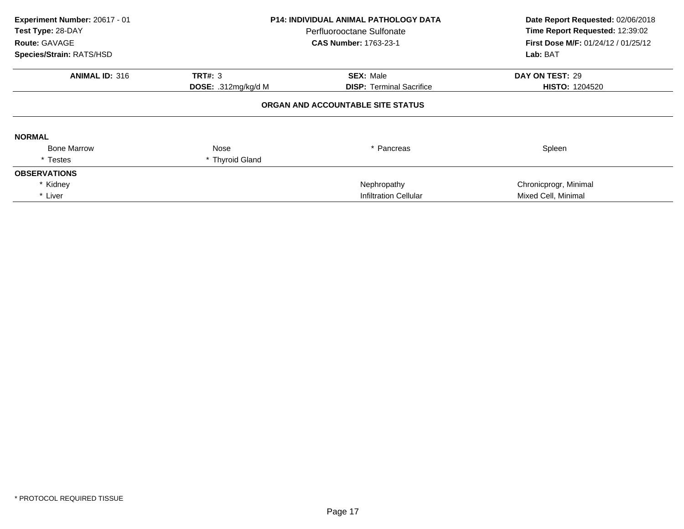| Experiment Number: 20617 - 01<br>Test Type: 28-DAY<br><b>Route: GAVAGE</b><br>Species/Strain: RATS/HSD | <b>P14: INDIVIDUAL ANIMAL PATHOLOGY DATA</b><br>Perfluorooctane Sulfonate<br><b>CAS Number: 1763-23-1</b> |                                   | Date Report Requested: 02/06/2018<br>Time Report Requested: 12:39:02<br>First Dose M/F: 01/24/12 / 01/25/12<br>Lab: BAT |
|--------------------------------------------------------------------------------------------------------|-----------------------------------------------------------------------------------------------------------|-----------------------------------|-------------------------------------------------------------------------------------------------------------------------|
| <b>ANIMAL ID: 316</b>                                                                                  | <b>TRT#: 3</b>                                                                                            | <b>SEX: Male</b>                  | DAY ON TEST: 29                                                                                                         |
|                                                                                                        | DOSE: .312mg/kg/d M                                                                                       | <b>DISP: Terminal Sacrifice</b>   | <b>HISTO: 1204520</b>                                                                                                   |
|                                                                                                        |                                                                                                           | ORGAN AND ACCOUNTABLE SITE STATUS |                                                                                                                         |
| <b>NORMAL</b>                                                                                          |                                                                                                           |                                   |                                                                                                                         |
| <b>Bone Marrow</b>                                                                                     | Nose                                                                                                      | * Pancreas                        | Spleen                                                                                                                  |
| * Testes                                                                                               | * Thyroid Gland                                                                                           |                                   |                                                                                                                         |
| <b>OBSERVATIONS</b>                                                                                    |                                                                                                           |                                   |                                                                                                                         |
| * Kidney                                                                                               |                                                                                                           | Nephropathy                       | Chronicprogr, Minimal                                                                                                   |
| * Liver                                                                                                |                                                                                                           | <b>Infiltration Cellular</b>      | Mixed Cell, Minimal                                                                                                     |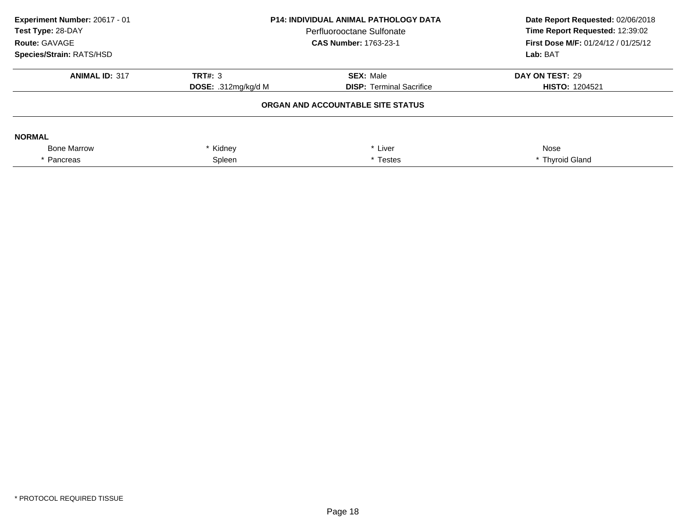| Experiment Number: 20617 - 01<br>Test Type: 28-DAY<br>Route: GAVAGE<br><b>Species/Strain: RATS/HSD</b> | <b>P14: INDIVIDUAL ANIMAL PATHOLOGY DATA</b><br>Perfluorooctane Sulfonate<br><b>CAS Number: 1763-23-1</b> |                                   | Date Report Requested: 02/06/2018<br>Time Report Requested: 12:39:02<br>First Dose M/F: 01/24/12 / 01/25/12<br>Lab: BAT |
|--------------------------------------------------------------------------------------------------------|-----------------------------------------------------------------------------------------------------------|-----------------------------------|-------------------------------------------------------------------------------------------------------------------------|
| <b>ANIMAL ID: 317</b>                                                                                  | <b>TRT#: 3</b>                                                                                            | <b>SEX: Male</b>                  | DAY ON TEST: 29                                                                                                         |
|                                                                                                        | DOSE: $.312$ mg/kg/d M                                                                                    | <b>DISP: Terminal Sacrifice</b>   | <b>HISTO: 1204521</b>                                                                                                   |
|                                                                                                        |                                                                                                           | ORGAN AND ACCOUNTABLE SITE STATUS |                                                                                                                         |
| <b>NORMAL</b>                                                                                          |                                                                                                           |                                   |                                                                                                                         |
| <b>Bone Marrow</b>                                                                                     | * Kidney                                                                                                  | * Liver                           | Nose                                                                                                                    |
| * Pancreas                                                                                             | Spleen                                                                                                    | * Testes                          | * Thyroid Gland                                                                                                         |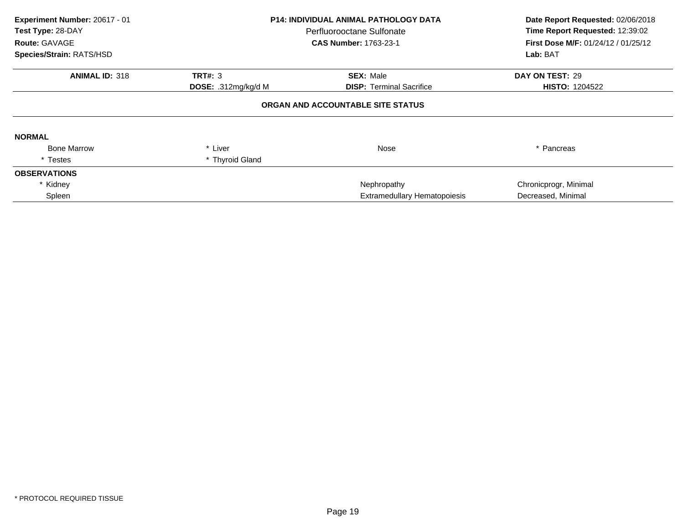| Experiment Number: 20617 - 01<br>Test Type: 28-DAY<br>Route: GAVAGE<br>Species/Strain: RATS/HSD | <b>P14: INDIVIDUAL ANIMAL PATHOLOGY DATA</b><br>Perfluorooctane Sulfonate<br><b>CAS Number: 1763-23-1</b> |                                   | Date Report Requested: 02/06/2018<br>Time Report Requested: 12:39:02<br>First Dose M/F: 01/24/12 / 01/25/12<br>Lab: BAT |
|-------------------------------------------------------------------------------------------------|-----------------------------------------------------------------------------------------------------------|-----------------------------------|-------------------------------------------------------------------------------------------------------------------------|
| <b>ANIMAL ID: 318</b>                                                                           | <b>TRT#: 3</b>                                                                                            | <b>SEX: Male</b>                  | DAY ON TEST: 29                                                                                                         |
|                                                                                                 | DOSE: .312mg/kg/d M                                                                                       | <b>DISP:</b> Terminal Sacrifice   | <b>HISTO: 1204522</b>                                                                                                   |
|                                                                                                 |                                                                                                           | ORGAN AND ACCOUNTABLE SITE STATUS |                                                                                                                         |
| <b>NORMAL</b>                                                                                   |                                                                                                           |                                   |                                                                                                                         |
| <b>Bone Marrow</b>                                                                              | * Liver                                                                                                   | Nose                              | * Pancreas                                                                                                              |
| * Testes                                                                                        | * Thyroid Gland                                                                                           |                                   |                                                                                                                         |
| <b>OBSERVATIONS</b>                                                                             |                                                                                                           |                                   |                                                                                                                         |
| * Kidney                                                                                        |                                                                                                           | Nephropathy                       | Chronicprogr, Minimal                                                                                                   |
| Spleen                                                                                          |                                                                                                           | Extramedullary Hematopoiesis      | Decreased, Minimal                                                                                                      |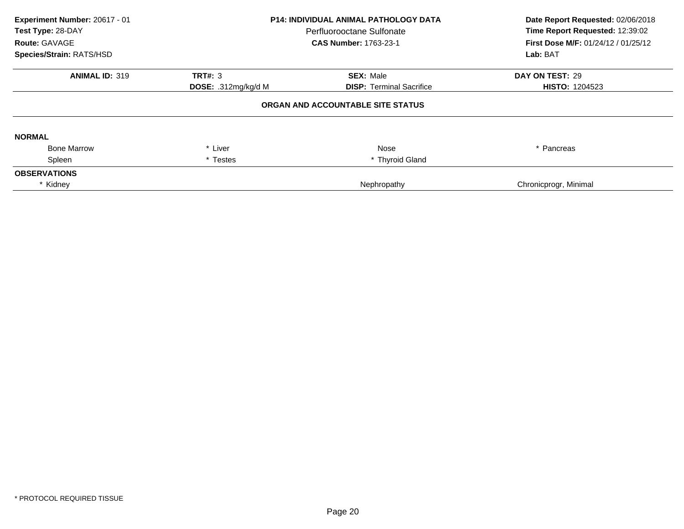| Experiment Number: 20617 - 01<br>Test Type: 28-DAY<br><b>Route: GAVAGE</b><br>Species/Strain: RATS/HSD | <b>P14: INDIVIDUAL ANIMAL PATHOLOGY DATA</b><br>Perfluorooctane Sulfonate<br><b>CAS Number: 1763-23-1</b> |                                   | Date Report Requested: 02/06/2018<br>Time Report Requested: 12:39:02<br><b>First Dose M/F: 01/24/12 / 01/25/12</b><br>Lab: BAT |
|--------------------------------------------------------------------------------------------------------|-----------------------------------------------------------------------------------------------------------|-----------------------------------|--------------------------------------------------------------------------------------------------------------------------------|
| <b>ANIMAL ID: 319</b>                                                                                  | <b>TRT#: 3</b>                                                                                            | <b>SEX: Male</b>                  | DAY ON TEST: 29                                                                                                                |
|                                                                                                        | DOSE: .312mg/kg/d M                                                                                       | <b>DISP:</b> Terminal Sacrifice   | <b>HISTO: 1204523</b>                                                                                                          |
|                                                                                                        |                                                                                                           | ORGAN AND ACCOUNTABLE SITE STATUS |                                                                                                                                |
| <b>NORMAL</b>                                                                                          |                                                                                                           |                                   |                                                                                                                                |
| <b>Bone Marrow</b>                                                                                     | * Liver                                                                                                   | Nose                              | * Pancreas                                                                                                                     |
| Spleen                                                                                                 | * Testes                                                                                                  | * Thyroid Gland                   |                                                                                                                                |
| <b>OBSERVATIONS</b>                                                                                    |                                                                                                           |                                   |                                                                                                                                |
| * Kidney                                                                                               |                                                                                                           | Nephropathy                       | Chronicprogr, Minimal                                                                                                          |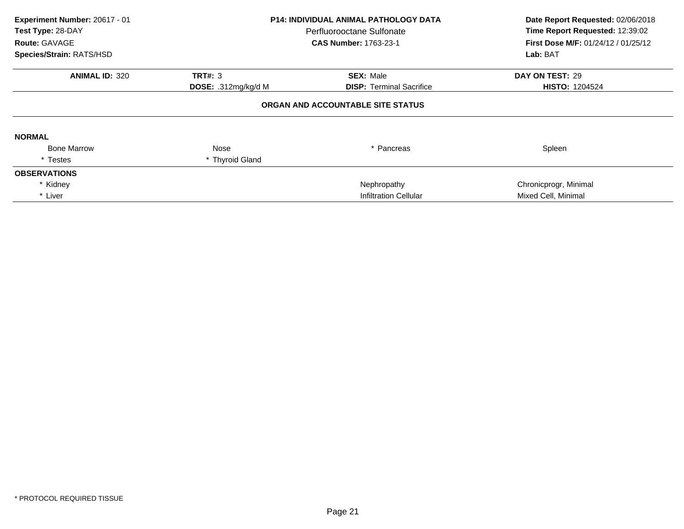| Experiment Number: 20617 - 01<br>Test Type: 28-DAY<br>Route: GAVAGE<br>Species/Strain: RATS/HSD | <b>P14: INDIVIDUAL ANIMAL PATHOLOGY DATA</b><br>Perfluorooctane Sulfonate<br><b>CAS Number: 1763-23-1</b> |                                   | Date Report Requested: 02/06/2018<br>Time Report Requested: 12:39:02<br>First Dose M/F: 01/24/12 / 01/25/12<br>Lab: BAT |
|-------------------------------------------------------------------------------------------------|-----------------------------------------------------------------------------------------------------------|-----------------------------------|-------------------------------------------------------------------------------------------------------------------------|
| <b>ANIMAL ID: 320</b>                                                                           | <b>TRT#: 3</b>                                                                                            | <b>SEX: Male</b>                  | DAY ON TEST: 29                                                                                                         |
|                                                                                                 | <b>DOSE:</b> .312mg/kg/d M                                                                                | <b>DISP: Terminal Sacrifice</b>   | <b>HISTO: 1204524</b>                                                                                                   |
|                                                                                                 |                                                                                                           | ORGAN AND ACCOUNTABLE SITE STATUS |                                                                                                                         |
| <b>NORMAL</b>                                                                                   |                                                                                                           |                                   |                                                                                                                         |
| <b>Bone Marrow</b>                                                                              | Nose                                                                                                      | * Pancreas                        | Spleen                                                                                                                  |
| * Testes                                                                                        | * Thyroid Gland                                                                                           |                                   |                                                                                                                         |
| <b>OBSERVATIONS</b>                                                                             |                                                                                                           |                                   |                                                                                                                         |
| * Kidney                                                                                        |                                                                                                           | Nephropathy                       | Chronicprogr, Minimal                                                                                                   |
| * Liver                                                                                         |                                                                                                           | <b>Infiltration Cellular</b>      | Mixed Cell, Minimal                                                                                                     |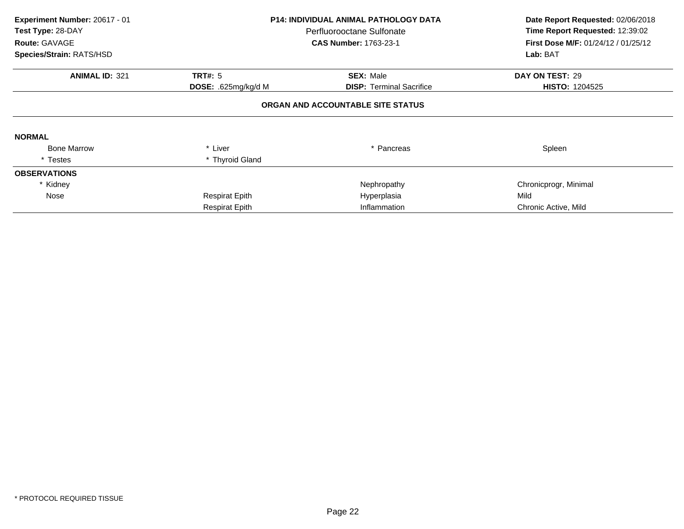| Experiment Number: 20617 - 01<br>Test Type: 28-DAY<br>Route: GAVAGE<br>Species/Strain: RATS/HSD | <b>P14: INDIVIDUAL ANIMAL PATHOLOGY DATA</b><br>Perfluorooctane Sulfonate<br><b>CAS Number: 1763-23-1</b> |                                   | Date Report Requested: 02/06/2018<br>Time Report Requested: 12:39:02<br>First Dose M/F: 01/24/12 / 01/25/12<br>Lab: BAT |
|-------------------------------------------------------------------------------------------------|-----------------------------------------------------------------------------------------------------------|-----------------------------------|-------------------------------------------------------------------------------------------------------------------------|
|                                                                                                 |                                                                                                           |                                   |                                                                                                                         |
| <b>ANIMAL ID: 321</b>                                                                           | <b>TRT#: 5</b>                                                                                            | <b>SEX: Male</b>                  | DAY ON TEST: 29                                                                                                         |
|                                                                                                 | DOSE: .625mg/kg/d M                                                                                       | <b>DISP:</b> Terminal Sacrifice   | <b>HISTO: 1204525</b>                                                                                                   |
| <b>NORMAL</b>                                                                                   |                                                                                                           | ORGAN AND ACCOUNTABLE SITE STATUS |                                                                                                                         |
| <b>Bone Marrow</b>                                                                              | * Liver                                                                                                   | * Pancreas                        | Spleen                                                                                                                  |
| * Testes                                                                                        | * Thyroid Gland                                                                                           |                                   |                                                                                                                         |
| <b>OBSERVATIONS</b>                                                                             |                                                                                                           |                                   |                                                                                                                         |
| * Kidney                                                                                        |                                                                                                           | Nephropathy                       | Chronicprogr, Minimal                                                                                                   |
| Nose                                                                                            | <b>Respirat Epith</b>                                                                                     | Hyperplasia                       | Mild                                                                                                                    |
|                                                                                                 | <b>Respirat Epith</b>                                                                                     | Inflammation                      | Chronic Active, Mild                                                                                                    |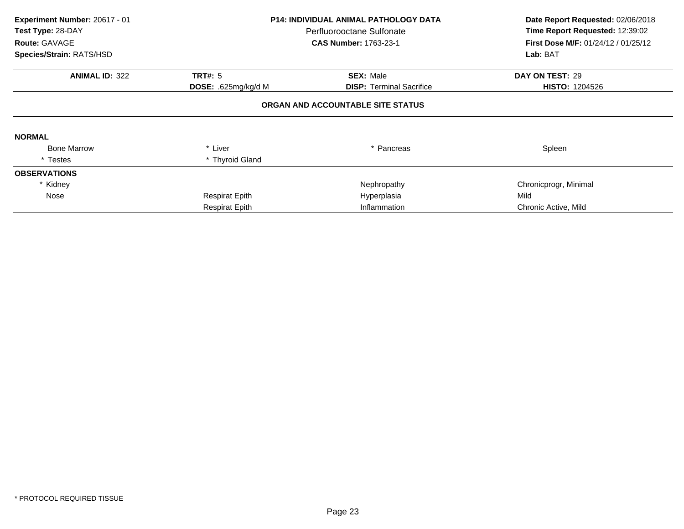| Experiment Number: 20617 - 01<br>Test Type: 28-DAY<br>Route: GAVAGE<br>Species/Strain: RATS/HSD | <b>P14: INDIVIDUAL ANIMAL PATHOLOGY DATA</b><br>Perfluorooctane Sulfonate<br><b>CAS Number: 1763-23-1</b> |                                                     | Date Report Requested: 02/06/2018<br>Time Report Requested: 12:39:02<br>First Dose M/F: 01/24/12 / 01/25/12<br>Lab: BAT |
|-------------------------------------------------------------------------------------------------|-----------------------------------------------------------------------------------------------------------|-----------------------------------------------------|-------------------------------------------------------------------------------------------------------------------------|
|                                                                                                 |                                                                                                           |                                                     |                                                                                                                         |
| <b>ANIMAL ID: 322</b>                                                                           | <b>TRT#: 5</b><br>DOSE: .625mg/kg/d M                                                                     | <b>SEX: Male</b><br><b>DISP:</b> Terminal Sacrifice | DAY ON TEST: 29<br><b>HISTO: 1204526</b>                                                                                |
|                                                                                                 |                                                                                                           | ORGAN AND ACCOUNTABLE SITE STATUS                   |                                                                                                                         |
| <b>NORMAL</b>                                                                                   |                                                                                                           |                                                     |                                                                                                                         |
| <b>Bone Marrow</b>                                                                              | * Liver                                                                                                   | * Pancreas                                          | Spleen                                                                                                                  |
| * Testes                                                                                        | * Thyroid Gland                                                                                           |                                                     |                                                                                                                         |
| <b>OBSERVATIONS</b>                                                                             |                                                                                                           |                                                     |                                                                                                                         |
| * Kidney                                                                                        |                                                                                                           | Nephropathy                                         | Chronicprogr, Minimal                                                                                                   |
| Nose                                                                                            | <b>Respirat Epith</b>                                                                                     | Hyperplasia                                         | Mild                                                                                                                    |
|                                                                                                 | <b>Respirat Epith</b>                                                                                     | Inflammation                                        | Chronic Active, Mild                                                                                                    |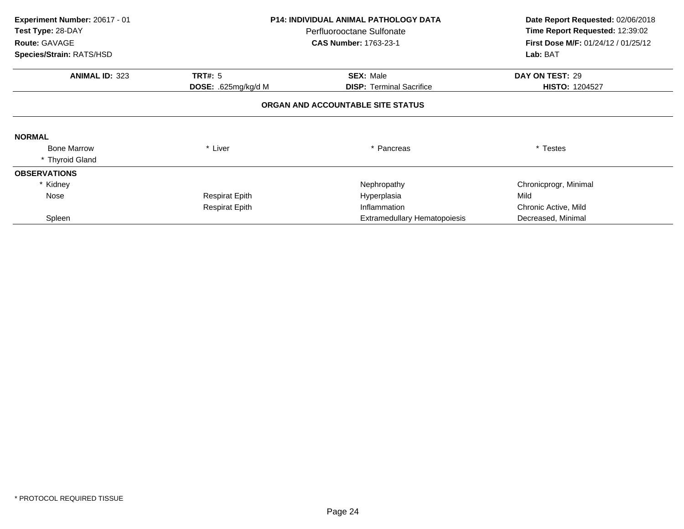| Experiment Number: 20617 - 01 |                            | <b>P14: INDIVIDUAL ANIMAL PATHOLOGY DATA</b> |                                                                        |
|-------------------------------|----------------------------|----------------------------------------------|------------------------------------------------------------------------|
| Test Type: 28-DAY             |                            | Perfluorooctane Sulfonate                    | Time Report Requested: 12:39:02<br>First Dose M/F: 01/24/12 / 01/25/12 |
| Route: GAVAGE                 |                            | <b>CAS Number: 1763-23-1</b>                 |                                                                        |
| Species/Strain: RATS/HSD      |                            |                                              | Lab: BAT                                                               |
| <b>ANIMAL ID: 323</b>         | <b>TRT#: 5</b>             | <b>SEX: Male</b>                             | DAY ON TEST: 29                                                        |
|                               | <b>DOSE: .625mg/kg/d M</b> | <b>DISP:</b> Terminal Sacrifice              | <b>HISTO: 1204527</b>                                                  |
|                               |                            | ORGAN AND ACCOUNTABLE SITE STATUS            |                                                                        |
| <b>NORMAL</b>                 |                            |                                              |                                                                        |
| <b>Bone Marrow</b>            | * Liver                    | * Pancreas                                   | * Testes                                                               |
| * Thyroid Gland               |                            |                                              |                                                                        |
| <b>OBSERVATIONS</b>           |                            |                                              |                                                                        |
| Kidney                        |                            | Nephropathy                                  | Chronicprogr, Minimal                                                  |
| Nose                          | <b>Respirat Epith</b>      | Hyperplasia                                  | Mild                                                                   |
|                               | <b>Respirat Epith</b>      | Inflammation                                 | Chronic Active, Mild                                                   |
| Spleen                        |                            | Extramedullary Hematopoiesis                 | Decreased, Minimal                                                     |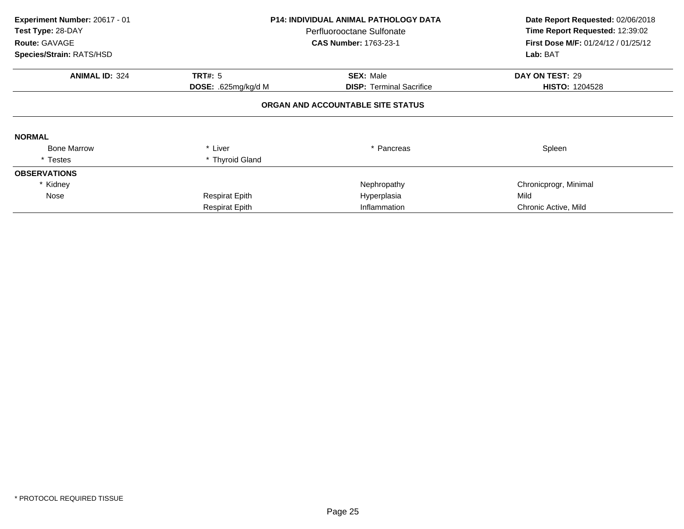| Experiment Number: 20617 - 01<br>Test Type: 28-DAY<br>Route: GAVAGE<br>Species/Strain: RATS/HSD | <b>P14: INDIVIDUAL ANIMAL PATHOLOGY DATA</b><br>Perfluorooctane Sulfonate<br><b>CAS Number: 1763-23-1</b> |                                                     | Date Report Requested: 02/06/2018<br>Time Report Requested: 12:39:02<br>First Dose M/F: 01/24/12 / 01/25/12<br>Lab: BAT |
|-------------------------------------------------------------------------------------------------|-----------------------------------------------------------------------------------------------------------|-----------------------------------------------------|-------------------------------------------------------------------------------------------------------------------------|
|                                                                                                 |                                                                                                           |                                                     |                                                                                                                         |
| <b>ANIMAL ID: 324</b>                                                                           | <b>TRT#: 5</b><br>DOSE: .625mg/kg/d M                                                                     | <b>SEX: Male</b><br><b>DISP:</b> Terminal Sacrifice | DAY ON TEST: 29<br><b>HISTO: 1204528</b>                                                                                |
|                                                                                                 |                                                                                                           | ORGAN AND ACCOUNTABLE SITE STATUS                   |                                                                                                                         |
| <b>NORMAL</b>                                                                                   |                                                                                                           |                                                     |                                                                                                                         |
| <b>Bone Marrow</b>                                                                              | * Liver                                                                                                   | * Pancreas                                          | Spleen                                                                                                                  |
| * Testes                                                                                        | * Thyroid Gland                                                                                           |                                                     |                                                                                                                         |
| <b>OBSERVATIONS</b>                                                                             |                                                                                                           |                                                     |                                                                                                                         |
| * Kidney                                                                                        |                                                                                                           | Nephropathy                                         | Chronicprogr, Minimal                                                                                                   |
| Nose                                                                                            | <b>Respirat Epith</b>                                                                                     | Hyperplasia                                         | Mild                                                                                                                    |
|                                                                                                 | <b>Respirat Epith</b>                                                                                     | Inflammation                                        | Chronic Active, Mild                                                                                                    |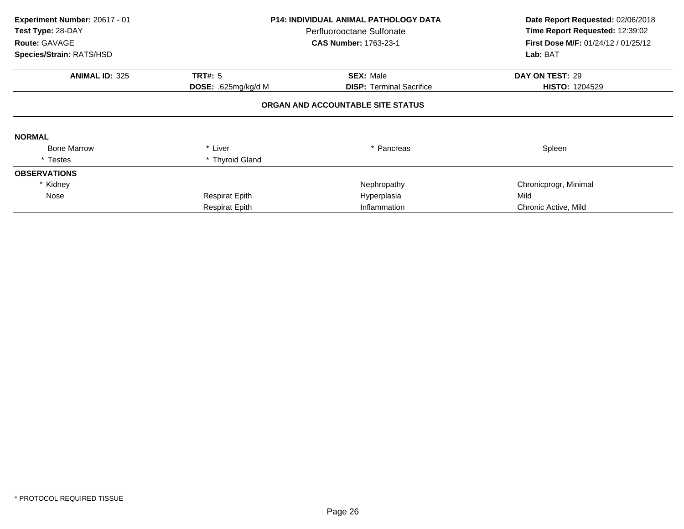| Experiment Number: 20617 - 01<br>Test Type: 28-DAY<br>Route: GAVAGE<br>Species/Strain: RATS/HSD | <b>P14: INDIVIDUAL ANIMAL PATHOLOGY DATA</b><br>Perfluorooctane Sulfonate<br><b>CAS Number: 1763-23-1</b> |                                   | Date Report Requested: 02/06/2018<br>Time Report Requested: 12:39:02<br>First Dose M/F: 01/24/12 / 01/25/12<br>Lab: BAT |  |
|-------------------------------------------------------------------------------------------------|-----------------------------------------------------------------------------------------------------------|-----------------------------------|-------------------------------------------------------------------------------------------------------------------------|--|
| <b>ANIMAL ID: 325</b>                                                                           | <b>TRT#: 5</b>                                                                                            | <b>SEX: Male</b>                  | DAY ON TEST: 29                                                                                                         |  |
|                                                                                                 | DOSE: .625mg/kg/d M                                                                                       | <b>DISP: Terminal Sacrifice</b>   | <b>HISTO: 1204529</b>                                                                                                   |  |
|                                                                                                 |                                                                                                           | ORGAN AND ACCOUNTABLE SITE STATUS |                                                                                                                         |  |
| <b>NORMAL</b>                                                                                   |                                                                                                           |                                   |                                                                                                                         |  |
| <b>Bone Marrow</b>                                                                              | * Liver                                                                                                   | * Pancreas                        | Spleen                                                                                                                  |  |
| * Testes                                                                                        | * Thyroid Gland                                                                                           |                                   |                                                                                                                         |  |
| <b>OBSERVATIONS</b>                                                                             |                                                                                                           |                                   |                                                                                                                         |  |
| * Kidney                                                                                        |                                                                                                           | Nephropathy                       | Chronicprogr, Minimal                                                                                                   |  |
| Nose                                                                                            | <b>Respirat Epith</b>                                                                                     | Hyperplasia                       | Mild                                                                                                                    |  |
|                                                                                                 | <b>Respirat Epith</b>                                                                                     | Inflammation                      | Chronic Active, Mild                                                                                                    |  |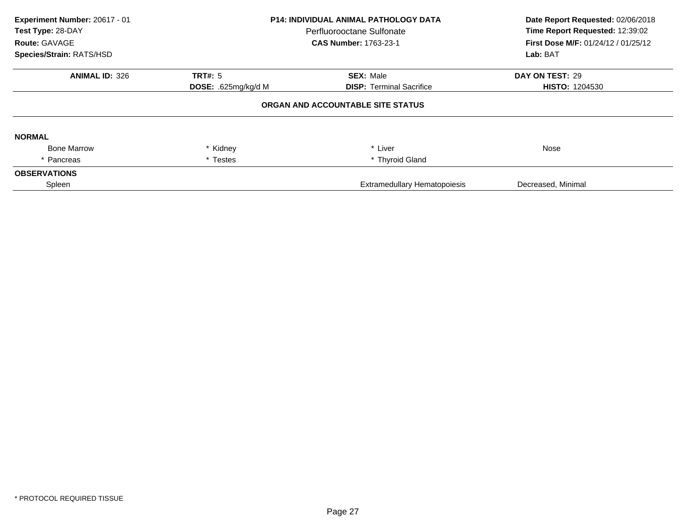| Experiment Number: 20617 - 01<br>Test Type: 28-DAY<br>Route: GAVAGE<br>Species/Strain: RATS/HSD | <b>P14: INDIVIDUAL ANIMAL PATHOLOGY DATA</b><br>Perfluorooctane Sulfonate<br><b>CAS Number: 1763-23-1</b> |                                     | Date Report Requested: 02/06/2018<br>Time Report Requested: 12:39:02<br>First Dose M/F: 01/24/12 / 01/25/12<br>Lab: BAT |  |
|-------------------------------------------------------------------------------------------------|-----------------------------------------------------------------------------------------------------------|-------------------------------------|-------------------------------------------------------------------------------------------------------------------------|--|
| <b>ANIMAL ID: 326</b>                                                                           | <b>TRT#: 5</b>                                                                                            | <b>SEX: Male</b>                    | DAY ON TEST: 29                                                                                                         |  |
|                                                                                                 | DOSE: .625mg/kg/d M                                                                                       | <b>DISP: Terminal Sacrifice</b>     | <b>HISTO: 1204530</b>                                                                                                   |  |
|                                                                                                 |                                                                                                           | ORGAN AND ACCOUNTABLE SITE STATUS   |                                                                                                                         |  |
| <b>NORMAL</b>                                                                                   |                                                                                                           |                                     |                                                                                                                         |  |
| <b>Bone Marrow</b>                                                                              | * Kidney                                                                                                  | * Liver                             | Nose                                                                                                                    |  |
| * Pancreas                                                                                      | * Testes                                                                                                  | * Thyroid Gland                     |                                                                                                                         |  |
| <b>OBSERVATIONS</b>                                                                             |                                                                                                           |                                     |                                                                                                                         |  |
| Spleen                                                                                          |                                                                                                           | <b>Extramedullary Hematopoiesis</b> | Decreased, Minimal                                                                                                      |  |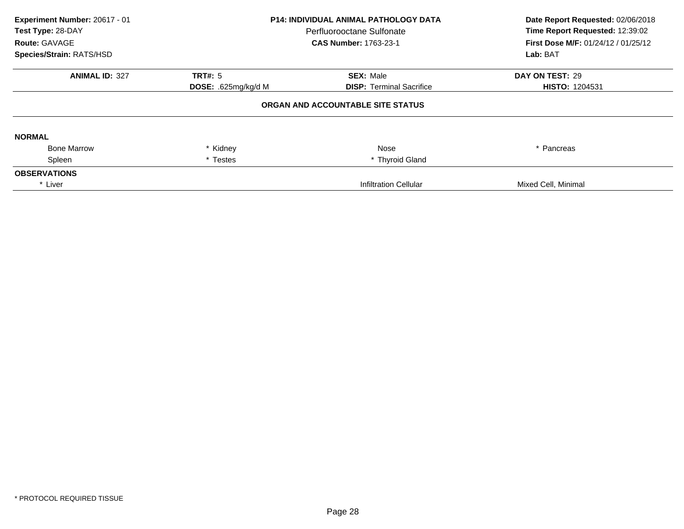| Experiment Number: 20617 - 01<br>Test Type: 28-DAY<br>Route: GAVAGE<br>Species/Strain: RATS/HSD | <b>P14: INDIVIDUAL ANIMAL PATHOLOGY DATA</b><br>Perfluorooctane Sulfonate<br><b>CAS Number: 1763-23-1</b> |                                   | Date Report Requested: 02/06/2018<br>Time Report Requested: 12:39:02<br>First Dose M/F: 01/24/12 / 01/25/12<br>Lab: BAT |  |
|-------------------------------------------------------------------------------------------------|-----------------------------------------------------------------------------------------------------------|-----------------------------------|-------------------------------------------------------------------------------------------------------------------------|--|
| <b>ANIMAL ID: 327</b>                                                                           | <b>TRT#: 5</b>                                                                                            | <b>SEX: Male</b>                  | DAY ON TEST: 29                                                                                                         |  |
|                                                                                                 | DOSE: .625mg/kg/d M                                                                                       | <b>DISP: Terminal Sacrifice</b>   | <b>HISTO: 1204531</b>                                                                                                   |  |
|                                                                                                 |                                                                                                           | ORGAN AND ACCOUNTABLE SITE STATUS |                                                                                                                         |  |
| <b>NORMAL</b>                                                                                   |                                                                                                           |                                   |                                                                                                                         |  |
| <b>Bone Marrow</b>                                                                              | * Kidney                                                                                                  | Nose                              | * Pancreas                                                                                                              |  |
| Spleen                                                                                          | * Testes                                                                                                  | * Thyroid Gland                   |                                                                                                                         |  |
| <b>OBSERVATIONS</b>                                                                             |                                                                                                           |                                   |                                                                                                                         |  |
| * Liver                                                                                         |                                                                                                           | <b>Infiltration Cellular</b>      | Mixed Cell, Minimal                                                                                                     |  |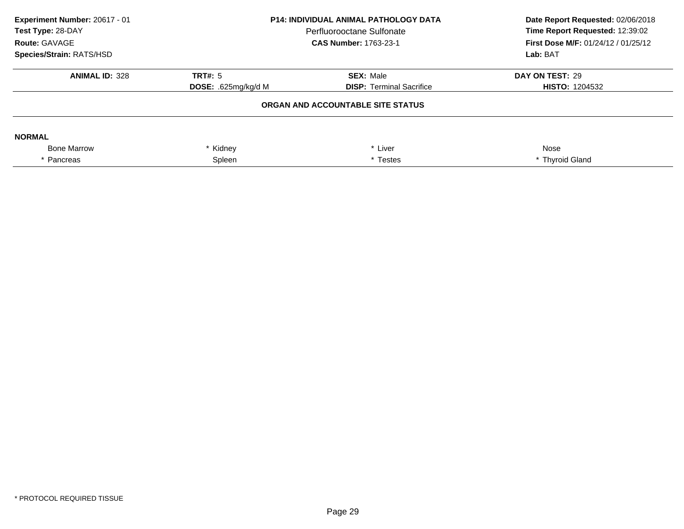| Experiment Number: 20617 - 01<br>Test Type: 28-DAY<br>Route: GAVAGE<br><b>Species/Strain: RATS/HSD</b> | <b>P14: INDIVIDUAL ANIMAL PATHOLOGY DATA</b><br>Perfluorooctane Sulfonate<br><b>CAS Number: 1763-23-1</b> |                                   | Date Report Requested: 02/06/2018<br>Time Report Requested: 12:39:02<br>First Dose M/F: 01/24/12 / 01/25/12<br>Lab: BAT |
|--------------------------------------------------------------------------------------------------------|-----------------------------------------------------------------------------------------------------------|-----------------------------------|-------------------------------------------------------------------------------------------------------------------------|
| <b>ANIMAL ID: 328</b>                                                                                  | TRT#: 5                                                                                                   | <b>SEX: Male</b>                  | DAY ON TEST: 29                                                                                                         |
|                                                                                                        | <b>DOSE:</b> .625 $mq/kg/d$ M                                                                             | <b>DISP: Terminal Sacrifice</b>   | <b>HISTO: 1204532</b>                                                                                                   |
|                                                                                                        |                                                                                                           | ORGAN AND ACCOUNTABLE SITE STATUS |                                                                                                                         |
| <b>NORMAL</b>                                                                                          |                                                                                                           |                                   |                                                                                                                         |
| <b>Bone Marrow</b>                                                                                     | * Kidney                                                                                                  | * Liver                           | Nose                                                                                                                    |
| * Pancreas                                                                                             | Spleen                                                                                                    | * Testes                          | * Thyroid Gland                                                                                                         |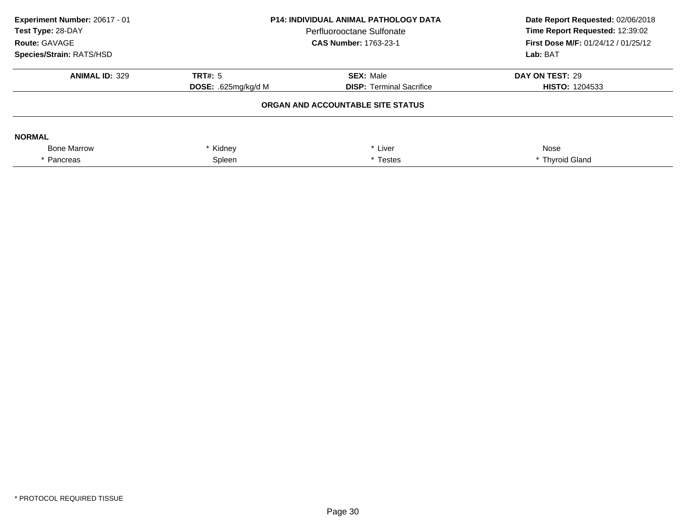| Experiment Number: 20617 - 01<br>Test Type: 28-DAY<br>Route: GAVAGE<br><b>Species/Strain: RATS/HSD</b> | <b>P14: INDIVIDUAL ANIMAL PATHOLOGY DATA</b><br>Perfluorooctane Sulfonate<br><b>CAS Number: 1763-23-1</b> |                                   | Date Report Requested: 02/06/2018<br>Time Report Requested: 12:39:02<br>First Dose M/F: 01/24/12 / 01/25/12<br>Lab: BAT |
|--------------------------------------------------------------------------------------------------------|-----------------------------------------------------------------------------------------------------------|-----------------------------------|-------------------------------------------------------------------------------------------------------------------------|
| <b>ANIMAL ID: 329</b>                                                                                  | TRT#: 5                                                                                                   | <b>SEX: Male</b>                  | DAY ON TEST: 29                                                                                                         |
|                                                                                                        | <b>DOSE:</b> .625 $mq/kg/d$ M                                                                             | <b>DISP: Terminal Sacrifice</b>   | <b>HISTO: 1204533</b>                                                                                                   |
|                                                                                                        |                                                                                                           | ORGAN AND ACCOUNTABLE SITE STATUS |                                                                                                                         |
| <b>NORMAL</b>                                                                                          |                                                                                                           |                                   |                                                                                                                         |
| <b>Bone Marrow</b>                                                                                     | * Kidney                                                                                                  | * Liver                           | Nose                                                                                                                    |
| * Pancreas                                                                                             | Spleen                                                                                                    | * Testes                          | * Thyroid Gland                                                                                                         |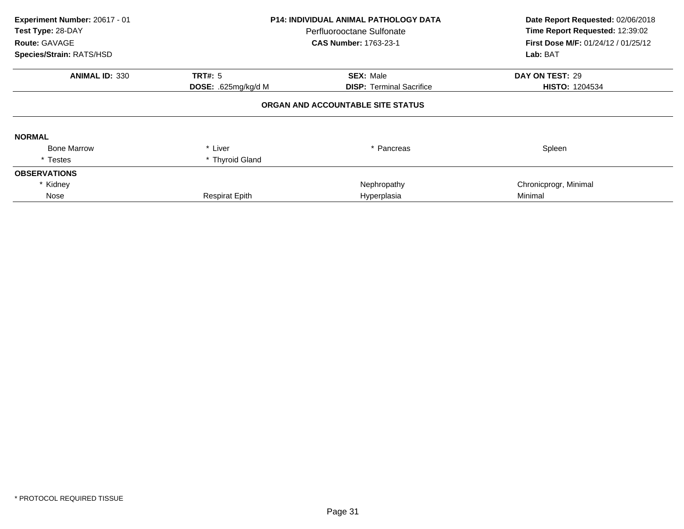| Experiment Number: 20617 - 01<br>Test Type: 28-DAY<br>Route: GAVAGE<br>Species/Strain: RATS/HSD | <b>P14: INDIVIDUAL ANIMAL PATHOLOGY DATA</b><br>Perfluorooctane Sulfonate<br><b>CAS Number: 1763-23-1</b> |                                   | Date Report Requested: 02/06/2018<br>Time Report Requested: 12:39:02<br>First Dose M/F: 01/24/12 / 01/25/12<br>Lab: BAT |
|-------------------------------------------------------------------------------------------------|-----------------------------------------------------------------------------------------------------------|-----------------------------------|-------------------------------------------------------------------------------------------------------------------------|
| <b>ANIMAL ID: 330</b>                                                                           | <b>TRT#: 5</b>                                                                                            | <b>SEX: Male</b>                  | DAY ON TEST: 29                                                                                                         |
|                                                                                                 | DOSE: .625mg/kg/d M                                                                                       | <b>DISP:</b> Terminal Sacrifice   | <b>HISTO: 1204534</b>                                                                                                   |
|                                                                                                 |                                                                                                           | ORGAN AND ACCOUNTABLE SITE STATUS |                                                                                                                         |
| <b>NORMAL</b>                                                                                   |                                                                                                           |                                   |                                                                                                                         |
| <b>Bone Marrow</b>                                                                              | * Liver                                                                                                   | * Pancreas                        | Spleen                                                                                                                  |
| * Testes                                                                                        | * Thyroid Gland                                                                                           |                                   |                                                                                                                         |
| <b>OBSERVATIONS</b>                                                                             |                                                                                                           |                                   |                                                                                                                         |
| * Kidney                                                                                        |                                                                                                           | Nephropathy                       | Chronicprogr, Minimal                                                                                                   |
| Nose                                                                                            | <b>Respirat Epith</b>                                                                                     | Hyperplasia                       | Minimal                                                                                                                 |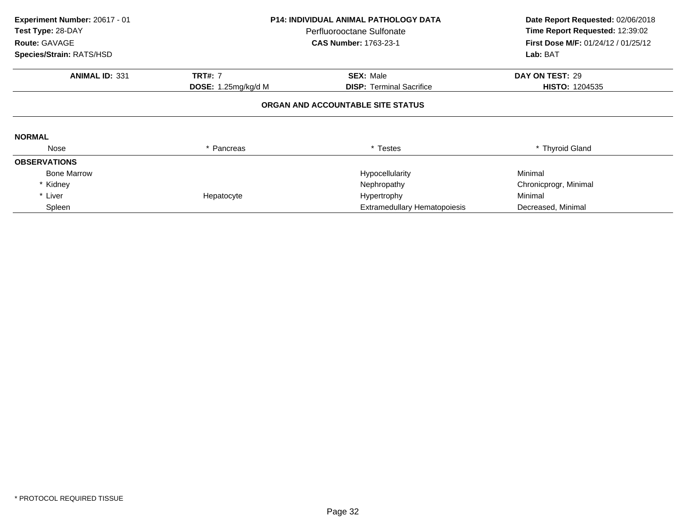| Experiment Number: 20617 - 01<br>Test Type: 28-DAY<br>Route: GAVAGE<br>Species/Strain: RATS/HSD | <b>P14: INDIVIDUAL ANIMAL PATHOLOGY DATA</b><br>Perfluorooctane Sulfonate<br><b>CAS Number: 1763-23-1</b> |                                     | Date Report Requested: 02/06/2018<br>Time Report Requested: 12:39:02<br>First Dose M/F: 01/24/12 / 01/25/12<br>Lab: BAT |  |
|-------------------------------------------------------------------------------------------------|-----------------------------------------------------------------------------------------------------------|-------------------------------------|-------------------------------------------------------------------------------------------------------------------------|--|
|                                                                                                 |                                                                                                           |                                     |                                                                                                                         |  |
| <b>ANIMAL ID: 331</b>                                                                           | <b>TRT#: 7</b>                                                                                            | <b>SEX: Male</b>                    | DAY ON TEST: 29                                                                                                         |  |
|                                                                                                 | <b>DOSE:</b> 1.25mg/kg/d M                                                                                | <b>DISP: Terminal Sacrifice</b>     | <b>HISTO: 1204535</b>                                                                                                   |  |
|                                                                                                 |                                                                                                           | ORGAN AND ACCOUNTABLE SITE STATUS   |                                                                                                                         |  |
| <b>NORMAL</b>                                                                                   |                                                                                                           |                                     |                                                                                                                         |  |
| Nose                                                                                            | * Pancreas                                                                                                | * Testes                            | * Thyroid Gland                                                                                                         |  |
| <b>OBSERVATIONS</b>                                                                             |                                                                                                           |                                     |                                                                                                                         |  |
| <b>Bone Marrow</b>                                                                              |                                                                                                           | Hypocellularity                     | Minimal                                                                                                                 |  |
| * Kidney                                                                                        |                                                                                                           | Nephropathy                         | Chronicprogr, Minimal                                                                                                   |  |
| * Liver                                                                                         | Hepatocyte                                                                                                | Hypertrophy                         | Minimal                                                                                                                 |  |
| Spleen                                                                                          |                                                                                                           | <b>Extramedullary Hematopoiesis</b> | Decreased, Minimal                                                                                                      |  |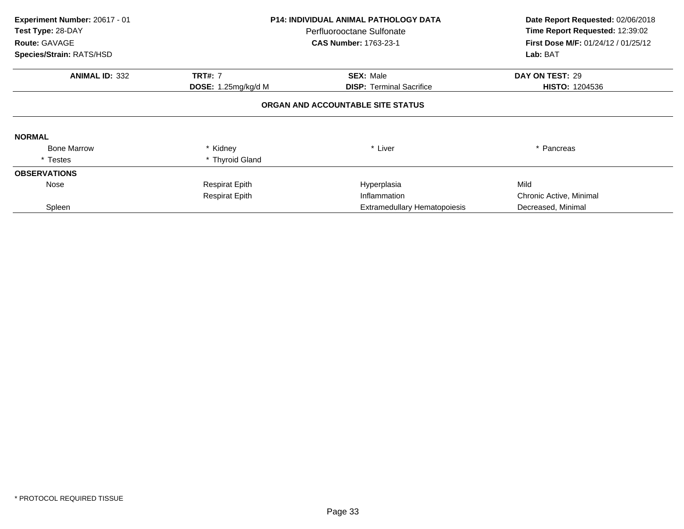| Experiment Number: 20617 - 01<br>Test Type: 28-DAY<br>Route: GAVAGE<br>Species/Strain: RATS/HSD | <b>P14: INDIVIDUAL ANIMAL PATHOLOGY DATA</b><br>Perfluorooctane Sulfonate<br><b>CAS Number: 1763-23-1</b> |                                   | Date Report Requested: 02/06/2018<br>Time Report Requested: 12:39:02<br><b>First Dose M/F: 01/24/12 / 01/25/12</b><br>Lab: BAT |  |
|-------------------------------------------------------------------------------------------------|-----------------------------------------------------------------------------------------------------------|-----------------------------------|--------------------------------------------------------------------------------------------------------------------------------|--|
| <b>ANIMAL ID: 332</b>                                                                           | <b>TRT#: 7</b>                                                                                            | <b>SEX: Male</b>                  | DAY ON TEST: 29                                                                                                                |  |
|                                                                                                 | <b>DOSE:</b> 1.25mg/kg/d M                                                                                | <b>DISP:</b> Terminal Sacrifice   | <b>HISTO: 1204536</b>                                                                                                          |  |
|                                                                                                 |                                                                                                           | ORGAN AND ACCOUNTABLE SITE STATUS |                                                                                                                                |  |
| <b>NORMAL</b>                                                                                   |                                                                                                           |                                   |                                                                                                                                |  |
| <b>Bone Marrow</b>                                                                              | * Kidney                                                                                                  | * Liver                           | * Pancreas                                                                                                                     |  |
| * Testes                                                                                        | * Thyroid Gland                                                                                           |                                   |                                                                                                                                |  |
| <b>OBSERVATIONS</b>                                                                             |                                                                                                           |                                   |                                                                                                                                |  |
| Nose                                                                                            | <b>Respirat Epith</b>                                                                                     | Hyperplasia                       | Mild                                                                                                                           |  |
|                                                                                                 | <b>Respirat Epith</b>                                                                                     | Inflammation                      | Chronic Active, Minimal                                                                                                        |  |
| Spleen                                                                                          |                                                                                                           | Extramedullary Hematopoiesis      | Decreased, Minimal                                                                                                             |  |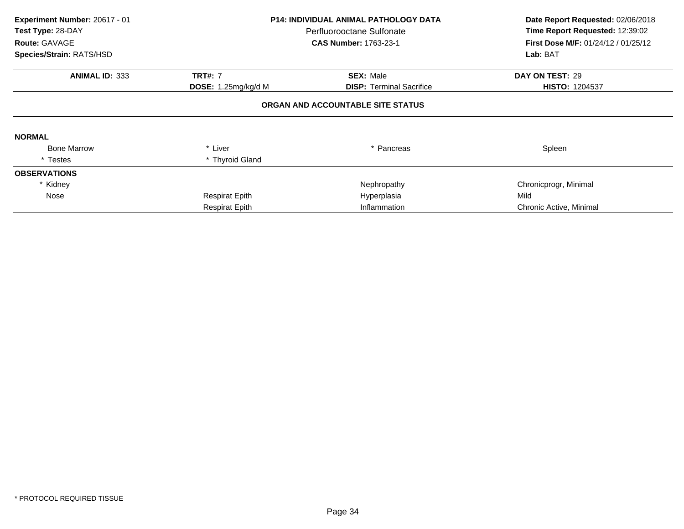| Experiment Number: 20617 - 01<br>Test Type: 28-DAY<br>Route: GAVAGE<br>Species/Strain: RATS/HSD | <b>P14: INDIVIDUAL ANIMAL PATHOLOGY DATA</b><br>Perfluorooctane Sulfonate<br><b>CAS Number: 1763-23-1</b> |                                   | Date Report Requested: 02/06/2018<br>Time Report Requested: 12:39:02<br>First Dose M/F: 01/24/12 / 01/25/12<br>Lab: BAT |  |
|-------------------------------------------------------------------------------------------------|-----------------------------------------------------------------------------------------------------------|-----------------------------------|-------------------------------------------------------------------------------------------------------------------------|--|
| <b>ANIMAL ID: 333</b>                                                                           | <b>TRT#: 7</b>                                                                                            | <b>SEX: Male</b>                  | DAY ON TEST: 29                                                                                                         |  |
|                                                                                                 | DOSE: 1.25mg/kg/d M                                                                                       | <b>DISP: Terminal Sacrifice</b>   | <b>HISTO: 1204537</b>                                                                                                   |  |
|                                                                                                 |                                                                                                           | ORGAN AND ACCOUNTABLE SITE STATUS |                                                                                                                         |  |
| <b>NORMAL</b>                                                                                   |                                                                                                           |                                   |                                                                                                                         |  |
| <b>Bone Marrow</b>                                                                              | * Liver                                                                                                   | * Pancreas                        | Spleen                                                                                                                  |  |
| * Testes                                                                                        | * Thyroid Gland                                                                                           |                                   |                                                                                                                         |  |
| <b>OBSERVATIONS</b>                                                                             |                                                                                                           |                                   |                                                                                                                         |  |
| * Kidney                                                                                        |                                                                                                           | Nephropathy                       | Chronicprogr, Minimal                                                                                                   |  |
| Nose                                                                                            | <b>Respirat Epith</b>                                                                                     | Hyperplasia                       | Mild                                                                                                                    |  |
|                                                                                                 | <b>Respirat Epith</b>                                                                                     | Inflammation                      | Chronic Active, Minimal                                                                                                 |  |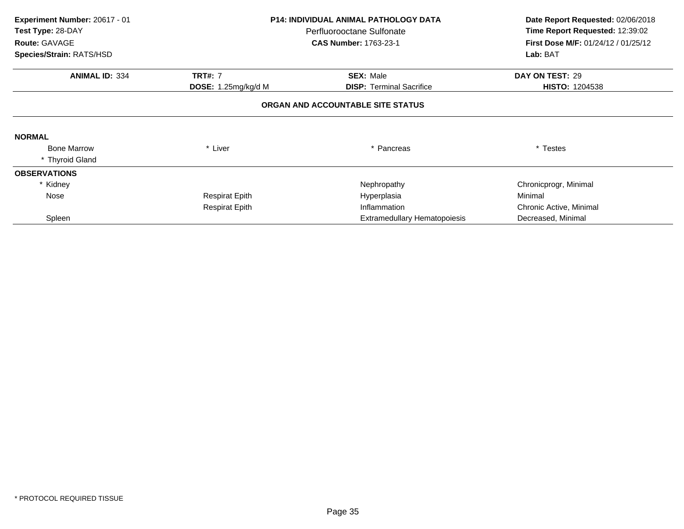| Experiment Number: 20617 - 01 | <b>P14: INDIVIDUAL ANIMAL PATHOLOGY DATA</b> |                                                           | Date Report Requested: 02/06/2018 |  |
|-------------------------------|----------------------------------------------|-----------------------------------------------------------|-----------------------------------|--|
| Test Type: 28-DAY             |                                              | Perfluorooctane Sulfonate<br><b>CAS Number: 1763-23-1</b> |                                   |  |
| Route: GAVAGE                 |                                              |                                                           |                                   |  |
| Species/Strain: RATS/HSD      |                                              |                                                           | Lab: BAT                          |  |
| <b>ANIMAL ID: 334</b>         | <b>TRT#: 7</b>                               | <b>SEX: Male</b>                                          | DAY ON TEST: 29                   |  |
|                               | DOSE: 1.25mg/kg/d M                          | <b>DISP:</b> Terminal Sacrifice                           | <b>HISTO: 1204538</b>             |  |
|                               |                                              | ORGAN AND ACCOUNTABLE SITE STATUS                         |                                   |  |
| <b>NORMAL</b>                 |                                              |                                                           |                                   |  |
| <b>Bone Marrow</b>            | * Liver                                      | * Pancreas                                                | * Testes                          |  |
| * Thyroid Gland               |                                              |                                                           |                                   |  |
| <b>OBSERVATIONS</b>           |                                              |                                                           |                                   |  |
| * Kidney                      |                                              | Nephropathy                                               | Chronicprogr, Minimal             |  |
| Nose                          | Respirat Epith                               | Hyperplasia                                               | Minimal                           |  |
|                               | <b>Respirat Epith</b>                        | Inflammation                                              | Chronic Active, Minimal           |  |
| Spleen                        |                                              | <b>Extramedullary Hematopoiesis</b>                       | Decreased, Minimal                |  |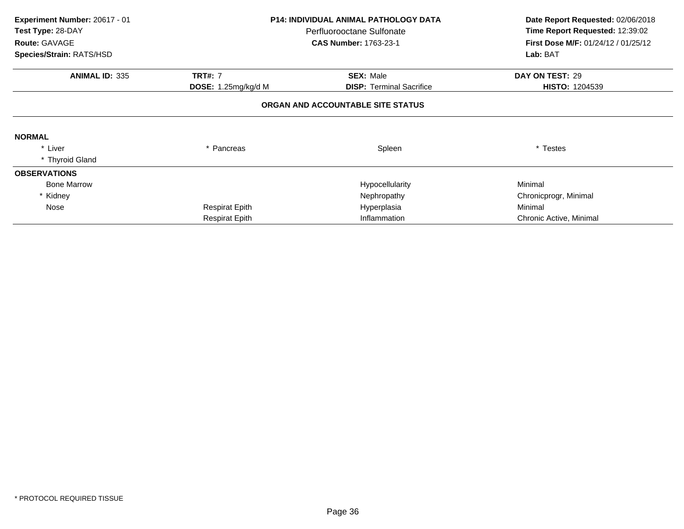| Experiment Number: 20617 - 01 | <b>P14: INDIVIDUAL ANIMAL PATHOLOGY DATA</b><br>Perfluorooctane Sulfonate |                                   | Date Report Requested: 02/06/2018               |
|-------------------------------|---------------------------------------------------------------------------|-----------------------------------|-------------------------------------------------|
| Test Type: 28-DAY             |                                                                           |                                   | Time Report Requested: 12:39:02                 |
| Route: GAVAGE                 |                                                                           | <b>CAS Number: 1763-23-1</b>      | First Dose M/F: 01/24/12 / 01/25/12<br>Lab: BAT |
| Species/Strain: RATS/HSD      |                                                                           |                                   |                                                 |
| <b>ANIMAL ID: 335</b>         | <b>TRT#: 7</b>                                                            | <b>SEX: Male</b>                  | DAY ON TEST: 29                                 |
|                               | DOSE: 1.25mg/kg/d M                                                       | <b>DISP:</b> Terminal Sacrifice   | <b>HISTO: 1204539</b>                           |
|                               |                                                                           | ORGAN AND ACCOUNTABLE SITE STATUS |                                                 |
| <b>NORMAL</b>                 |                                                                           |                                   |                                                 |
| * Liver                       | * Pancreas                                                                | Spleen                            | * Testes                                        |
| * Thyroid Gland               |                                                                           |                                   |                                                 |
| <b>OBSERVATIONS</b>           |                                                                           |                                   |                                                 |
| <b>Bone Marrow</b>            |                                                                           | Hypocellularity                   | Minimal                                         |
| Kidney                        |                                                                           | Nephropathy                       | Chronicprogr, Minimal                           |
| Nose                          | <b>Respirat Epith</b>                                                     | Hyperplasia                       | Minimal                                         |
|                               | <b>Respirat Epith</b>                                                     | Inflammation                      | Chronic Active, Minimal                         |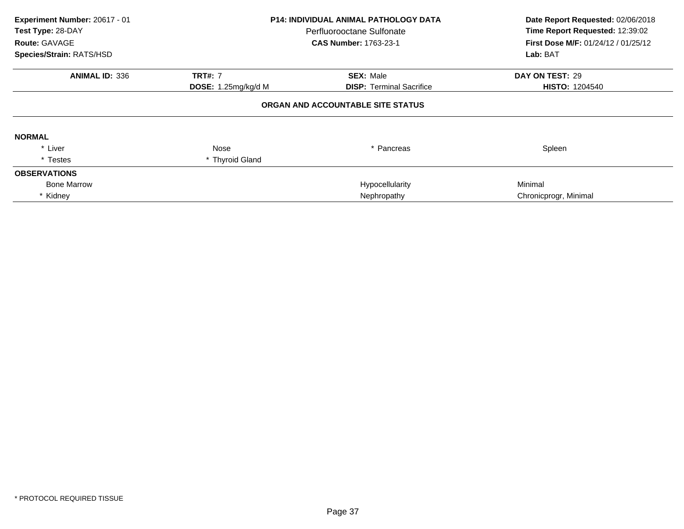| Experiment Number: 20617 - 01<br>Test Type: 28-DAY<br><b>Route: GAVAGE</b><br>Species/Strain: RATS/HSD | <b>P14: INDIVIDUAL ANIMAL PATHOLOGY DATA</b><br>Perfluorooctane Sulfonate<br><b>CAS Number: 1763-23-1</b> |                                   | Date Report Requested: 02/06/2018<br>Time Report Requested: 12:39:02<br><b>First Dose M/F: 01/24/12 / 01/25/12</b><br>Lab: BAT |
|--------------------------------------------------------------------------------------------------------|-----------------------------------------------------------------------------------------------------------|-----------------------------------|--------------------------------------------------------------------------------------------------------------------------------|
|                                                                                                        |                                                                                                           |                                   |                                                                                                                                |
| <b>ANIMAL ID: 336</b>                                                                                  | <b>TRT#: 7</b>                                                                                            | <b>SEX: Male</b>                  | DAY ON TEST: 29                                                                                                                |
|                                                                                                        | DOSE: 1.25mg/kg/d M                                                                                       | <b>DISP:</b> Terminal Sacrifice   | <b>HISTO: 1204540</b>                                                                                                          |
|                                                                                                        |                                                                                                           | ORGAN AND ACCOUNTABLE SITE STATUS |                                                                                                                                |
| <b>NORMAL</b>                                                                                          |                                                                                                           |                                   |                                                                                                                                |
| * Liver                                                                                                | Nose                                                                                                      | * Pancreas                        | Spleen                                                                                                                         |
| * Testes                                                                                               | * Thyroid Gland                                                                                           |                                   |                                                                                                                                |
| <b>OBSERVATIONS</b>                                                                                    |                                                                                                           |                                   |                                                                                                                                |
| <b>Bone Marrow</b>                                                                                     |                                                                                                           | Hypocellularity                   | Minimal                                                                                                                        |
| * Kidney                                                                                               |                                                                                                           | Nephropathy                       | Chronicprogr, Minimal                                                                                                          |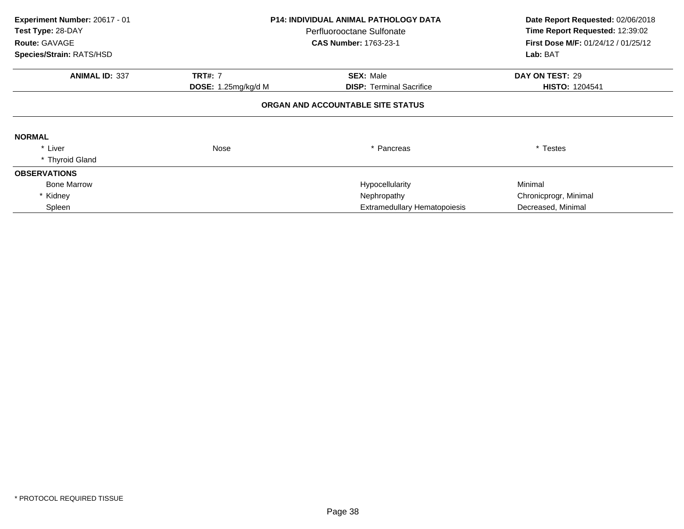| Experiment Number: 20617 - 01<br>Test Type: 28-DAY<br>Route: GAVAGE | <b>P14: INDIVIDUAL ANIMAL PATHOLOGY DATA</b><br>Perfluorooctane Sulfonate<br><b>CAS Number: 1763-23-1</b> |                                     | Date Report Requested: 02/06/2018<br>Time Report Requested: 12:39:02<br>First Dose M/F: 01/24/12 / 01/25/12 |
|---------------------------------------------------------------------|-----------------------------------------------------------------------------------------------------------|-------------------------------------|-------------------------------------------------------------------------------------------------------------|
| Species/Strain: RATS/HSD                                            |                                                                                                           |                                     | Lab: BAT                                                                                                    |
| <b>ANIMAL ID: 337</b>                                               | <b>TRT#: 7</b>                                                                                            | <b>SEX: Male</b>                    | DAY ON TEST: 29                                                                                             |
|                                                                     | <b>DOSE:</b> 1.25 $mg/kg/d$ M                                                                             | <b>DISP:</b> Terminal Sacrifice     | <b>HISTO: 1204541</b>                                                                                       |
|                                                                     |                                                                                                           | ORGAN AND ACCOUNTABLE SITE STATUS   |                                                                                                             |
| <b>NORMAL</b>                                                       |                                                                                                           |                                     |                                                                                                             |
| * Liver                                                             | Nose                                                                                                      | * Pancreas                          | * Testes                                                                                                    |
| * Thyroid Gland                                                     |                                                                                                           |                                     |                                                                                                             |
| <b>OBSERVATIONS</b>                                                 |                                                                                                           |                                     |                                                                                                             |
| <b>Bone Marrow</b>                                                  |                                                                                                           | Hypocellularity                     | Minimal                                                                                                     |
| Kidney                                                              |                                                                                                           | Nephropathy                         | Chronicprogr, Minimal                                                                                       |
| Spleen                                                              |                                                                                                           | <b>Extramedullary Hematopoiesis</b> | Decreased, Minimal                                                                                          |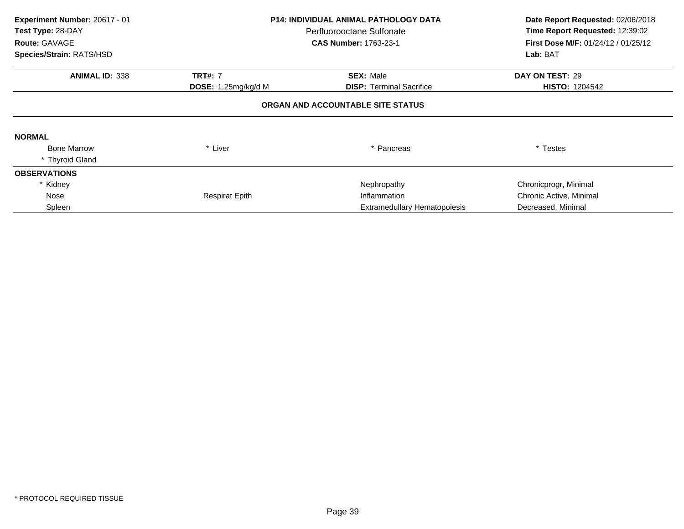| Experiment Number: 20617 - 01<br>Test Type: 28-DAY<br>Route: GAVAGE | <b>P14: INDIVIDUAL ANIMAL PATHOLOGY DATA</b><br>Perfluorooctane Sulfonate<br><b>CAS Number: 1763-23-1</b> |                                   | Date Report Requested: 02/06/2018<br>Time Report Requested: 12:39:02<br>First Dose M/F: 01/24/12 / 01/25/12 |  |
|---------------------------------------------------------------------|-----------------------------------------------------------------------------------------------------------|-----------------------------------|-------------------------------------------------------------------------------------------------------------|--|
| Species/Strain: RATS/HSD                                            |                                                                                                           |                                   | Lab: BAT                                                                                                    |  |
| <b>ANIMAL ID: 338</b>                                               | <b>TRT#: 7</b>                                                                                            | <b>SEX: Male</b>                  | DAY ON TEST: 29                                                                                             |  |
|                                                                     | DOSE: 1.25mg/kg/d M                                                                                       | <b>DISP:</b> Terminal Sacrifice   | <b>HISTO: 1204542</b>                                                                                       |  |
|                                                                     |                                                                                                           | ORGAN AND ACCOUNTABLE SITE STATUS |                                                                                                             |  |
| <b>NORMAL</b>                                                       |                                                                                                           |                                   |                                                                                                             |  |
| <b>Bone Marrow</b>                                                  | * Liver                                                                                                   | * Pancreas                        | * Testes                                                                                                    |  |
| * Thyroid Gland                                                     |                                                                                                           |                                   |                                                                                                             |  |
| <b>OBSERVATIONS</b>                                                 |                                                                                                           |                                   |                                                                                                             |  |
| * Kidney                                                            |                                                                                                           | Nephropathy                       | Chronicprogr, Minimal                                                                                       |  |
| Nose                                                                | <b>Respirat Epith</b>                                                                                     | Inflammation                      | Chronic Active, Minimal                                                                                     |  |
| Spleen                                                              |                                                                                                           | Extramedullary Hematopoiesis      | Decreased, Minimal                                                                                          |  |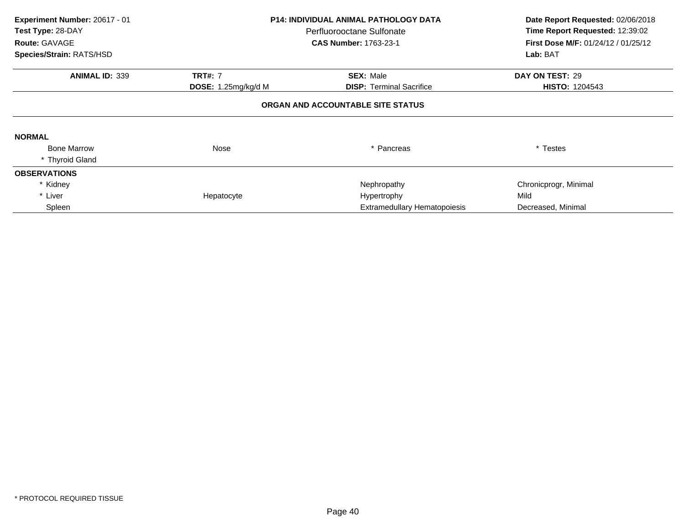| Experiment Number: 20617 - 01<br>Test Type: 28-DAY<br>Route: GAVAGE | <b>P14: INDIVIDUAL ANIMAL PATHOLOGY DATA</b><br>Perfluorooctane Sulfonate<br><b>CAS Number: 1763-23-1</b> |                                     | Date Report Requested: 02/06/2018<br>Time Report Requested: 12:39:02<br>First Dose M/F: 01/24/12 / 01/25/12 |  |
|---------------------------------------------------------------------|-----------------------------------------------------------------------------------------------------------|-------------------------------------|-------------------------------------------------------------------------------------------------------------|--|
| Species/Strain: RATS/HSD                                            |                                                                                                           |                                     | Lab: BAT                                                                                                    |  |
| <b>ANIMAL ID: 339</b>                                               | <b>TRT#: 7</b>                                                                                            | <b>SEX: Male</b>                    | DAY ON TEST: 29                                                                                             |  |
|                                                                     | DOSE: 1.25mg/kg/d M                                                                                       | <b>DISP:</b> Terminal Sacrifice     | <b>HISTO: 1204543</b>                                                                                       |  |
|                                                                     |                                                                                                           | ORGAN AND ACCOUNTABLE SITE STATUS   |                                                                                                             |  |
| <b>NORMAL</b>                                                       |                                                                                                           |                                     |                                                                                                             |  |
| <b>Bone Marrow</b>                                                  | Nose                                                                                                      | * Pancreas                          | * Testes                                                                                                    |  |
| * Thyroid Gland                                                     |                                                                                                           |                                     |                                                                                                             |  |
| <b>OBSERVATIONS</b>                                                 |                                                                                                           |                                     |                                                                                                             |  |
| * Kidney                                                            |                                                                                                           | Nephropathy                         | Chronicprogr, Minimal                                                                                       |  |
| * Liver                                                             | Hepatocyte                                                                                                | Hypertrophy                         | Mild                                                                                                        |  |
| Spleen                                                              |                                                                                                           | <b>Extramedullary Hematopoiesis</b> | Decreased, Minimal                                                                                          |  |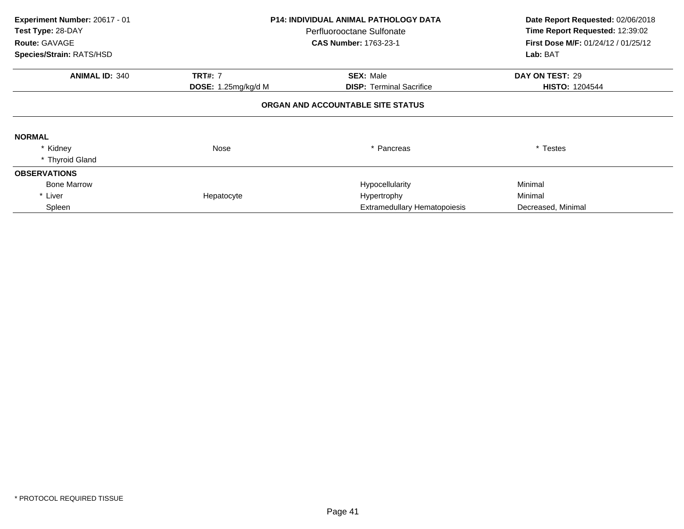| Experiment Number: 20617 - 01<br>Test Type: 28-DAY | <b>P14: INDIVIDUAL ANIMAL PATHOLOGY DATA</b><br>Perfluorooctane Sulfonate<br>Route: GAVAGE<br><b>CAS Number: 1763-23-1</b> |                                   | Date Report Requested: 02/06/2018<br>Time Report Requested: 12:39:02<br>First Dose M/F: 01/24/12 / 01/25/12 |  |
|----------------------------------------------------|----------------------------------------------------------------------------------------------------------------------------|-----------------------------------|-------------------------------------------------------------------------------------------------------------|--|
| Species/Strain: RATS/HSD                           |                                                                                                                            |                                   | Lab: BAT                                                                                                    |  |
| <b>ANIMAL ID: 340</b>                              | <b>TRT#: 7</b>                                                                                                             | <b>SEX: Male</b>                  | DAY ON TEST: 29                                                                                             |  |
|                                                    | DOSE: 1.25mg/kg/d M                                                                                                        | <b>DISP:</b> Terminal Sacrifice   | <b>HISTO: 1204544</b>                                                                                       |  |
|                                                    |                                                                                                                            | ORGAN AND ACCOUNTABLE SITE STATUS |                                                                                                             |  |
| <b>NORMAL</b>                                      |                                                                                                                            |                                   |                                                                                                             |  |
| * Kidney                                           | Nose                                                                                                                       | * Pancreas                        | * Testes                                                                                                    |  |
| * Thyroid Gland                                    |                                                                                                                            |                                   |                                                                                                             |  |
| <b>OBSERVATIONS</b>                                |                                                                                                                            |                                   |                                                                                                             |  |
| <b>Bone Marrow</b>                                 |                                                                                                                            | Hypocellularity                   | Minimal                                                                                                     |  |
| * Liver                                            | Hepatocyte                                                                                                                 | Hypertrophy                       | Minimal                                                                                                     |  |
| Spleen                                             |                                                                                                                            | Extramedullary Hematopoiesis      | Decreased, Minimal                                                                                          |  |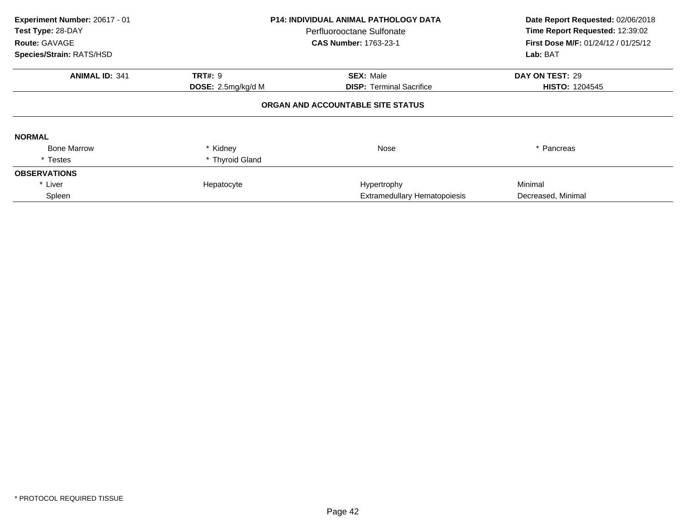| Experiment Number: 20617 - 01<br>Test Type: 28-DAY<br>Route: GAVAGE<br>Species/Strain: RATS/HSD | <b>P14: INDIVIDUAL ANIMAL PATHOLOGY DATA</b><br>Perfluorooctane Sulfonate<br><b>CAS Number: 1763-23-1</b> |                                                     | Date Report Requested: 02/06/2018<br>Time Report Requested: 12:39:02<br>First Dose M/F: 01/24/12 / 01/25/12<br>Lab: BAT |
|-------------------------------------------------------------------------------------------------|-----------------------------------------------------------------------------------------------------------|-----------------------------------------------------|-------------------------------------------------------------------------------------------------------------------------|
| <b>ANIMAL ID: 341</b>                                                                           | <b>TRT#: 9</b><br>DOSE: 2.5mg/kg/d M                                                                      | <b>SEX: Male</b><br><b>DISP:</b> Terminal Sacrifice | DAY ON TEST: 29<br><b>HISTO: 1204545</b>                                                                                |
|                                                                                                 |                                                                                                           | ORGAN AND ACCOUNTABLE SITE STATUS                   |                                                                                                                         |
| <b>NORMAL</b>                                                                                   |                                                                                                           |                                                     |                                                                                                                         |
| <b>Bone Marrow</b>                                                                              | * Kidney                                                                                                  | Nose                                                | * Pancreas                                                                                                              |
| * Testes                                                                                        | * Thyroid Gland                                                                                           |                                                     |                                                                                                                         |
| <b>OBSERVATIONS</b>                                                                             |                                                                                                           |                                                     |                                                                                                                         |
| * Liver                                                                                         | Hepatocyte                                                                                                | Hypertrophy                                         | Minimal                                                                                                                 |
| Spleen                                                                                          |                                                                                                           | Extramedullary Hematopoiesis                        | Decreased, Minimal                                                                                                      |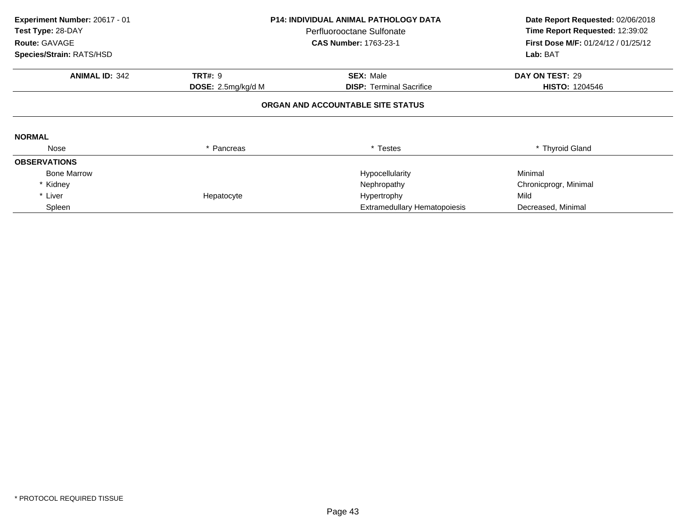| Experiment Number: 20617 - 01<br>Test Type: 28-DAY<br>Route: GAVAGE<br>Species/Strain: RATS/HSD | <b>P14: INDIVIDUAL ANIMAL PATHOLOGY DATA</b><br>Perfluorooctane Sulfonate<br><b>CAS Number: 1763-23-1</b> |                                     |                       |  | Date Report Requested: 02/06/2018<br>Time Report Requested: 12:39:02<br>First Dose M/F: 01/24/12 / 01/25/12<br>Lab: BAT |
|-------------------------------------------------------------------------------------------------|-----------------------------------------------------------------------------------------------------------|-------------------------------------|-----------------------|--|-------------------------------------------------------------------------------------------------------------------------|
|                                                                                                 |                                                                                                           |                                     |                       |  |                                                                                                                         |
| <b>ANIMAL ID: 342</b>                                                                           | <b>TRT#: 9</b>                                                                                            | <b>SEX: Male</b>                    | DAY ON TEST: 29       |  |                                                                                                                         |
|                                                                                                 | DOSE: 2.5mg/kg/d M                                                                                        | <b>DISP:</b> Terminal Sacrifice     | <b>HISTO: 1204546</b> |  |                                                                                                                         |
| <b>NORMAL</b>                                                                                   |                                                                                                           | ORGAN AND ACCOUNTABLE SITE STATUS   |                       |  |                                                                                                                         |
| Nose                                                                                            | * Pancreas                                                                                                | * Testes                            | * Thyroid Gland       |  |                                                                                                                         |
| <b>OBSERVATIONS</b>                                                                             |                                                                                                           |                                     |                       |  |                                                                                                                         |
| <b>Bone Marrow</b>                                                                              |                                                                                                           | Hypocellularity                     | Minimal               |  |                                                                                                                         |
| * Kidney                                                                                        |                                                                                                           | Nephropathy                         | Chronicprogr, Minimal |  |                                                                                                                         |
| * Liver                                                                                         | Hepatocyte                                                                                                | Hypertrophy                         | Mild                  |  |                                                                                                                         |
| Spleen                                                                                          |                                                                                                           | <b>Extramedullary Hematopoiesis</b> | Decreased, Minimal    |  |                                                                                                                         |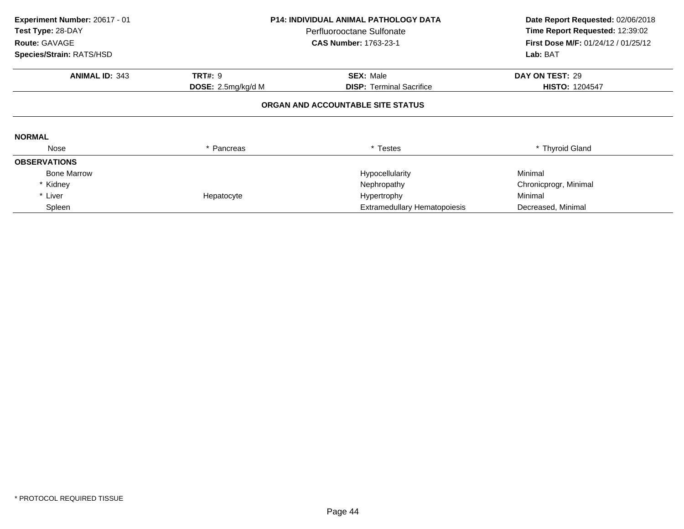| Experiment Number: 20617 - 01<br>Test Type: 28-DAY<br>Route: GAVAGE<br>Species/Strain: RATS/HSD | <b>P14: INDIVIDUAL ANIMAL PATHOLOGY DATA</b><br>Perfluorooctane Sulfonate<br><b>CAS Number: 1763-23-1</b> |                                     |                       |  | Date Report Requested: 02/06/2018<br>Time Report Requested: 12:39:02<br>First Dose M/F: 01/24/12 / 01/25/12<br>Lab: BAT |
|-------------------------------------------------------------------------------------------------|-----------------------------------------------------------------------------------------------------------|-------------------------------------|-----------------------|--|-------------------------------------------------------------------------------------------------------------------------|
|                                                                                                 |                                                                                                           |                                     |                       |  |                                                                                                                         |
| <b>ANIMAL ID: 343</b>                                                                           | <b>TRT#: 9</b>                                                                                            | <b>SEX: Male</b>                    | DAY ON TEST: 29       |  |                                                                                                                         |
|                                                                                                 | DOSE: 2.5mg/kg/d M                                                                                        | <b>DISP:</b> Terminal Sacrifice     | <b>HISTO: 1204547</b> |  |                                                                                                                         |
|                                                                                                 |                                                                                                           | ORGAN AND ACCOUNTABLE SITE STATUS   |                       |  |                                                                                                                         |
| <b>NORMAL</b>                                                                                   |                                                                                                           |                                     |                       |  |                                                                                                                         |
| Nose                                                                                            | * Pancreas                                                                                                | * Testes                            | * Thyroid Gland       |  |                                                                                                                         |
| <b>OBSERVATIONS</b>                                                                             |                                                                                                           |                                     |                       |  |                                                                                                                         |
| <b>Bone Marrow</b>                                                                              |                                                                                                           | Hypocellularity                     | Minimal               |  |                                                                                                                         |
| * Kidney                                                                                        |                                                                                                           | Nephropathy                         | Chronicprogr, Minimal |  |                                                                                                                         |
| * Liver                                                                                         | Hepatocyte                                                                                                | Hypertrophy                         | Minimal               |  |                                                                                                                         |
| Spleen                                                                                          |                                                                                                           | <b>Extramedullary Hematopoiesis</b> | Decreased, Minimal    |  |                                                                                                                         |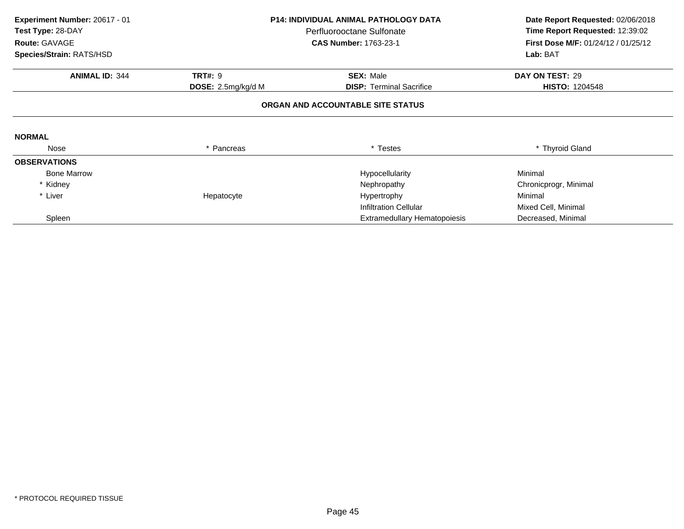| Experiment Number: 20617 - 01                  | <b>P14: INDIVIDUAL ANIMAL PATHOLOGY DATA</b> |                                     | Date Report Requested: 02/06/2018   |
|------------------------------------------------|----------------------------------------------|-------------------------------------|-------------------------------------|
| Test Type: 28-DAY<br>Perfluorooctane Sulfonate |                                              | Time Report Requested: 12:39:02     |                                     |
| Route: GAVAGE                                  |                                              | <b>CAS Number: 1763-23-1</b>        | First Dose M/F: 01/24/12 / 01/25/12 |
| Species/Strain: RATS/HSD                       |                                              |                                     | Lab: BAT                            |
| <b>ANIMAL ID: 344</b>                          | <b>TRT#: 9</b>                               | <b>SEX: Male</b>                    | DAY ON TEST: 29                     |
|                                                | DOSE: 2.5mg/kg/d M                           | <b>DISP: Terminal Sacrifice</b>     | <b>HISTO: 1204548</b>               |
|                                                |                                              | ORGAN AND ACCOUNTABLE SITE STATUS   |                                     |
| <b>NORMAL</b>                                  |                                              |                                     |                                     |
| Nose                                           | * Pancreas                                   | * Testes                            | * Thyroid Gland                     |
| <b>OBSERVATIONS</b>                            |                                              |                                     |                                     |
| <b>Bone Marrow</b>                             |                                              | Hypocellularity                     | Minimal                             |
| * Kidney                                       |                                              | Nephropathy                         | Chronicprogr, Minimal               |
| * Liver                                        | Hepatocyte                                   | Hypertrophy                         | Minimal                             |
|                                                |                                              | <b>Infiltration Cellular</b>        | Mixed Cell, Minimal                 |
| Spleen                                         |                                              | <b>Extramedullary Hematopoiesis</b> | Decreased, Minimal                  |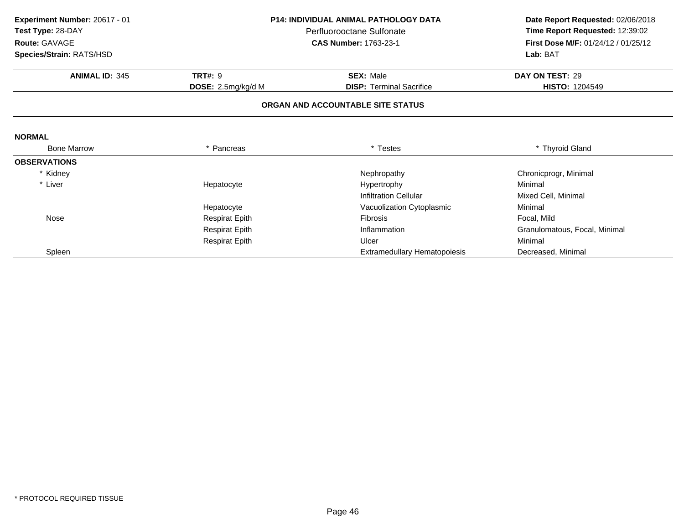| Experiment Number: 20617 - 01 | P14: INDIVIDUAL ANIMAL PATHOLOGY DATA<br>Perfluorooctane Sulfonate |                                   | Date Report Requested: 02/06/2018   |  |
|-------------------------------|--------------------------------------------------------------------|-----------------------------------|-------------------------------------|--|
| Test Type: 28-DAY             |                                                                    |                                   | Time Report Requested: 12:39:02     |  |
| Route: GAVAGE                 |                                                                    | <b>CAS Number: 1763-23-1</b>      | First Dose M/F: 01/24/12 / 01/25/12 |  |
| Species/Strain: RATS/HSD      |                                                                    |                                   | Lab: BAT                            |  |
| <b>ANIMAL ID: 345</b>         | <b>TRT#: 9</b>                                                     | <b>SEX: Male</b>                  | DAY ON TEST: 29                     |  |
|                               | DOSE: 2.5mg/kg/d M                                                 | <b>DISP: Terminal Sacrifice</b>   | <b>HISTO: 1204549</b>               |  |
|                               |                                                                    | ORGAN AND ACCOUNTABLE SITE STATUS |                                     |  |
| <b>NORMAL</b>                 |                                                                    |                                   |                                     |  |
| <b>Bone Marrow</b>            | * Pancreas                                                         | * Testes                          | * Thyroid Gland                     |  |
| <b>OBSERVATIONS</b>           |                                                                    |                                   |                                     |  |
| * Kidney                      |                                                                    | Nephropathy                       | Chronicprogr, Minimal               |  |
| * Liver                       | Hepatocyte                                                         | Hypertrophy                       | Minimal                             |  |
|                               |                                                                    | <b>Infiltration Cellular</b>      | Mixed Cell, Minimal                 |  |
|                               | Hepatocyte                                                         | Vacuolization Cytoplasmic         | Minimal                             |  |
| Nose                          | <b>Respirat Epith</b>                                              | <b>Fibrosis</b>                   | Focal, Mild                         |  |
|                               | <b>Respirat Epith</b>                                              | Inflammation                      | Granulomatous, Focal, Minimal       |  |
|                               | <b>Respirat Epith</b>                                              | Ulcer                             | Minimal                             |  |
| Spleen                        |                                                                    | Extramedullary Hematopoiesis      | Decreased, Minimal                  |  |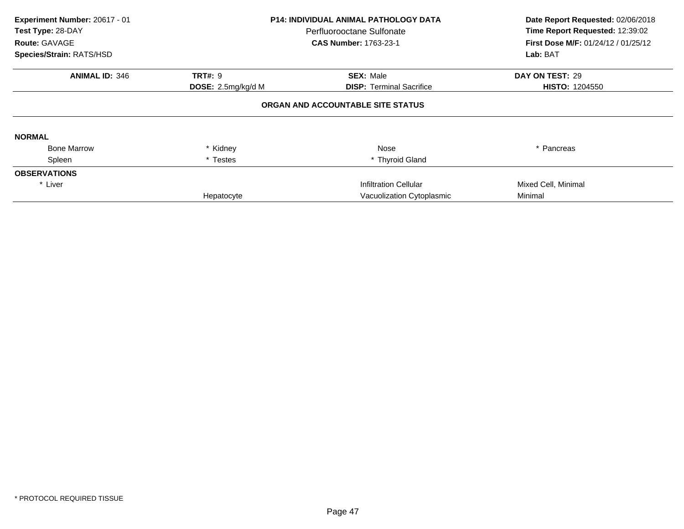| Experiment Number: 20617 - 01<br>Test Type: 28-DAY<br><b>Route: GAVAGE</b><br>Species/Strain: RATS/HSD |                           | <b>P14: INDIVIDUAL ANIMAL PATHOLOGY DATA</b><br>Perfluorooctane Sulfonate<br><b>CAS Number: 1763-23-1</b> | Date Report Requested: 02/06/2018<br>Time Report Requested: 12:39:02<br><b>First Dose M/F: 01/24/12 / 01/25/12</b><br>Lab: BAT |
|--------------------------------------------------------------------------------------------------------|---------------------------|-----------------------------------------------------------------------------------------------------------|--------------------------------------------------------------------------------------------------------------------------------|
|                                                                                                        |                           |                                                                                                           |                                                                                                                                |
| <b>ANIMAL ID: 346</b>                                                                                  | <b>TRT#: 9</b>            | <b>SEX: Male</b>                                                                                          | DAY ON TEST: 29                                                                                                                |
|                                                                                                        | <b>DOSE:</b> 2.5mg/kg/d M | <b>DISP:</b> Terminal Sacrifice                                                                           | <b>HISTO: 1204550</b>                                                                                                          |
|                                                                                                        |                           | ORGAN AND ACCOUNTABLE SITE STATUS                                                                         |                                                                                                                                |
| <b>NORMAL</b>                                                                                          |                           |                                                                                                           |                                                                                                                                |
| <b>Bone Marrow</b>                                                                                     | * Kidney                  | Nose                                                                                                      | * Pancreas                                                                                                                     |
| Spleen                                                                                                 | * Testes                  | * Thyroid Gland                                                                                           |                                                                                                                                |
| <b>OBSERVATIONS</b>                                                                                    |                           |                                                                                                           |                                                                                                                                |
| * Liver                                                                                                |                           | <b>Infiltration Cellular</b>                                                                              | Mixed Cell, Minimal                                                                                                            |
|                                                                                                        | Hepatocyte                | Vacuolization Cytoplasmic                                                                                 | Minimal                                                                                                                        |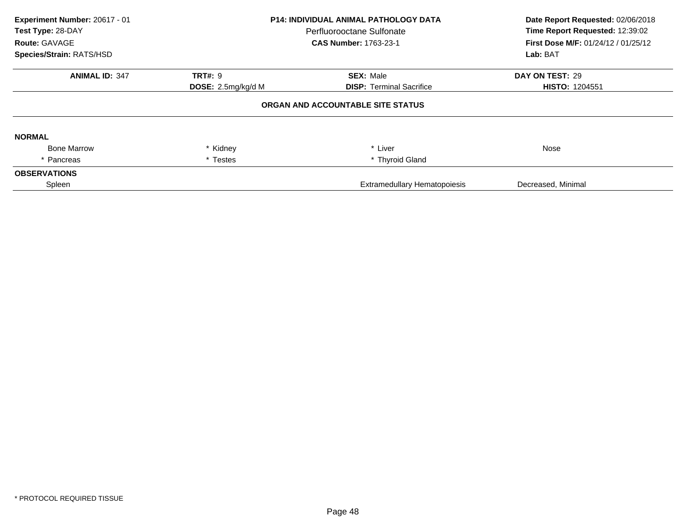| Experiment Number: 20617 - 01<br>Test Type: 28-DAY<br><b>Route: GAVAGE</b><br>Species/Strain: RATS/HSD | <b>P14: INDIVIDUAL ANIMAL PATHOLOGY DATA</b><br>Perfluorooctane Sulfonate<br><b>CAS Number: 1763-23-1</b> |                                     | Date Report Requested: 02/06/2018<br>Time Report Requested: 12:39:02<br><b>First Dose M/F: 01/24/12 / 01/25/12</b><br>Lab: BAT |
|--------------------------------------------------------------------------------------------------------|-----------------------------------------------------------------------------------------------------------|-------------------------------------|--------------------------------------------------------------------------------------------------------------------------------|
| <b>ANIMAL ID: 347</b>                                                                                  | <b>TRT#: 9</b>                                                                                            | <b>SEX: Male</b>                    | DAY ON TEST: 29                                                                                                                |
|                                                                                                        | DOSE: 2.5mg/kg/d M                                                                                        | <b>DISP: Terminal Sacrifice</b>     | <b>HISTO: 1204551</b>                                                                                                          |
|                                                                                                        |                                                                                                           | ORGAN AND ACCOUNTABLE SITE STATUS   |                                                                                                                                |
| <b>NORMAL</b>                                                                                          |                                                                                                           |                                     |                                                                                                                                |
| <b>Bone Marrow</b>                                                                                     | * Kidney                                                                                                  | * Liver                             | Nose                                                                                                                           |
| * Pancreas                                                                                             | * Testes                                                                                                  | * Thyroid Gland                     |                                                                                                                                |
| <b>OBSERVATIONS</b>                                                                                    |                                                                                                           |                                     |                                                                                                                                |
| Spleen                                                                                                 |                                                                                                           | <b>Extramedullary Hematopoiesis</b> | Decreased, Minimal                                                                                                             |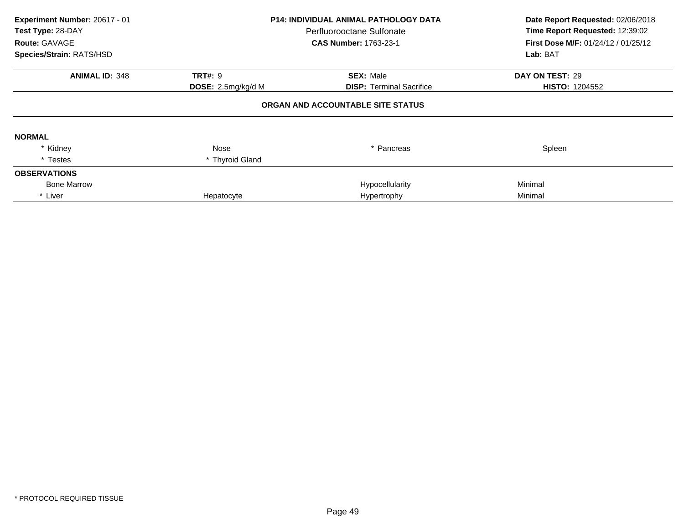| Experiment Number: 20617 - 01<br>Test Type: 28-DAY<br>Route: GAVAGE<br>Species/Strain: RATS/HSD | <b>P14: INDIVIDUAL ANIMAL PATHOLOGY DATA</b><br>Perfluorooctane Sulfonate<br><b>CAS Number: 1763-23-1</b> |                                   | Date Report Requested: 02/06/2018<br>Time Report Requested: 12:39:02<br>First Dose M/F: 01/24/12 / 01/25/12<br>Lab: BAT |
|-------------------------------------------------------------------------------------------------|-----------------------------------------------------------------------------------------------------------|-----------------------------------|-------------------------------------------------------------------------------------------------------------------------|
| <b>ANIMAL ID: 348</b>                                                                           | <b>TRT#: 9</b>                                                                                            | <b>SEX: Male</b>                  | DAY ON TEST: 29                                                                                                         |
|                                                                                                 | <b>DOSE:</b> 2.5mg/kg/d M                                                                                 | <b>DISP:</b> Terminal Sacrifice   | <b>HISTO: 1204552</b>                                                                                                   |
|                                                                                                 |                                                                                                           | ORGAN AND ACCOUNTABLE SITE STATUS |                                                                                                                         |
| <b>NORMAL</b>                                                                                   |                                                                                                           |                                   |                                                                                                                         |
| * Kidney                                                                                        | Nose                                                                                                      | * Pancreas                        | Spleen                                                                                                                  |
| * Testes                                                                                        | * Thyroid Gland                                                                                           |                                   |                                                                                                                         |
| <b>OBSERVATIONS</b>                                                                             |                                                                                                           |                                   |                                                                                                                         |
| <b>Bone Marrow</b>                                                                              |                                                                                                           | Hypocellularity                   | Minimal                                                                                                                 |
| * Liver                                                                                         | Hepatocyte                                                                                                | Hypertrophy                       | Minimal                                                                                                                 |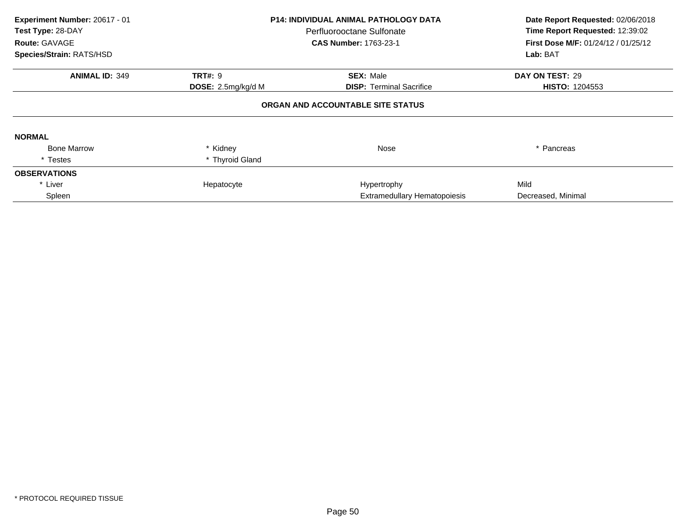| Experiment Number: 20617 - 01<br>Test Type: 28-DAY<br>Route: GAVAGE | <b>P14: INDIVIDUAL ANIMAL PATHOLOGY DATA</b><br>Perfluorooctane Sulfonate<br><b>CAS Number: 1763-23-1</b> |                                   | Date Report Requested: 02/06/2018<br>Time Report Requested: 12:39:02<br>First Dose M/F: 01/24/12 / 01/25/12 |
|---------------------------------------------------------------------|-----------------------------------------------------------------------------------------------------------|-----------------------------------|-------------------------------------------------------------------------------------------------------------|
| Species/Strain: RATS/HSD                                            |                                                                                                           |                                   | Lab: BAT                                                                                                    |
| <b>ANIMAL ID: 349</b>                                               | <b>TRT#: 9</b>                                                                                            | <b>SEX: Male</b>                  | DAY ON TEST: 29                                                                                             |
|                                                                     | DOSE: 2.5mg/kg/d M                                                                                        | <b>DISP:</b> Terminal Sacrifice   | <b>HISTO: 1204553</b>                                                                                       |
|                                                                     |                                                                                                           | ORGAN AND ACCOUNTABLE SITE STATUS |                                                                                                             |
| <b>NORMAL</b>                                                       |                                                                                                           |                                   |                                                                                                             |
| <b>Bone Marrow</b>                                                  | * Kidney                                                                                                  | Nose                              | * Pancreas                                                                                                  |
| * Testes                                                            | * Thyroid Gland                                                                                           |                                   |                                                                                                             |
| <b>OBSERVATIONS</b>                                                 |                                                                                                           |                                   |                                                                                                             |
| * Liver                                                             | Hepatocyte                                                                                                | Hypertrophy                       | Mild                                                                                                        |
| Spleen                                                              |                                                                                                           | Extramedullary Hematopoiesis      | Decreased, Minimal                                                                                          |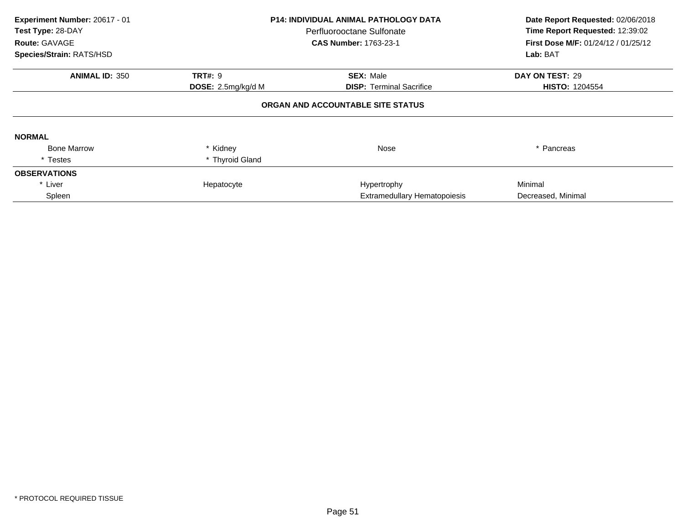| Experiment Number: 20617 - 01<br>Test Type: 28-DAY<br>Route: GAVAGE | <b>P14: INDIVIDUAL ANIMAL PATHOLOGY DATA</b><br>Perfluorooctane Sulfonate<br><b>CAS Number: 1763-23-1</b> |                                   | Date Report Requested: 02/06/2018<br>Time Report Requested: 12:39:02<br>First Dose M/F: 01/24/12 / 01/25/12 |
|---------------------------------------------------------------------|-----------------------------------------------------------------------------------------------------------|-----------------------------------|-------------------------------------------------------------------------------------------------------------|
| Species/Strain: RATS/HSD                                            |                                                                                                           |                                   | Lab: BAT                                                                                                    |
| <b>ANIMAL ID: 350</b>                                               | <b>TRT#: 9</b>                                                                                            | <b>SEX: Male</b>                  | DAY ON TEST: 29                                                                                             |
|                                                                     | DOSE: 2.5mg/kg/d M                                                                                        | <b>DISP:</b> Terminal Sacrifice   | <b>HISTO: 1204554</b>                                                                                       |
|                                                                     |                                                                                                           | ORGAN AND ACCOUNTABLE SITE STATUS |                                                                                                             |
| <b>NORMAL</b>                                                       |                                                                                                           |                                   |                                                                                                             |
| <b>Bone Marrow</b>                                                  | * Kidney                                                                                                  | Nose                              | * Pancreas                                                                                                  |
| * Testes                                                            | * Thyroid Gland                                                                                           |                                   |                                                                                                             |
| <b>OBSERVATIONS</b>                                                 |                                                                                                           |                                   |                                                                                                             |
| * Liver                                                             | Hepatocyte                                                                                                | Hypertrophy                       | Minimal                                                                                                     |
| Spleen                                                              |                                                                                                           | Extramedullary Hematopoiesis      | Decreased, Minimal                                                                                          |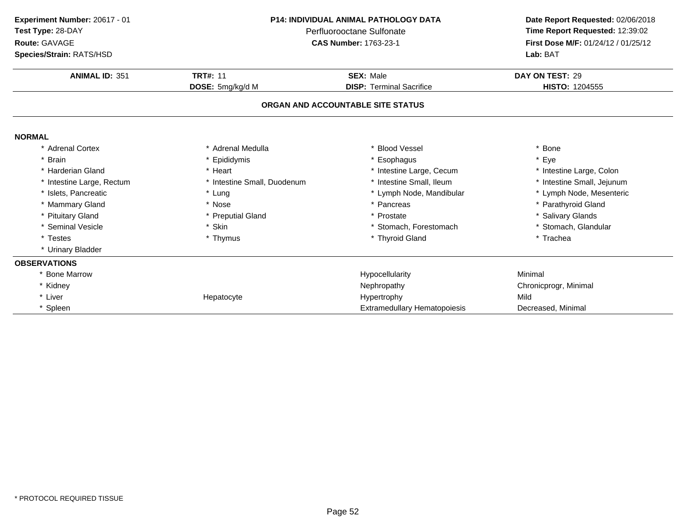| Experiment Number: 20617 - 01<br>Test Type: 28-DAY<br>Route: GAVAGE<br>Species/Strain: RATS/HSD | <b>P14: INDIVIDUAL ANIMAL PATHOLOGY DATA</b><br>Perfluorooctane Sulfonate<br><b>CAS Number: 1763-23-1</b> |                                                                      | Date Report Requested: 02/06/2018<br>Time Report Requested: 12:39:02<br>First Dose M/F: 01/24/12 / 01/25/12<br>Lab: BAT |  |
|-------------------------------------------------------------------------------------------------|-----------------------------------------------------------------------------------------------------------|----------------------------------------------------------------------|-------------------------------------------------------------------------------------------------------------------------|--|
| <b>ANIMAL ID: 351</b>                                                                           | <b>TRT#: 11</b>                                                                                           | <b>SEX: Male</b>                                                     | DAY ON TEST: 29                                                                                                         |  |
|                                                                                                 | DOSE: 5mg/kg/d M                                                                                          | <b>DISP: Terminal Sacrifice</b><br>ORGAN AND ACCOUNTABLE SITE STATUS | HISTO: 1204555                                                                                                          |  |
|                                                                                                 |                                                                                                           |                                                                      |                                                                                                                         |  |
| <b>NORMAL</b>                                                                                   |                                                                                                           |                                                                      |                                                                                                                         |  |
| * Adrenal Cortex                                                                                | * Adrenal Medulla                                                                                         | * Blood Vessel                                                       | * Bone                                                                                                                  |  |
| * Brain                                                                                         | Epididymis                                                                                                | Esophagus                                                            | * Eye                                                                                                                   |  |
| * Harderian Gland                                                                               | * Heart                                                                                                   | * Intestine Large, Cecum                                             | * Intestine Large, Colon                                                                                                |  |
| * Intestine Large, Rectum                                                                       | * Intestine Small, Duodenum                                                                               | * Intestine Small, Ileum                                             | * Intestine Small, Jejunum                                                                                              |  |
| * Islets, Pancreatic                                                                            | * Lung                                                                                                    | * Lymph Node, Mandibular                                             | * Lymph Node, Mesenteric                                                                                                |  |
| * Mammary Gland                                                                                 | * Nose                                                                                                    | * Pancreas                                                           | * Parathyroid Gland                                                                                                     |  |
| * Pituitary Gland                                                                               | * Preputial Gland                                                                                         | * Prostate                                                           | * Salivary Glands                                                                                                       |  |
| * Seminal Vesicle                                                                               | * Skin                                                                                                    | * Stomach, Forestomach                                               | * Stomach, Glandular                                                                                                    |  |
| * Testes                                                                                        | * Thymus                                                                                                  | * Thyroid Gland                                                      | * Trachea                                                                                                               |  |
| * Urinary Bladder                                                                               |                                                                                                           |                                                                      |                                                                                                                         |  |
| <b>OBSERVATIONS</b>                                                                             |                                                                                                           |                                                                      |                                                                                                                         |  |
| <b>Bone Marrow</b>                                                                              |                                                                                                           | Hypocellularity                                                      | Minimal                                                                                                                 |  |
| * Kidney                                                                                        |                                                                                                           | Nephropathy                                                          | Chronicprogr, Minimal                                                                                                   |  |
| * Liver                                                                                         | Hepatocyte                                                                                                | Hypertrophy                                                          | Mild                                                                                                                    |  |
| * Spleen                                                                                        |                                                                                                           | <b>Extramedullary Hematopoiesis</b>                                  | Decreased, Minimal                                                                                                      |  |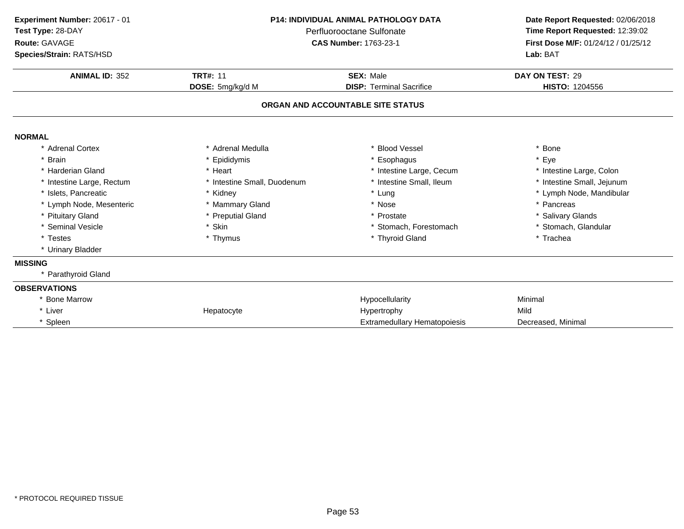| Experiment Number: 20617 - 01<br>Test Type: 28-DAY<br>Route: GAVAGE<br>Species/Strain: RATS/HSD | <b>P14: INDIVIDUAL ANIMAL PATHOLOGY DATA</b><br>Perfluorooctane Sulfonate<br><b>CAS Number: 1763-23-1</b> |                                     | Date Report Requested: 02/06/2018<br>Time Report Requested: 12:39:02<br>First Dose M/F: 01/24/12 / 01/25/12<br>Lab: BAT |  |
|-------------------------------------------------------------------------------------------------|-----------------------------------------------------------------------------------------------------------|-------------------------------------|-------------------------------------------------------------------------------------------------------------------------|--|
| <b>ANIMAL ID: 352</b>                                                                           | <b>TRT#: 11</b>                                                                                           | <b>SEX: Male</b>                    | DAY ON TEST: 29                                                                                                         |  |
|                                                                                                 | DOSE: 5mg/kg/d M                                                                                          | <b>DISP: Terminal Sacrifice</b>     | HISTO: 1204556                                                                                                          |  |
|                                                                                                 |                                                                                                           | ORGAN AND ACCOUNTABLE SITE STATUS   |                                                                                                                         |  |
| <b>NORMAL</b>                                                                                   |                                                                                                           |                                     |                                                                                                                         |  |
| * Adrenal Cortex                                                                                | * Adrenal Medulla                                                                                         | * Blood Vessel                      | * Bone                                                                                                                  |  |
| * Brain                                                                                         | * Epididymis                                                                                              | * Esophagus                         | * Eye                                                                                                                   |  |
| * Harderian Gland                                                                               | * Heart                                                                                                   | * Intestine Large, Cecum            | * Intestine Large, Colon                                                                                                |  |
| * Intestine Large, Rectum                                                                       | * Intestine Small, Duodenum                                                                               | * Intestine Small, Ileum            | * Intestine Small, Jejunum                                                                                              |  |
| * Islets, Pancreatic                                                                            | * Kidney                                                                                                  | * Lung                              | * Lymph Node, Mandibular                                                                                                |  |
| * Lymph Node, Mesenteric                                                                        | * Mammary Gland                                                                                           | * Nose                              | * Pancreas                                                                                                              |  |
| * Pituitary Gland                                                                               | * Preputial Gland                                                                                         | * Prostate                          | * Salivary Glands                                                                                                       |  |
| * Seminal Vesicle                                                                               | * Skin                                                                                                    | * Stomach, Forestomach              | * Stomach, Glandular                                                                                                    |  |
| * Testes                                                                                        | * Thymus                                                                                                  | * Thyroid Gland                     | * Trachea                                                                                                               |  |
| * Urinary Bladder                                                                               |                                                                                                           |                                     |                                                                                                                         |  |
| <b>MISSING</b>                                                                                  |                                                                                                           |                                     |                                                                                                                         |  |
| * Parathyroid Gland                                                                             |                                                                                                           |                                     |                                                                                                                         |  |
| <b>OBSERVATIONS</b>                                                                             |                                                                                                           |                                     |                                                                                                                         |  |
| <b>Bone Marrow</b>                                                                              |                                                                                                           | Hypocellularity                     | Minimal                                                                                                                 |  |
| * Liver                                                                                         | Hepatocyte                                                                                                | Hypertrophy                         | Mild                                                                                                                    |  |
| * Spleen                                                                                        |                                                                                                           | <b>Extramedullary Hematopoiesis</b> | Decreased, Minimal                                                                                                      |  |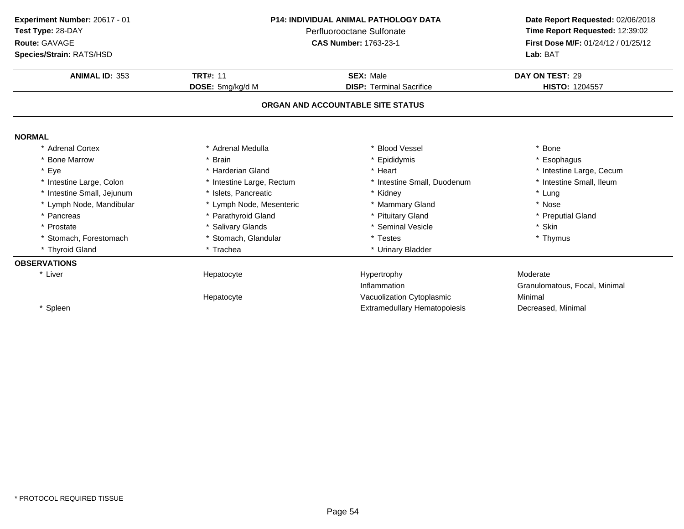| P14: INDIVIDUAL ANIMAL PATHOLOGY DATA<br>Experiment Number: 20617 - 01 |                           | Date Report Requested: 02/06/2018   |                                     |
|------------------------------------------------------------------------|---------------------------|-------------------------------------|-------------------------------------|
| Test Type: 28-DAY<br>Perfluorooctane Sulfonate                         |                           | Time Report Requested: 12:39:02     |                                     |
| Route: GAVAGE                                                          |                           | <b>CAS Number: 1763-23-1</b>        | First Dose M/F: 01/24/12 / 01/25/12 |
| Species/Strain: RATS/HSD                                               |                           |                                     | Lab: BAT                            |
| <b>ANIMAL ID: 353</b>                                                  | <b>TRT#: 11</b>           | <b>SEX: Male</b>                    | DAY ON TEST: 29                     |
|                                                                        | DOSE: 5mg/kg/d M          | <b>DISP: Terminal Sacrifice</b>     | <b>HISTO: 1204557</b>               |
|                                                                        |                           | ORGAN AND ACCOUNTABLE SITE STATUS   |                                     |
| <b>NORMAL</b>                                                          |                           |                                     |                                     |
| * Adrenal Cortex                                                       | * Adrenal Medulla         | * Blood Vessel                      | * Bone                              |
| * Bone Marrow                                                          | <b>Brain</b>              | * Epididymis                        | * Esophagus                         |
| * Eye                                                                  | * Harderian Gland         | * Heart                             | * Intestine Large, Cecum            |
| * Intestine Large, Colon                                               | * Intestine Large, Rectum | * Intestine Small, Duodenum         | * Intestine Small, Ileum            |
| * Intestine Small, Jejunum                                             | * Islets. Pancreatic      | * Kidney                            | * Lung                              |
| * Lymph Node, Mandibular                                               | * Lymph Node, Mesenteric  | * Mammary Gland                     | * Nose                              |
| * Pancreas                                                             | * Parathyroid Gland       | * Pituitary Gland                   | * Preputial Gland                   |
| * Prostate                                                             | * Salivary Glands         | * Seminal Vesicle                   | * Skin                              |
| * Stomach, Forestomach                                                 | * Stomach, Glandular      | * Testes                            | * Thymus                            |
| * Thyroid Gland                                                        | * Trachea                 | * Urinary Bladder                   |                                     |
| <b>OBSERVATIONS</b>                                                    |                           |                                     |                                     |
| * Liver                                                                | Hepatocyte                | Hypertrophy                         | Moderate                            |
|                                                                        |                           | Inflammation                        | Granulomatous, Focal, Minimal       |
|                                                                        | Hepatocyte                | Vacuolization Cytoplasmic           | Minimal                             |
| * Spleen                                                               |                           | <b>Extramedullary Hematopoiesis</b> | Decreased, Minimal                  |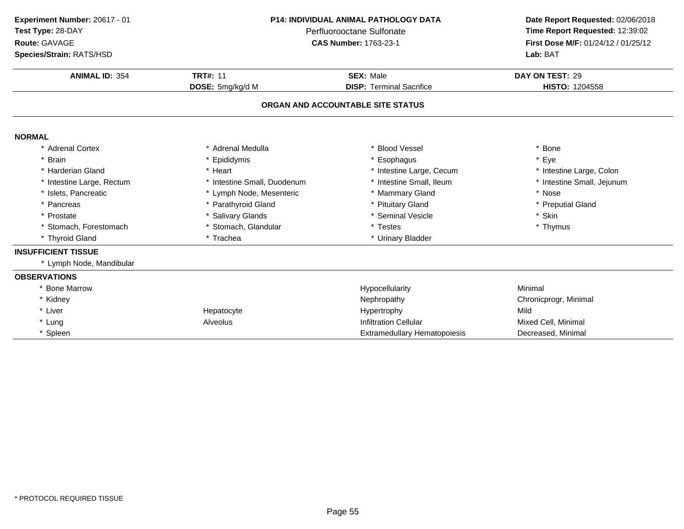| Experiment Number: 20617 - 01<br>Test Type: 28-DAY<br>Route: GAVAGE<br>Species/Strain: RATS/HSD | <b>P14: INDIVIDUAL ANIMAL PATHOLOGY DATA</b><br>Perfluorooctane Sulfonate<br><b>CAS Number: 1763-23-1</b><br><b>TRT#: 11</b><br><b>SEX: Male</b><br>DOSE: 5mg/kg/d M<br><b>DISP: Terminal Sacrifice</b> |                                     | Date Report Requested: 02/06/2018<br>Time Report Requested: 12:39:02<br>First Dose M/F: 01/24/12 / 01/25/12<br>Lab: BAT<br>DAY ON TEST: 29<br>HISTO: 1204558 |
|-------------------------------------------------------------------------------------------------|---------------------------------------------------------------------------------------------------------------------------------------------------------------------------------------------------------|-------------------------------------|--------------------------------------------------------------------------------------------------------------------------------------------------------------|
| <b>ANIMAL ID: 354</b>                                                                           |                                                                                                                                                                                                         |                                     |                                                                                                                                                              |
|                                                                                                 |                                                                                                                                                                                                         | ORGAN AND ACCOUNTABLE SITE STATUS   |                                                                                                                                                              |
| <b>NORMAL</b>                                                                                   |                                                                                                                                                                                                         |                                     |                                                                                                                                                              |
| * Adrenal Cortex                                                                                | Adrenal Medulla                                                                                                                                                                                         | <b>Blood Vessel</b>                 | Bone                                                                                                                                                         |
| $\star$<br><b>Brain</b>                                                                         | * Epididymis                                                                                                                                                                                            | Esophagus                           | * Eye                                                                                                                                                        |
| * Harderian Gland                                                                               | Heart                                                                                                                                                                                                   | * Intestine Large, Cecum            | * Intestine Large, Colon                                                                                                                                     |
| * Intestine Large, Rectum                                                                       | * Intestine Small, Duodenum                                                                                                                                                                             | * Intestine Small, Ileum            | * Intestine Small, Jejunum                                                                                                                                   |
| * Islets, Pancreatic                                                                            | * Lymph Node, Mesenteric                                                                                                                                                                                | <b>Mammary Gland</b>                | * Nose                                                                                                                                                       |
| * Pancreas                                                                                      | * Parathyroid Gland                                                                                                                                                                                     | * Pituitary Gland                   | * Preputial Gland                                                                                                                                            |
| * Prostate                                                                                      | <b>Salivary Glands</b>                                                                                                                                                                                  | * Seminal Vesicle                   | * Skin                                                                                                                                                       |
| * Stomach, Forestomach                                                                          | Stomach, Glandular                                                                                                                                                                                      | * Testes                            | * Thymus                                                                                                                                                     |
| * Thyroid Gland                                                                                 | * Trachea                                                                                                                                                                                               | * Urinary Bladder                   |                                                                                                                                                              |
| <b>INSUFFICIENT TISSUE</b>                                                                      |                                                                                                                                                                                                         |                                     |                                                                                                                                                              |
| * Lymph Node, Mandibular                                                                        |                                                                                                                                                                                                         |                                     |                                                                                                                                                              |
| <b>OBSERVATIONS</b>                                                                             |                                                                                                                                                                                                         |                                     |                                                                                                                                                              |
| * Bone Marrow                                                                                   |                                                                                                                                                                                                         | Hypocellularity                     | Minimal                                                                                                                                                      |
| * Kidney                                                                                        |                                                                                                                                                                                                         | Nephropathy                         | Chronicprogr, Minimal                                                                                                                                        |
| * Liver                                                                                         | Hepatocyte                                                                                                                                                                                              | Hypertrophy                         | Mild                                                                                                                                                         |
| * Lung                                                                                          | Alveolus                                                                                                                                                                                                | <b>Infiltration Cellular</b>        | Mixed Cell, Minimal                                                                                                                                          |
| * Spleen                                                                                        |                                                                                                                                                                                                         | <b>Extramedullary Hematopoiesis</b> | Decreased, Minimal                                                                                                                                           |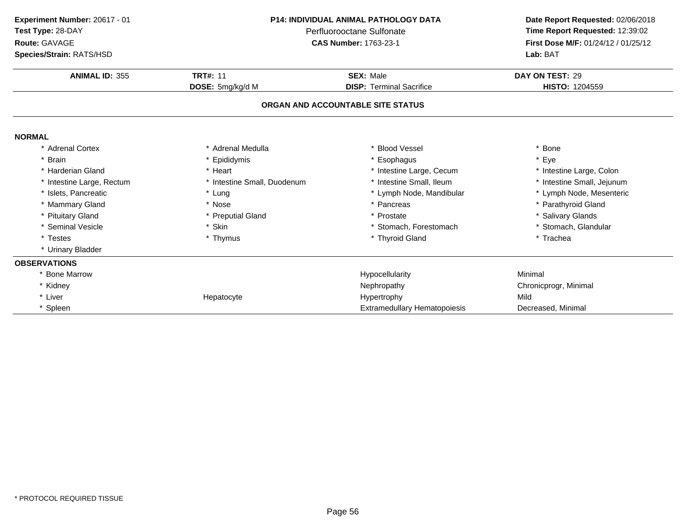| Experiment Number: 20617 - 01<br>Test Type: 28-DAY<br>Route: GAVAGE<br>Species/Strain: RATS/HSD | <b>P14: INDIVIDUAL ANIMAL PATHOLOGY DATA</b><br>Perfluorooctane Sulfonate<br><b>CAS Number: 1763-23-1</b> |                                     | Date Report Requested: 02/06/2018<br>Time Report Requested: 12:39:02<br>First Dose M/F: 01/24/12 / 01/25/12<br>Lab: BAT |  |
|-------------------------------------------------------------------------------------------------|-----------------------------------------------------------------------------------------------------------|-------------------------------------|-------------------------------------------------------------------------------------------------------------------------|--|
| <b>ANIMAL ID: 355</b>                                                                           | <b>TRT#: 11</b>                                                                                           | <b>SEX: Male</b>                    | DAY ON TEST: 29                                                                                                         |  |
|                                                                                                 | DOSE: 5mg/kg/d M                                                                                          | <b>DISP: Terminal Sacrifice</b>     | HISTO: 1204559                                                                                                          |  |
|                                                                                                 |                                                                                                           | ORGAN AND ACCOUNTABLE SITE STATUS   |                                                                                                                         |  |
| <b>NORMAL</b>                                                                                   |                                                                                                           |                                     |                                                                                                                         |  |
| * Adrenal Cortex                                                                                | * Adrenal Medulla                                                                                         | * Blood Vessel                      | * Bone                                                                                                                  |  |
| <b>Brain</b>                                                                                    | * Epididymis                                                                                              | * Esophagus                         | * Eye                                                                                                                   |  |
| * Harderian Gland                                                                               | * Heart                                                                                                   | * Intestine Large, Cecum            | * Intestine Large, Colon                                                                                                |  |
| * Intestine Large, Rectum                                                                       | * Intestine Small, Duodenum                                                                               | * Intestine Small, Ileum            | * Intestine Small, Jejunum                                                                                              |  |
| * Islets, Pancreatic                                                                            | * Lung                                                                                                    | * Lymph Node, Mandibular            | * Lymph Node, Mesenteric                                                                                                |  |
| * Mammary Gland                                                                                 | * Nose                                                                                                    | * Pancreas                          | * Parathyroid Gland                                                                                                     |  |
| * Pituitary Gland                                                                               | * Preputial Gland                                                                                         | * Prostate                          | * Salivary Glands                                                                                                       |  |
| * Seminal Vesicle                                                                               | * Skin                                                                                                    | * Stomach, Forestomach              | * Stomach, Glandular                                                                                                    |  |
| * Testes                                                                                        | * Thymus                                                                                                  | * Thyroid Gland                     | * Trachea                                                                                                               |  |
| * Urinary Bladder                                                                               |                                                                                                           |                                     |                                                                                                                         |  |
| <b>OBSERVATIONS</b>                                                                             |                                                                                                           |                                     |                                                                                                                         |  |
| * Bone Marrow                                                                                   |                                                                                                           | Hypocellularity                     | Minimal                                                                                                                 |  |
| * Kidney                                                                                        |                                                                                                           | Nephropathy                         | Chronicprogr, Minimal                                                                                                   |  |
| * Liver                                                                                         | Hepatocyte                                                                                                | Hypertrophy                         | Mild                                                                                                                    |  |
| * Spleen                                                                                        |                                                                                                           | <b>Extramedullary Hematopoiesis</b> | Decreased, Minimal                                                                                                      |  |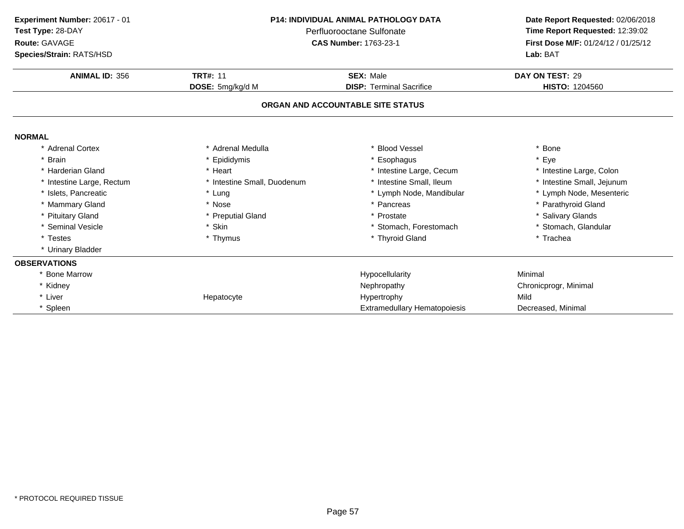| Experiment Number: 20617 - 01<br>Test Type: 28-DAY |                             | <b>P14: INDIVIDUAL ANIMAL PATHOLOGY DATA</b><br>Perfluorooctane Sulfonate | Date Report Requested: 02/06/2018<br>Time Report Requested: 12:39:02 |
|----------------------------------------------------|-----------------------------|---------------------------------------------------------------------------|----------------------------------------------------------------------|
| Route: GAVAGE                                      |                             | <b>CAS Number: 1763-23-1</b>                                              | First Dose M/F: 01/24/12 / 01/25/12                                  |
| Species/Strain: RATS/HSD                           |                             |                                                                           | Lab: BAT                                                             |
| <b>ANIMAL ID: 356</b>                              | <b>TRT#: 11</b>             | <b>SEX: Male</b>                                                          | DAY ON TEST: 29                                                      |
|                                                    | DOSE: 5mg/kg/d M            | <b>DISP: Terminal Sacrifice</b>                                           | <b>HISTO: 1204560</b>                                                |
|                                                    |                             | ORGAN AND ACCOUNTABLE SITE STATUS                                         |                                                                      |
| <b>NORMAL</b>                                      |                             |                                                                           |                                                                      |
| * Adrenal Cortex                                   | * Adrenal Medulla           | * Blood Vessel                                                            | * Bone                                                               |
| * Brain                                            | Epididymis                  | Esophagus                                                                 | * Eye                                                                |
| * Harderian Gland                                  | * Heart                     | * Intestine Large, Cecum                                                  | * Intestine Large, Colon                                             |
| * Intestine Large, Rectum                          | * Intestine Small, Duodenum | * Intestine Small, Ileum                                                  | * Intestine Small, Jejunum                                           |
| * Islets, Pancreatic                               | * Lung                      | * Lymph Node, Mandibular                                                  | * Lymph Node, Mesenteric                                             |
| * Mammary Gland                                    | * Nose                      | * Pancreas                                                                | * Parathyroid Gland                                                  |
| * Pituitary Gland                                  | * Preputial Gland           | * Prostate                                                                | * Salivary Glands                                                    |
| * Seminal Vesicle                                  | * Skin                      | * Stomach, Forestomach                                                    | * Stomach, Glandular                                                 |
| * Testes                                           | * Thymus                    | * Thyroid Gland                                                           | * Trachea                                                            |
| * Urinary Bladder                                  |                             |                                                                           |                                                                      |
| <b>OBSERVATIONS</b>                                |                             |                                                                           |                                                                      |
| <b>Bone Marrow</b>                                 |                             | Hypocellularity                                                           | Minimal                                                              |
| * Kidney                                           |                             | Nephropathy                                                               | Chronicprogr, Minimal                                                |
| * Liver                                            | Hepatocyte                  | Hypertrophy                                                               | Mild                                                                 |
| * Spleen                                           |                             | Extramedullary Hematopoiesis                                              | Decreased, Minimal                                                   |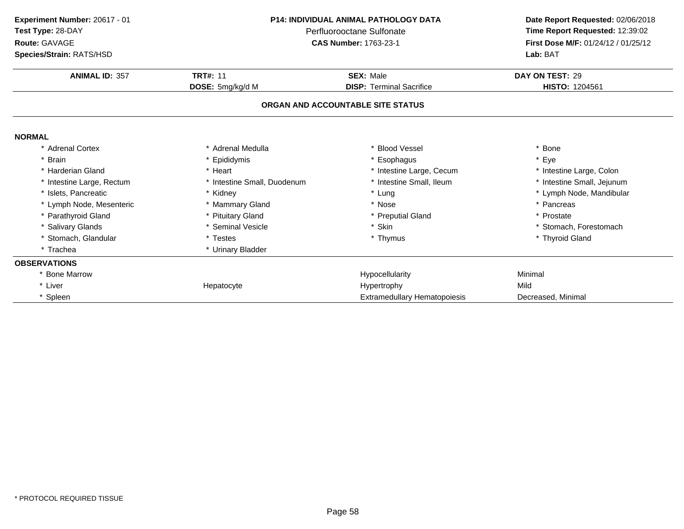| Experiment Number: 20617 - 01<br>Test Type: 28-DAY<br>Route: GAVAGE<br>Species/Strain: RATS/HSD | <b>P14: INDIVIDUAL ANIMAL PATHOLOGY DATA</b><br>Perfluorooctane Sulfonate<br><b>CAS Number: 1763-23-1</b> |                                     | Date Report Requested: 02/06/2018<br>Time Report Requested: 12:39:02<br>First Dose M/F: 01/24/12 / 01/25/12<br>Lab: BAT |  |
|-------------------------------------------------------------------------------------------------|-----------------------------------------------------------------------------------------------------------|-------------------------------------|-------------------------------------------------------------------------------------------------------------------------|--|
| <b>ANIMAL ID: 357</b>                                                                           | <b>TRT#: 11</b>                                                                                           | <b>SEX: Male</b>                    | DAY ON TEST: 29                                                                                                         |  |
|                                                                                                 | DOSE: 5mg/kg/d M                                                                                          | <b>DISP: Terminal Sacrifice</b>     | HISTO: 1204561                                                                                                          |  |
|                                                                                                 |                                                                                                           | ORGAN AND ACCOUNTABLE SITE STATUS   |                                                                                                                         |  |
| <b>NORMAL</b>                                                                                   |                                                                                                           |                                     |                                                                                                                         |  |
| * Adrenal Cortex                                                                                | * Adrenal Medulla                                                                                         | <b>Blood Vessel</b>                 | * Bone                                                                                                                  |  |
| * Brain                                                                                         | * Epididymis                                                                                              | * Esophagus                         | * Eye                                                                                                                   |  |
| * Harderian Gland                                                                               | * Heart                                                                                                   | * Intestine Large, Cecum            | * Intestine Large, Colon                                                                                                |  |
| * Intestine Large, Rectum                                                                       | * Intestine Small, Duodenum                                                                               | * Intestine Small, Ileum            | * Intestine Small, Jejunum                                                                                              |  |
| * Islets, Pancreatic                                                                            | * Kidney                                                                                                  | * Lung                              | * Lymph Node, Mandibular                                                                                                |  |
| * Lymph Node, Mesenteric                                                                        | * Mammary Gland                                                                                           | * Nose                              | * Pancreas                                                                                                              |  |
| * Parathyroid Gland                                                                             | * Pituitary Gland                                                                                         | * Preputial Gland                   | * Prostate                                                                                                              |  |
| * Salivary Glands                                                                               | * Seminal Vesicle                                                                                         | * Skin                              | * Stomach, Forestomach                                                                                                  |  |
| * Stomach, Glandular                                                                            | * Testes                                                                                                  | * Thymus                            | * Thyroid Gland                                                                                                         |  |
| * Trachea                                                                                       | * Urinary Bladder                                                                                         |                                     |                                                                                                                         |  |
| <b>OBSERVATIONS</b>                                                                             |                                                                                                           |                                     |                                                                                                                         |  |
| * Bone Marrow                                                                                   |                                                                                                           | Hypocellularity                     | Minimal                                                                                                                 |  |
| * Liver                                                                                         | Hepatocyte                                                                                                | Hypertrophy                         | Mild                                                                                                                    |  |
| * Spleen                                                                                        |                                                                                                           | <b>Extramedullary Hematopoiesis</b> | Decreased, Minimal                                                                                                      |  |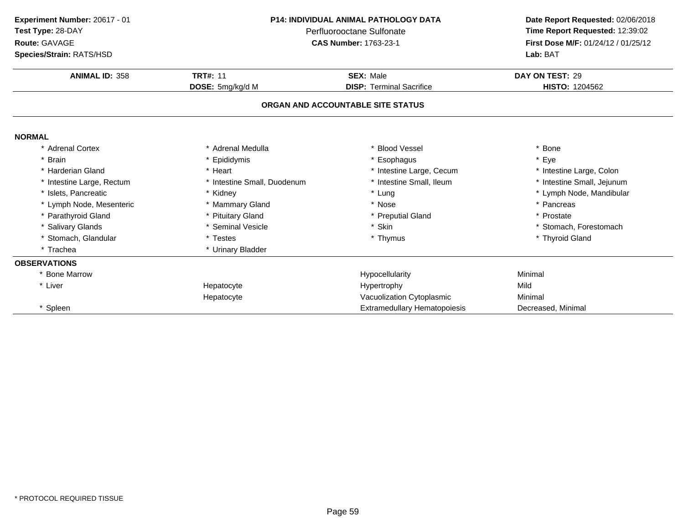| Experiment Number: 20617 - 01<br>Test Type: 28-DAY<br>Route: GAVAGE<br>Species/Strain: RATS/HSD | <b>P14: INDIVIDUAL ANIMAL PATHOLOGY DATA</b><br>Perfluorooctane Sulfonate<br><b>CAS Number: 1763-23-1</b> |                                     | Date Report Requested: 02/06/2018<br>Time Report Requested: 12:39:02<br>First Dose M/F: 01/24/12 / 01/25/12<br>Lab: BAT |
|-------------------------------------------------------------------------------------------------|-----------------------------------------------------------------------------------------------------------|-------------------------------------|-------------------------------------------------------------------------------------------------------------------------|
| <b>ANIMAL ID: 358</b>                                                                           | <b>TRT#: 11</b>                                                                                           | <b>SEX: Male</b>                    | DAY ON TEST: 29                                                                                                         |
|                                                                                                 | DOSE: 5mg/kg/d M                                                                                          | <b>DISP: Terminal Sacrifice</b>     | HISTO: 1204562                                                                                                          |
|                                                                                                 |                                                                                                           | ORGAN AND ACCOUNTABLE SITE STATUS   |                                                                                                                         |
| <b>NORMAL</b>                                                                                   |                                                                                                           |                                     |                                                                                                                         |
| * Adrenal Cortex                                                                                | * Adrenal Medulla                                                                                         | * Blood Vessel                      | * Bone                                                                                                                  |
| * Brain                                                                                         | Epididymis                                                                                                | * Esophagus                         | * Eye                                                                                                                   |
| * Harderian Gland                                                                               | * Heart                                                                                                   | * Intestine Large, Cecum            | * Intestine Large, Colon                                                                                                |
| * Intestine Large, Rectum                                                                       | * Intestine Small, Duodenum                                                                               | * Intestine Small, Ileum            | * Intestine Small, Jejunum                                                                                              |
| * Islets. Pancreatic                                                                            | * Kidney                                                                                                  | * Lung                              | * Lymph Node, Mandibular                                                                                                |
| * Lymph Node, Mesenteric                                                                        | * Mammary Gland                                                                                           | * Nose                              | * Pancreas                                                                                                              |
| * Parathyroid Gland                                                                             | * Pituitary Gland                                                                                         | * Preputial Gland                   | * Prostate                                                                                                              |
| * Salivary Glands                                                                               | * Seminal Vesicle                                                                                         | * Skin                              | * Stomach, Forestomach                                                                                                  |
| * Stomach, Glandular                                                                            | * Testes                                                                                                  | * Thymus                            | * Thyroid Gland                                                                                                         |
| * Trachea                                                                                       | * Urinary Bladder                                                                                         |                                     |                                                                                                                         |
| <b>OBSERVATIONS</b>                                                                             |                                                                                                           |                                     |                                                                                                                         |
| * Bone Marrow                                                                                   |                                                                                                           | Hypocellularity                     | Minimal                                                                                                                 |
| * Liver                                                                                         | Hepatocyte                                                                                                | Hypertrophy                         | Mild                                                                                                                    |
|                                                                                                 | Hepatocyte                                                                                                | Vacuolization Cytoplasmic           | Minimal                                                                                                                 |
| * Spleen                                                                                        |                                                                                                           | <b>Extramedullary Hematopoiesis</b> | Decreased, Minimal                                                                                                      |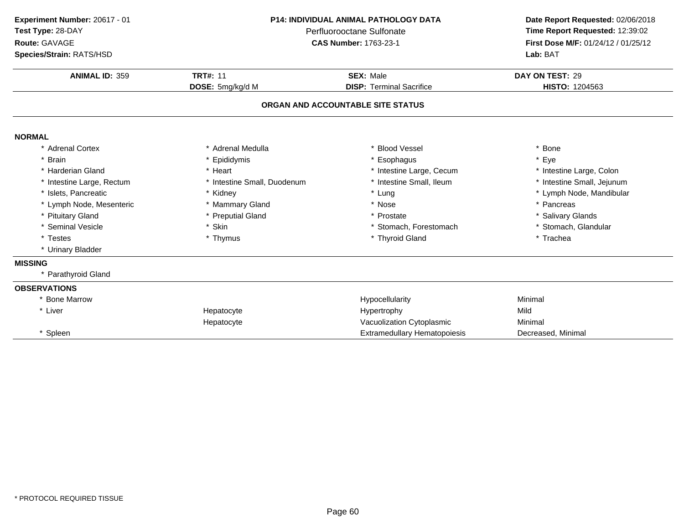| Experiment Number: 20617 - 01<br>Test Type: 28-DAY<br>Route: GAVAGE<br>Species/Strain: RATS/HSD | <b>P14: INDIVIDUAL ANIMAL PATHOLOGY DATA</b><br>Perfluorooctane Sulfonate<br><b>CAS Number: 1763-23-1</b> |                                                     | Date Report Requested: 02/06/2018<br>Time Report Requested: 12:39:02<br>First Dose M/F: 01/24/12 / 01/25/12<br>Lab: BAT |  |  |
|-------------------------------------------------------------------------------------------------|-----------------------------------------------------------------------------------------------------------|-----------------------------------------------------|-------------------------------------------------------------------------------------------------------------------------|--|--|
| <b>ANIMAL ID: 359</b>                                                                           | <b>TRT#: 11</b><br>DOSE: 5mg/kg/d M                                                                       | <b>SEX: Male</b><br><b>DISP: Terminal Sacrifice</b> | DAY ON TEST: 29<br>HISTO: 1204563                                                                                       |  |  |
|                                                                                                 | ORGAN AND ACCOUNTABLE SITE STATUS                                                                         |                                                     |                                                                                                                         |  |  |
| <b>NORMAL</b>                                                                                   |                                                                                                           |                                                     |                                                                                                                         |  |  |
| * Adrenal Cortex                                                                                | * Adrenal Medulla                                                                                         | <b>Blood Vessel</b>                                 | * Bone                                                                                                                  |  |  |
| * Brain                                                                                         | * Epididymis                                                                                              | Esophagus                                           | * Eye                                                                                                                   |  |  |
| * Harderian Gland                                                                               | * Heart                                                                                                   | * Intestine Large, Cecum                            | * Intestine Large, Colon                                                                                                |  |  |
| * Intestine Large, Rectum                                                                       | * Intestine Small, Duodenum                                                                               | * Intestine Small, Ileum                            | * Intestine Small, Jejunum                                                                                              |  |  |
| * Islets, Pancreatic                                                                            | * Kidney                                                                                                  | * Lung                                              | * Lymph Node, Mandibular                                                                                                |  |  |
| * Lymph Node, Mesenteric                                                                        | * Mammary Gland                                                                                           | * Nose                                              | * Pancreas                                                                                                              |  |  |
| * Pituitary Gland                                                                               | * Preputial Gland                                                                                         | * Prostate                                          | * Salivary Glands                                                                                                       |  |  |
| * Seminal Vesicle                                                                               | * Skin                                                                                                    | * Stomach, Forestomach                              | * Stomach, Glandular                                                                                                    |  |  |
| * Testes                                                                                        | * Thymus                                                                                                  | * Thyroid Gland                                     | * Trachea                                                                                                               |  |  |
| * Urinary Bladder                                                                               |                                                                                                           |                                                     |                                                                                                                         |  |  |
| <b>MISSING</b>                                                                                  |                                                                                                           |                                                     |                                                                                                                         |  |  |
| * Parathyroid Gland                                                                             |                                                                                                           |                                                     |                                                                                                                         |  |  |
| <b>OBSERVATIONS</b>                                                                             |                                                                                                           |                                                     |                                                                                                                         |  |  |
| * Bone Marrow                                                                                   |                                                                                                           | Hypocellularity                                     | Minimal                                                                                                                 |  |  |
| * Liver                                                                                         | Hepatocyte                                                                                                | Hypertrophy                                         | Mild                                                                                                                    |  |  |
|                                                                                                 | Hepatocyte                                                                                                | Vacuolization Cytoplasmic                           | Minimal                                                                                                                 |  |  |
| * Spleen                                                                                        |                                                                                                           | <b>Extramedullary Hematopoiesis</b>                 | Decreased, Minimal                                                                                                      |  |  |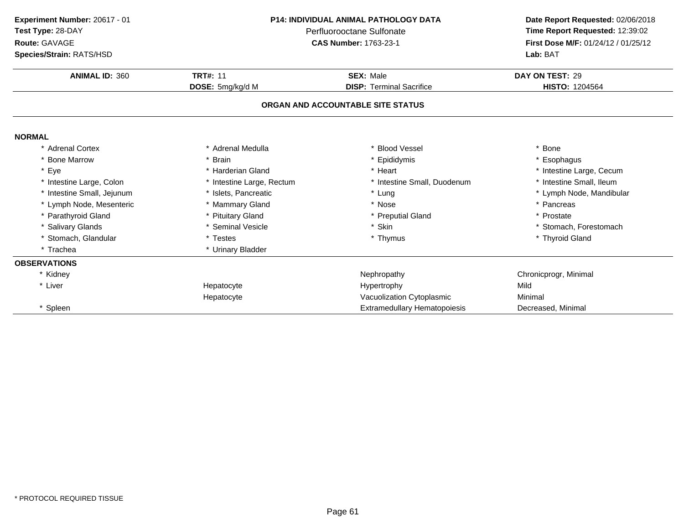| Experiment Number: 20617 - 01<br>Test Type: 28-DAY<br>Route: GAVAGE<br>Species/Strain: RATS/HSD | <b>P14: INDIVIDUAL ANIMAL PATHOLOGY DATA</b><br>Perfluorooctane Sulfonate<br><b>CAS Number: 1763-23-1</b> |                                     | Date Report Requested: 02/06/2018<br>Time Report Requested: 12:39:02<br>First Dose M/F: 01/24/12 / 01/25/12<br>Lab: BAT |  |
|-------------------------------------------------------------------------------------------------|-----------------------------------------------------------------------------------------------------------|-------------------------------------|-------------------------------------------------------------------------------------------------------------------------|--|
| <b>ANIMAL ID: 360</b>                                                                           | <b>TRT#: 11</b>                                                                                           | <b>SEX: Male</b>                    | DAY ON TEST: 29                                                                                                         |  |
|                                                                                                 | DOSE: 5mg/kg/d M                                                                                          | <b>DISP: Terminal Sacrifice</b>     | HISTO: 1204564                                                                                                          |  |
|                                                                                                 |                                                                                                           | ORGAN AND ACCOUNTABLE SITE STATUS   |                                                                                                                         |  |
| <b>NORMAL</b>                                                                                   |                                                                                                           |                                     |                                                                                                                         |  |
| * Adrenal Cortex                                                                                | * Adrenal Medulla                                                                                         | * Blood Vessel                      | * Bone                                                                                                                  |  |
| <b>Bone Marrow</b>                                                                              | <b>Brain</b>                                                                                              | * Epididymis                        | * Esophagus                                                                                                             |  |
| Eye                                                                                             | * Harderian Gland                                                                                         | * Heart                             | * Intestine Large, Cecum                                                                                                |  |
| * Intestine Large, Colon                                                                        | * Intestine Large, Rectum                                                                                 | * Intestine Small, Duodenum         | * Intestine Small, Ileum                                                                                                |  |
| * Intestine Small, Jejunum                                                                      | * Islets. Pancreatic                                                                                      | * Lung                              | * Lymph Node, Mandibular                                                                                                |  |
| * Lymph Node, Mesenteric                                                                        | * Mammary Gland                                                                                           | * Nose                              | * Pancreas                                                                                                              |  |
| * Parathyroid Gland                                                                             | * Pituitary Gland                                                                                         | * Preputial Gland                   | * Prostate                                                                                                              |  |
| * Salivary Glands                                                                               | * Seminal Vesicle                                                                                         | * Skin                              | * Stomach, Forestomach                                                                                                  |  |
| * Stomach, Glandular                                                                            | * Testes                                                                                                  | * Thymus                            | * Thyroid Gland                                                                                                         |  |
| * Trachea                                                                                       | * Urinary Bladder                                                                                         |                                     |                                                                                                                         |  |
| <b>OBSERVATIONS</b>                                                                             |                                                                                                           |                                     |                                                                                                                         |  |
| * Kidney                                                                                        |                                                                                                           | Nephropathy                         | Chronicprogr, Minimal                                                                                                   |  |
| * Liver                                                                                         | Hepatocyte                                                                                                | Hypertrophy                         | Mild                                                                                                                    |  |
|                                                                                                 | Hepatocyte                                                                                                | Vacuolization Cytoplasmic           | Minimal                                                                                                                 |  |
| * Spleen                                                                                        |                                                                                                           | <b>Extramedullary Hematopoiesis</b> | Decreased, Minimal                                                                                                      |  |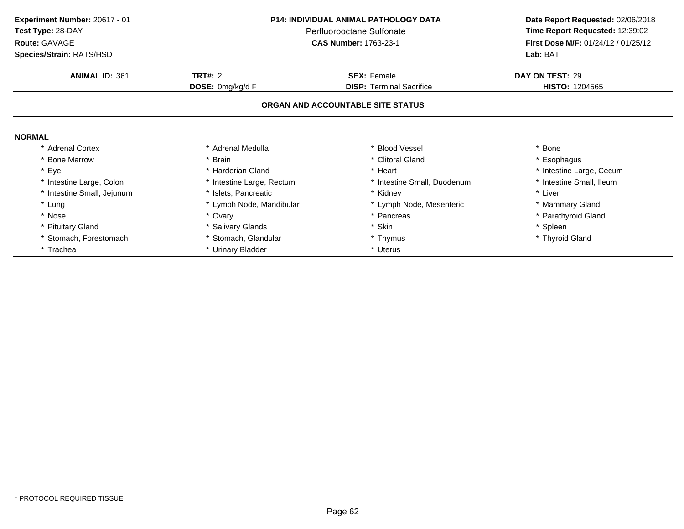| Experiment Number: 20617 - 01 | P14: INDIVIDUAL ANIMAL PATHOLOGY DATA<br>Perfluorooctane Sulfonate |                                   | Date Report Requested: 02/06/2018<br>Time Report Requested: 12:39:02 |  |
|-------------------------------|--------------------------------------------------------------------|-----------------------------------|----------------------------------------------------------------------|--|
| Test Type: 28-DAY             |                                                                    |                                   |                                                                      |  |
| Route: GAVAGE                 |                                                                    | <b>CAS Number: 1763-23-1</b>      | First Dose M/F: 01/24/12 / 01/25/12                                  |  |
| Species/Strain: RATS/HSD      |                                                                    |                                   | Lab: BAT                                                             |  |
| <b>ANIMAL ID: 361</b>         | <b>TRT#: 2</b>                                                     | <b>SEX: Female</b>                | DAY ON TEST: 29                                                      |  |
|                               | <b>DOSE:</b> 0mg/kg/d F                                            | <b>DISP: Terminal Sacrifice</b>   | <b>HISTO: 1204565</b>                                                |  |
|                               |                                                                    | ORGAN AND ACCOUNTABLE SITE STATUS |                                                                      |  |
| <b>NORMAL</b>                 |                                                                    |                                   |                                                                      |  |
| * Adrenal Cortex              | * Adrenal Medulla                                                  | * Blood Vessel                    | * Bone                                                               |  |
| * Bone Marrow                 | <b>Brain</b>                                                       | * Clitoral Gland                  | * Esophagus                                                          |  |
| * Eye                         | * Harderian Gland                                                  | * Heart                           | * Intestine Large, Cecum                                             |  |
| * Intestine Large, Colon      | * Intestine Large, Rectum                                          | * Intestine Small, Duodenum       | * Intestine Small, Ileum                                             |  |
| * Intestine Small, Jejunum    | * Islets, Pancreatic                                               | * Kidney                          | * Liver                                                              |  |
| * Lung                        | * Lymph Node, Mandibular                                           | * Lymph Node, Mesenteric          | * Mammary Gland                                                      |  |
| * Nose                        | * Ovary                                                            | * Pancreas                        | * Parathyroid Gland                                                  |  |
| * Pituitary Gland             | * Salivary Glands                                                  | * Skin                            | * Spleen                                                             |  |
| * Stomach, Forestomach        | Stomach, Glandular                                                 | * Thymus                          | * Thyroid Gland                                                      |  |
| * Trachea                     | * Urinary Bladder                                                  | * Uterus                          |                                                                      |  |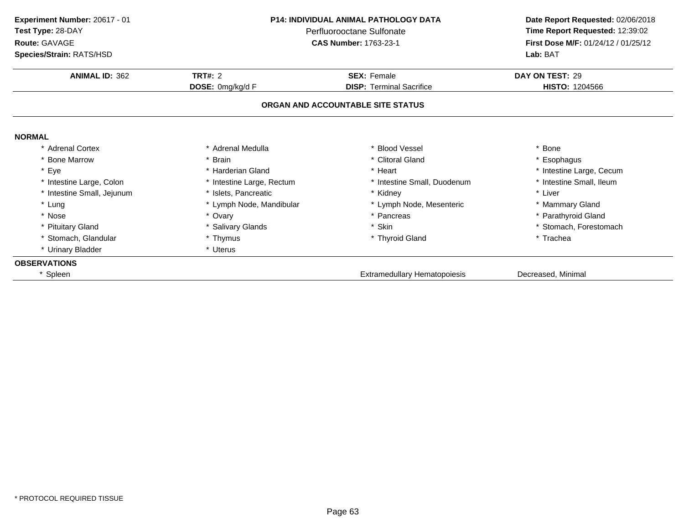| Experiment Number: 20617 - 01 | P14: INDIVIDUAL ANIMAL PATHOLOGY DATA<br>Perfluorooctane Sulfonate |                                   | Date Report Requested: 02/06/2018   |  |
|-------------------------------|--------------------------------------------------------------------|-----------------------------------|-------------------------------------|--|
| Test Type: 28-DAY             |                                                                    |                                   | Time Report Requested: 12:39:02     |  |
| Route: GAVAGE                 |                                                                    | <b>CAS Number: 1763-23-1</b>      | First Dose M/F: 01/24/12 / 01/25/12 |  |
| Species/Strain: RATS/HSD      |                                                                    |                                   | Lab: BAT                            |  |
| <b>ANIMAL ID: 362</b>         | <b>TRT#: 2</b>                                                     | <b>SEX: Female</b>                | DAY ON TEST: 29                     |  |
|                               | DOSE: 0mg/kg/d F                                                   | <b>DISP: Terminal Sacrifice</b>   | <b>HISTO: 1204566</b>               |  |
|                               |                                                                    | ORGAN AND ACCOUNTABLE SITE STATUS |                                     |  |
| <b>NORMAL</b>                 |                                                                    |                                   |                                     |  |
| * Adrenal Cortex              | * Adrenal Medulla                                                  | <b>Blood Vessel</b>               | * Bone                              |  |
| * Bone Marrow                 | * Brain                                                            | * Clitoral Gland                  | * Esophagus                         |  |
| * Eye                         | * Harderian Gland                                                  | * Heart                           | * Intestine Large, Cecum            |  |
| * Intestine Large, Colon      | * Intestine Large, Rectum                                          | * Intestine Small, Duodenum       | * Intestine Small, Ileum            |  |
| * Intestine Small, Jejunum    | * Islets, Pancreatic                                               | * Kidney                          | * Liver                             |  |
| * Lung                        | * Lymph Node, Mandibular                                           | * Lymph Node, Mesenteric          | * Mammary Gland                     |  |
| * Nose                        | * Ovary                                                            | * Pancreas                        | * Parathyroid Gland                 |  |
| * Pituitary Gland             | * Salivary Glands                                                  | * Skin                            | * Stomach, Forestomach              |  |
| * Stomach, Glandular          | * Thymus                                                           | * Thyroid Gland                   | * Trachea                           |  |
| * Urinary Bladder             | * Uterus                                                           |                                   |                                     |  |
| <b>OBSERVATIONS</b>           |                                                                    |                                   |                                     |  |
| Spleen                        |                                                                    | Extramedullary Hematopoiesis      | Decreased, Minimal                  |  |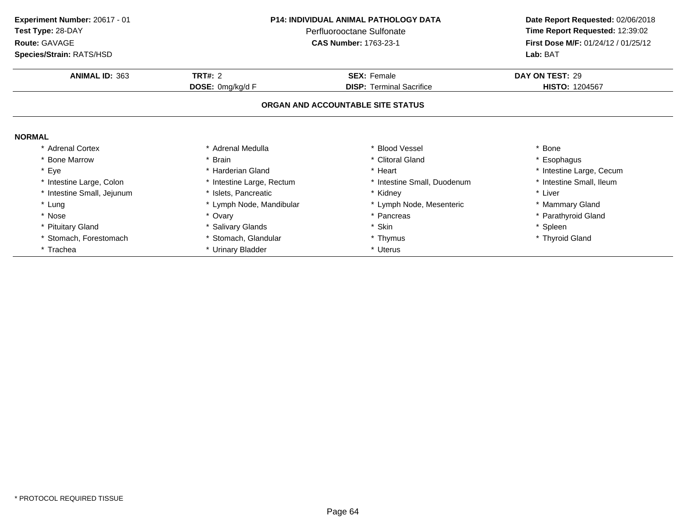| Experiment Number: 20617 - 01 | <b>P14: INDIVIDUAL ANIMAL PATHOLOGY DATA</b><br>Perfluorooctane Sulfonate |                                   | Date Report Requested: 02/06/2018<br>Time Report Requested: 12:39:02 |  |
|-------------------------------|---------------------------------------------------------------------------|-----------------------------------|----------------------------------------------------------------------|--|
| Test Type: 28-DAY             |                                                                           |                                   |                                                                      |  |
| Route: GAVAGE                 |                                                                           | <b>CAS Number: 1763-23-1</b>      | First Dose M/F: 01/24/12 / 01/25/12                                  |  |
| Species/Strain: RATS/HSD      |                                                                           |                                   | Lab: BAT                                                             |  |
| <b>ANIMAL ID: 363</b>         | <b>TRT#: 2</b>                                                            | <b>SEX: Female</b>                | DAY ON TEST: 29                                                      |  |
|                               | DOSE: 0mg/kg/d F                                                          | <b>DISP: Terminal Sacrifice</b>   | <b>HISTO: 1204567</b>                                                |  |
|                               |                                                                           | ORGAN AND ACCOUNTABLE SITE STATUS |                                                                      |  |
| <b>NORMAL</b>                 |                                                                           |                                   |                                                                      |  |
| <b>Adrenal Cortex</b>         | * Adrenal Medulla                                                         | * Blood Vessel                    | * Bone                                                               |  |
| <b>Bone Marrow</b>            | * Brain                                                                   | * Clitoral Gland                  | * Esophagus                                                          |  |
| * Eye                         | * Harderian Gland                                                         | * Heart                           | * Intestine Large, Cecum                                             |  |
| * Intestine Large, Colon      | * Intestine Large, Rectum                                                 | * Intestine Small, Duodenum       | * Intestine Small, Ileum                                             |  |
| * Intestine Small, Jejunum    | * Islets, Pancreatic                                                      | * Kidney                          | * Liver                                                              |  |
| * Lung                        | * Lymph Node, Mandibular                                                  | * Lymph Node, Mesenteric          | * Mammary Gland                                                      |  |
| * Nose                        | * Ovary                                                                   | * Pancreas                        | * Parathyroid Gland                                                  |  |
| * Pituitary Gland             | * Salivary Glands                                                         | * Skin                            | * Spleen                                                             |  |
| Stomach, Forestomach          | * Stomach, Glandular                                                      | * Thymus                          | * Thyroid Gland                                                      |  |
| * Trachea                     | * Urinary Bladder                                                         | * Uterus                          |                                                                      |  |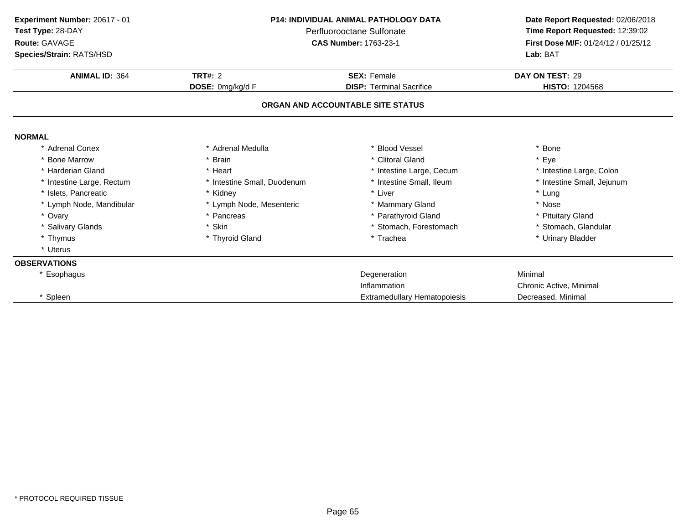| Experiment Number: 20617 - 01 | <b>P14: INDIVIDUAL ANIMAL PATHOLOGY DATA</b><br>Perfluorooctane Sulfonate |                                   | Date Report Requested: 02/06/2018   |  |
|-------------------------------|---------------------------------------------------------------------------|-----------------------------------|-------------------------------------|--|
| Test Type: 28-DAY             |                                                                           |                                   | Time Report Requested: 12:39:02     |  |
| Route: GAVAGE                 |                                                                           | <b>CAS Number: 1763-23-1</b>      | First Dose M/F: 01/24/12 / 01/25/12 |  |
| Species/Strain: RATS/HSD      |                                                                           |                                   | Lab: BAT                            |  |
| <b>ANIMAL ID: 364</b>         | TRT#: $2$                                                                 | <b>SEX: Female</b>                | DAY ON TEST: 29                     |  |
|                               | DOSE: 0mg/kg/d F                                                          | <b>DISP: Terminal Sacrifice</b>   | <b>HISTO: 1204568</b>               |  |
|                               |                                                                           | ORGAN AND ACCOUNTABLE SITE STATUS |                                     |  |
| <b>NORMAL</b>                 |                                                                           |                                   |                                     |  |
| * Adrenal Cortex              | * Adrenal Medulla                                                         | * Blood Vessel                    | Bone                                |  |
| * Bone Marrow                 | * Brain                                                                   | * Clitoral Gland                  | * Eye                               |  |
| * Harderian Gland             | * Heart                                                                   | * Intestine Large, Cecum          | * Intestine Large, Colon            |  |
| * Intestine Large, Rectum     | * Intestine Small, Duodenum                                               | * Intestine Small, Ileum          | * Intestine Small, Jejunum          |  |
| * Islets. Pancreatic          | * Kidney                                                                  | * Liver                           | * Lung                              |  |
| * Lymph Node, Mandibular      | * Lymph Node, Mesenteric                                                  | * Mammary Gland                   | * Nose                              |  |
| * Ovary                       | * Pancreas                                                                | * Parathyroid Gland               | * Pituitary Gland                   |  |
| * Salivary Glands             | * Skin                                                                    | * Stomach, Forestomach            | * Stomach, Glandular                |  |
| * Thymus                      | * Thyroid Gland                                                           | * Trachea                         | * Urinary Bladder                   |  |
| * Uterus                      |                                                                           |                                   |                                     |  |
| <b>OBSERVATIONS</b>           |                                                                           |                                   |                                     |  |
| * Esophagus                   |                                                                           | Degeneration                      | Minimal                             |  |
|                               |                                                                           | Inflammation                      | Chronic Active, Minimal             |  |
| * Spleen                      |                                                                           | Extramedullary Hematopoiesis      | Decreased, Minimal                  |  |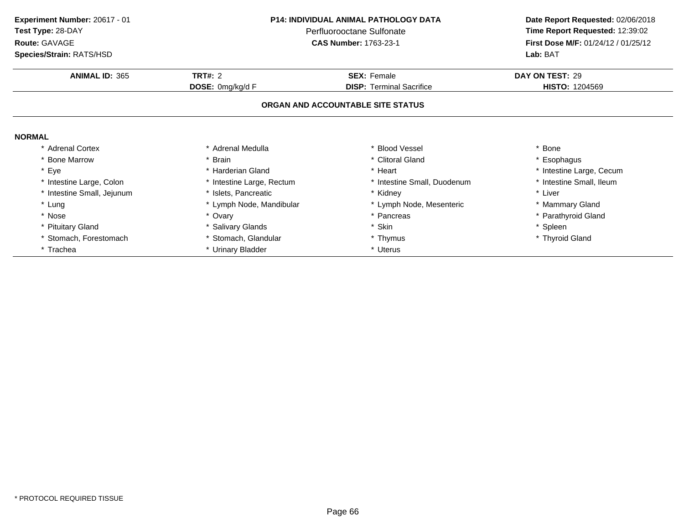| <b>P14: INDIVIDUAL ANIMAL PATHOLOGY DATA</b><br>Experiment Number: 20617 - 01<br>Test Type: 28-DAY<br>Perfluorooctane Sulfonate<br>Route: GAVAGE<br><b>CAS Number: 1763-23-1</b><br>Species/Strain: RATS/HSD |                           | Date Report Requested: 02/06/2018<br>Time Report Requested: 12:39:02<br>First Dose M/F: 01/24/12 / 01/25/12<br>Lab: BAT |                          |
|--------------------------------------------------------------------------------------------------------------------------------------------------------------------------------------------------------------|---------------------------|-------------------------------------------------------------------------------------------------------------------------|--------------------------|
| <b>ANIMAL ID: 365</b>                                                                                                                                                                                        | <b>TRT#: 2</b>            | <b>SEX: Female</b>                                                                                                      | DAY ON TEST: 29          |
|                                                                                                                                                                                                              | DOSE: 0mg/kg/d F          | <b>DISP: Terminal Sacrifice</b>                                                                                         | <b>HISTO: 1204569</b>    |
|                                                                                                                                                                                                              |                           | ORGAN AND ACCOUNTABLE SITE STATUS                                                                                       |                          |
| <b>NORMAL</b>                                                                                                                                                                                                |                           |                                                                                                                         |                          |
| <b>Adrenal Cortex</b>                                                                                                                                                                                        | * Adrenal Medulla         | * Blood Vessel                                                                                                          | * Bone                   |
| <b>Bone Marrow</b>                                                                                                                                                                                           | * Brain                   | * Clitoral Gland                                                                                                        | * Esophagus              |
| * Eye                                                                                                                                                                                                        | * Harderian Gland         | * Heart                                                                                                                 | * Intestine Large, Cecum |
| * Intestine Large, Colon                                                                                                                                                                                     | * Intestine Large, Rectum | * Intestine Small, Duodenum                                                                                             | * Intestine Small, Ileum |
| * Intestine Small, Jejunum                                                                                                                                                                                   | * Islets, Pancreatic      | * Kidney                                                                                                                | * Liver                  |
| * Lung                                                                                                                                                                                                       | * Lymph Node, Mandibular  | * Lymph Node, Mesenteric                                                                                                | * Mammary Gland          |
| * Nose                                                                                                                                                                                                       | * Ovary                   | * Pancreas                                                                                                              | * Parathyroid Gland      |
| * Pituitary Gland                                                                                                                                                                                            | * Salivary Glands         | * Skin                                                                                                                  | * Spleen                 |
| Stomach, Forestomach                                                                                                                                                                                         | * Stomach, Glandular      | * Thymus                                                                                                                | * Thyroid Gland          |
| * Trachea                                                                                                                                                                                                    | * Urinary Bladder         | * Uterus                                                                                                                |                          |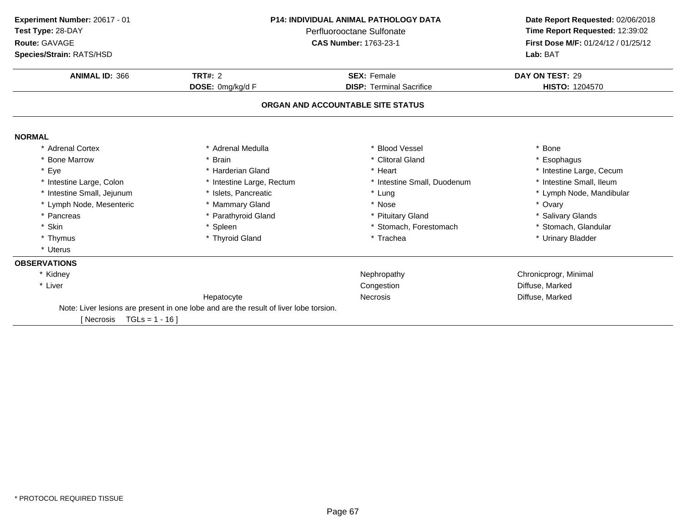| Experiment Number: 20617 - 01 | <b>P14: INDIVIDUAL ANIMAL PATHOLOGY DATA</b><br>Perfluorooctane Sulfonate             |                                   | Date Report Requested: 02/06/2018   |  |
|-------------------------------|---------------------------------------------------------------------------------------|-----------------------------------|-------------------------------------|--|
| Test Type: 28-DAY             |                                                                                       |                                   | Time Report Requested: 12:39:02     |  |
| Route: GAVAGE                 |                                                                                       | <b>CAS Number: 1763-23-1</b>      | First Dose M/F: 01/24/12 / 01/25/12 |  |
| Species/Strain: RATS/HSD      |                                                                                       |                                   | Lab: BAT                            |  |
|                               |                                                                                       |                                   |                                     |  |
| <b>ANIMAL ID: 366</b>         | <b>TRT#: 2</b>                                                                        | <b>SEX: Female</b>                | DAY ON TEST: 29                     |  |
|                               | DOSE: 0mg/kg/d F                                                                      | <b>DISP: Terminal Sacrifice</b>   | <b>HISTO: 1204570</b>               |  |
|                               |                                                                                       | ORGAN AND ACCOUNTABLE SITE STATUS |                                     |  |
| <b>NORMAL</b>                 |                                                                                       |                                   |                                     |  |
| * Adrenal Cortex              | * Adrenal Medulla                                                                     | * Blood Vessel                    | * Bone                              |  |
| <b>Bone Marrow</b>            | * Brain                                                                               | * Clitoral Gland                  | * Esophagus                         |  |
| * Eye                         | * Harderian Gland                                                                     | * Heart                           | * Intestine Large, Cecum            |  |
| * Intestine Large, Colon      | * Intestine Large, Rectum                                                             | * Intestine Small, Duodenum       | * Intestine Small, Ileum            |  |
| * Intestine Small, Jejunum    | * Islets, Pancreatic                                                                  | * Lung                            | * Lymph Node, Mandibular            |  |
| * Lymph Node, Mesenteric      | * Mammary Gland                                                                       | * Nose                            | * Ovary                             |  |
| * Pancreas                    | * Parathyroid Gland                                                                   | * Pituitary Gland                 | * Salivary Glands                   |  |
| Skin                          | * Spleen                                                                              | * Stomach, Forestomach            | * Stomach, Glandular                |  |
| * Thymus                      | * Thyroid Gland                                                                       | * Trachea                         | * Urinary Bladder                   |  |
| * Uterus                      |                                                                                       |                                   |                                     |  |
| <b>OBSERVATIONS</b>           |                                                                                       |                                   |                                     |  |
| * Kidney                      |                                                                                       | Nephropathy                       | Chronicprogr, Minimal               |  |
| * Liver                       |                                                                                       | Congestion                        | Diffuse, Marked                     |  |
|                               | Hepatocyte                                                                            | <b>Necrosis</b>                   | Diffuse, Marked                     |  |
|                               | Note: Liver lesions are present in one lobe and are the result of liver lobe torsion. |                                   |                                     |  |
| $TGLs = 1 - 16$<br>[ Necrosis |                                                                                       |                                   |                                     |  |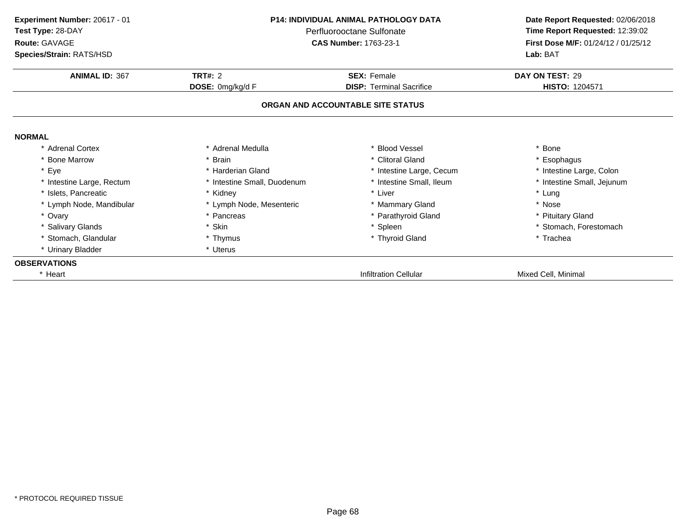| Experiment Number: 20617 - 01 | <b>P14: INDIVIDUAL ANIMAL PATHOLOGY DATA</b> |                                   | Date Report Requested: 02/06/2018   |
|-------------------------------|----------------------------------------------|-----------------------------------|-------------------------------------|
| Test Type: 28-DAY             |                                              | Perfluorooctane Sulfonate         | Time Report Requested: 12:39:02     |
| Route: GAVAGE                 |                                              | <b>CAS Number: 1763-23-1</b>      | First Dose M/F: 01/24/12 / 01/25/12 |
| Species/Strain: RATS/HSD      |                                              |                                   | Lab: BAT                            |
| <b>ANIMAL ID: 367</b>         | <b>TRT#: 2</b>                               | <b>SEX: Female</b>                | DAY ON TEST: 29                     |
|                               | DOSE: 0mg/kg/d F                             | <b>DISP: Terminal Sacrifice</b>   | HISTO: 1204571                      |
|                               |                                              | ORGAN AND ACCOUNTABLE SITE STATUS |                                     |
| <b>NORMAL</b>                 |                                              |                                   |                                     |
| * Adrenal Cortex              | * Adrenal Medulla                            | * Blood Vessel                    | Bone                                |
| * Bone Marrow                 | * Brain                                      | * Clitoral Gland                  | Esophagus                           |
| * Eye                         | * Harderian Gland                            | * Intestine Large, Cecum          | * Intestine Large, Colon            |
| * Intestine Large, Rectum     | * Intestine Small, Duodenum                  | * Intestine Small, Ileum          | * Intestine Small, Jejunum          |
| * Islets, Pancreatic          | * Kidney                                     | * Liver                           | * Lung                              |
| * Lymph Node, Mandibular      | * Lymph Node, Mesenteric                     | * Mammary Gland                   | * Nose                              |
| * Ovary                       | * Pancreas                                   | * Parathyroid Gland               | <b>Pituitary Gland</b>              |
| * Salivary Glands             | * Skin                                       | * Spleen                          | * Stomach, Forestomach              |
| * Stomach, Glandular          | * Thymus                                     | * Thyroid Gland                   | * Trachea                           |
| * Urinary Bladder             | * Uterus                                     |                                   |                                     |
| <b>OBSERVATIONS</b>           |                                              |                                   |                                     |
| * Heart                       |                                              | <b>Infiltration Cellular</b>      | Mixed Cell, Minimal                 |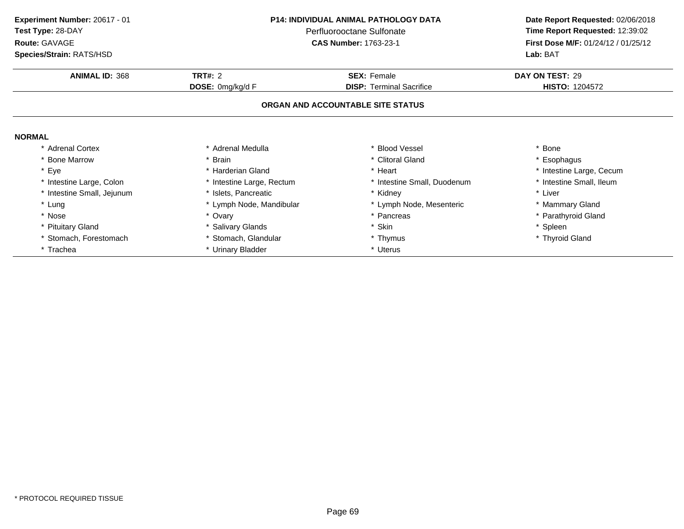| Experiment Number: 20617 - 01<br>Test Type: 28-DAY<br>Route: GAVAGE | <b>P14: INDIVIDUAL ANIMAL PATHOLOGY DATA</b><br>Perfluorooctane Sulfonate<br><b>CAS Number: 1763-23-1</b> |                                   | Date Report Requested: 02/06/2018<br>Time Report Requested: 12:39:02<br>First Dose M/F: 01/24/12 / 01/25/12 |
|---------------------------------------------------------------------|-----------------------------------------------------------------------------------------------------------|-----------------------------------|-------------------------------------------------------------------------------------------------------------|
| Species/Strain: RATS/HSD                                            |                                                                                                           |                                   | Lab: BAT                                                                                                    |
| <b>ANIMAL ID: 368</b>                                               | <b>TRT#: 2</b>                                                                                            | <b>SEX: Female</b>                | DAY ON TEST: 29                                                                                             |
|                                                                     | DOSE: 0mg/kg/d F                                                                                          | <b>DISP: Terminal Sacrifice</b>   | <b>HISTO: 1204572</b>                                                                                       |
|                                                                     |                                                                                                           | ORGAN AND ACCOUNTABLE SITE STATUS |                                                                                                             |
| <b>NORMAL</b>                                                       |                                                                                                           |                                   |                                                                                                             |
| <b>Adrenal Cortex</b>                                               | * Adrenal Medulla                                                                                         | * Blood Vessel                    | * Bone                                                                                                      |
| <b>Bone Marrow</b>                                                  | * Brain                                                                                                   | * Clitoral Gland                  | * Esophagus                                                                                                 |
| * Eye                                                               | * Harderian Gland                                                                                         | * Heart                           | * Intestine Large, Cecum                                                                                    |
| * Intestine Large, Colon                                            | * Intestine Large, Rectum                                                                                 | * Intestine Small, Duodenum       | * Intestine Small, Ileum                                                                                    |
| * Intestine Small, Jejunum                                          | * Islets, Pancreatic                                                                                      | * Kidney                          | * Liver                                                                                                     |
| * Lung                                                              | * Lymph Node, Mandibular                                                                                  | * Lymph Node, Mesenteric          | * Mammary Gland                                                                                             |
| * Nose                                                              | * Ovary                                                                                                   | * Pancreas                        | * Parathyroid Gland                                                                                         |
| * Pituitary Gland                                                   | * Salivary Glands                                                                                         | * Skin                            | * Spleen                                                                                                    |
| Stomach, Forestomach                                                | * Stomach, Glandular                                                                                      | * Thymus                          | * Thyroid Gland                                                                                             |
| * Trachea                                                           | * Urinary Bladder                                                                                         | * Uterus                          |                                                                                                             |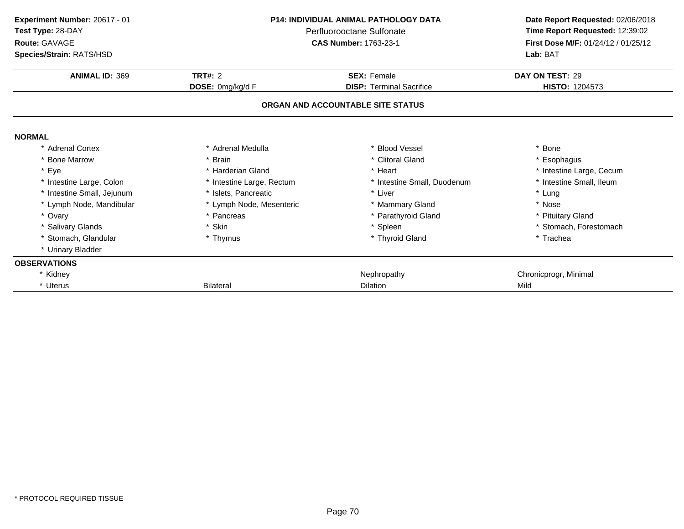| Experiment Number: 20617 - 01 | <b>P14: INDIVIDUAL ANIMAL PATHOLOGY DATA</b><br>Perfluorooctane Sulfonate |                                   | Date Report Requested: 02/06/2018   |  |
|-------------------------------|---------------------------------------------------------------------------|-----------------------------------|-------------------------------------|--|
| Test Type: 28-DAY             |                                                                           |                                   | Time Report Requested: 12:39:02     |  |
| Route: GAVAGE                 |                                                                           | <b>CAS Number: 1763-23-1</b>      | First Dose M/F: 01/24/12 / 01/25/12 |  |
| Species/Strain: RATS/HSD      |                                                                           |                                   | Lab: BAT                            |  |
| <b>ANIMAL ID: 369</b>         | TRT#: $2$                                                                 | <b>SEX: Female</b>                | DAY ON TEST: 29                     |  |
|                               | DOSE: 0mg/kg/d F                                                          | <b>DISP: Terminal Sacrifice</b>   | <b>HISTO: 1204573</b>               |  |
|                               |                                                                           | ORGAN AND ACCOUNTABLE SITE STATUS |                                     |  |
| <b>NORMAL</b>                 |                                                                           |                                   |                                     |  |
| * Adrenal Cortex              | * Adrenal Medulla                                                         | * Blood Vessel                    | * Bone                              |  |
| * Bone Marrow                 | * Brain                                                                   | * Clitoral Gland                  | * Esophagus                         |  |
| * Eye                         | * Harderian Gland                                                         | * Heart                           | * Intestine Large, Cecum            |  |
| * Intestine Large, Colon      | * Intestine Large, Rectum                                                 | * Intestine Small, Duodenum       | * Intestine Small, Ileum            |  |
| * Intestine Small, Jejunum    | * Islets, Pancreatic                                                      | * Liver                           | * Lung                              |  |
| * Lymph Node, Mandibular      | * Lymph Node, Mesenteric                                                  | * Mammary Gland                   | * Nose                              |  |
| * Ovary                       | Pancreas                                                                  | * Parathyroid Gland               | * Pituitary Gland                   |  |
| * Salivary Glands             | * Skin                                                                    | * Spleen                          | * Stomach, Forestomach              |  |
| * Stomach, Glandular          | * Thymus                                                                  | * Thyroid Gland                   | * Trachea                           |  |
| * Urinary Bladder             |                                                                           |                                   |                                     |  |
| <b>OBSERVATIONS</b>           |                                                                           |                                   |                                     |  |
| * Kidney                      |                                                                           | Nephropathy                       | Chronicprogr, Minimal               |  |
| * Uterus                      | <b>Bilateral</b>                                                          | <b>Dilation</b>                   | Mild                                |  |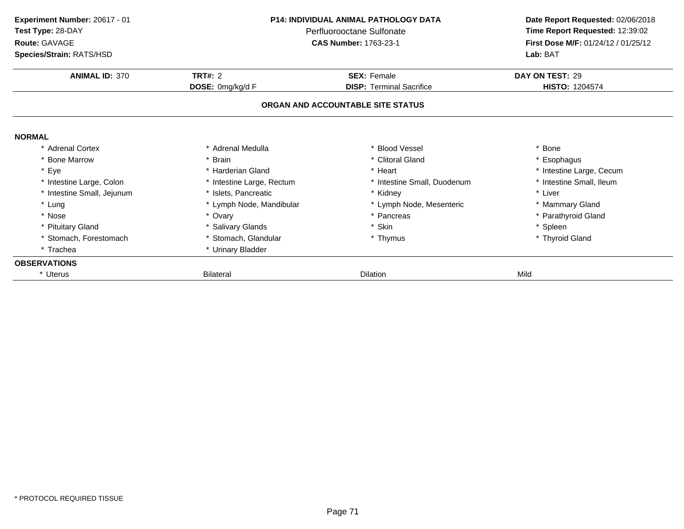| <b>P14: INDIVIDUAL ANIMAL PATHOLOGY DATA</b><br>Experiment Number: 20617 - 01 |                           |                                   | Date Report Requested: 02/06/2018   |
|-------------------------------------------------------------------------------|---------------------------|-----------------------------------|-------------------------------------|
| Test Type: 28-DAY                                                             |                           | Perfluorooctane Sulfonate         |                                     |
| Route: GAVAGE                                                                 |                           | <b>CAS Number: 1763-23-1</b>      | First Dose M/F: 01/24/12 / 01/25/12 |
| Species/Strain: RATS/HSD                                                      |                           |                                   | Lab: BAT                            |
| <b>ANIMAL ID: 370</b>                                                         | <b>TRT#: 2</b>            | <b>SEX: Female</b>                | DAY ON TEST: 29                     |
|                                                                               | DOSE: 0mg/kg/d F          | <b>DISP: Terminal Sacrifice</b>   | <b>HISTO: 1204574</b>               |
|                                                                               |                           | ORGAN AND ACCOUNTABLE SITE STATUS |                                     |
| <b>NORMAL</b>                                                                 |                           |                                   |                                     |
| * Adrenal Cortex                                                              | * Adrenal Medulla         | * Blood Vessel                    | * Bone                              |
| * Bone Marrow                                                                 | * Brain                   | * Clitoral Gland                  | * Esophagus                         |
| * Eye                                                                         | * Harderian Gland         | * Heart                           | * Intestine Large, Cecum            |
| * Intestine Large, Colon                                                      | * Intestine Large, Rectum | * Intestine Small, Duodenum       | * Intestine Small, Ileum            |
| * Intestine Small, Jejunum                                                    | * Islets, Pancreatic      | * Kidney                          | * Liver                             |
| * Lung                                                                        | * Lymph Node, Mandibular  | * Lymph Node, Mesenteric          | * Mammary Gland                     |
| * Nose                                                                        | * Ovary                   | * Pancreas                        | * Parathyroid Gland                 |
| * Pituitary Gland                                                             | * Salivary Glands         | * Skin                            | * Spleen                            |
| * Stomach, Forestomach                                                        | * Stomach, Glandular      | * Thymus                          | * Thyroid Gland                     |
| * Trachea                                                                     | * Urinary Bladder         |                                   |                                     |
| <b>OBSERVATIONS</b>                                                           |                           |                                   |                                     |
| * Uterus                                                                      | <b>Bilateral</b>          | <b>Dilation</b>                   | Mild                                |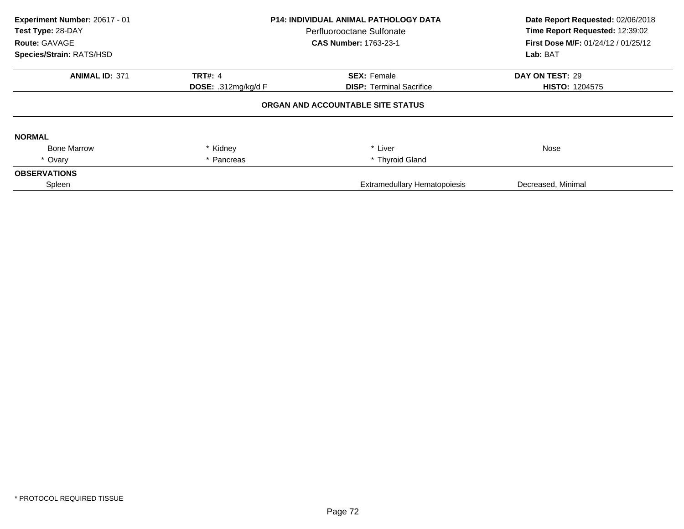| Experiment Number: 20617 - 01<br>Test Type: 28-DAY<br>Route: GAVAGE<br>Species/Strain: RATS/HSD | <b>P14: INDIVIDUAL ANIMAL PATHOLOGY DATA</b><br>Perfluorooctane Sulfonate<br><b>CAS Number: 1763-23-1</b> |                                   | Date Report Requested: 02/06/2018<br>Time Report Requested: 12:39:02<br>First Dose M/F: 01/24/12 / 01/25/12<br>Lab: BAT |
|-------------------------------------------------------------------------------------------------|-----------------------------------------------------------------------------------------------------------|-----------------------------------|-------------------------------------------------------------------------------------------------------------------------|
| <b>ANIMAL ID: 371</b>                                                                           | <b>TRT#: 4</b>                                                                                            | <b>SEX: Female</b>                | DAY ON TEST: 29                                                                                                         |
|                                                                                                 | <b>DOSE: .312mg/kg/d F</b>                                                                                | <b>DISP: Terminal Sacrifice</b>   | <b>HISTO: 1204575</b>                                                                                                   |
|                                                                                                 |                                                                                                           | ORGAN AND ACCOUNTABLE SITE STATUS |                                                                                                                         |
| <b>NORMAL</b>                                                                                   |                                                                                                           |                                   |                                                                                                                         |
| <b>Bone Marrow</b>                                                                              | * Kidney                                                                                                  | * Liver                           | Nose                                                                                                                    |
| * Ovary                                                                                         | * Pancreas                                                                                                | * Thyroid Gland                   |                                                                                                                         |
| <b>OBSERVATIONS</b>                                                                             |                                                                                                           |                                   |                                                                                                                         |
| Spleen                                                                                          |                                                                                                           | Extramedullary Hematopoiesis      | Decreased, Minimal                                                                                                      |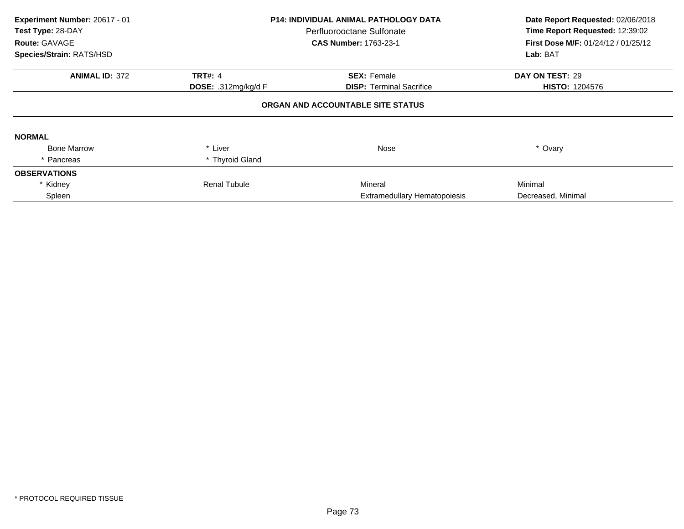| Experiment Number: 20617 - 01<br>Test Type: 28-DAY<br>Route: GAVAGE<br>Species/Strain: RATS/HSD | P14: INDIVIDUAL ANIMAL PATHOLOGY DATA<br>Perfluorooctane Sulfonate<br><b>CAS Number: 1763-23-1</b> |                                     | Date Report Requested: 02/06/2018<br>Time Report Requested: 12:39:02<br>First Dose M/F: 01/24/12 / 01/25/12<br>Lab: BAT |
|-------------------------------------------------------------------------------------------------|----------------------------------------------------------------------------------------------------|-------------------------------------|-------------------------------------------------------------------------------------------------------------------------|
|                                                                                                 |                                                                                                    |                                     |                                                                                                                         |
| <b>ANIMAL ID: 372</b>                                                                           | <b>TRT#: 4</b>                                                                                     | <b>SEX: Female</b>                  | DAY ON TEST: 29                                                                                                         |
|                                                                                                 | DOSE: .312mg/kg/d $F$                                                                              | <b>DISP:</b> Terminal Sacrifice     | <b>HISTO: 1204576</b>                                                                                                   |
|                                                                                                 |                                                                                                    | ORGAN AND ACCOUNTABLE SITE STATUS   |                                                                                                                         |
| <b>NORMAL</b>                                                                                   |                                                                                                    |                                     |                                                                                                                         |
| <b>Bone Marrow</b>                                                                              | * Liver                                                                                            | Nose                                | * Ovary                                                                                                                 |
| * Pancreas                                                                                      | * Thyroid Gland                                                                                    |                                     |                                                                                                                         |
| <b>OBSERVATIONS</b>                                                                             |                                                                                                    |                                     |                                                                                                                         |
| * Kidney                                                                                        | <b>Renal Tubule</b>                                                                                | Mineral                             | Minimal                                                                                                                 |
| Spleen                                                                                          |                                                                                                    | <b>Extramedullary Hematopoiesis</b> | Decreased, Minimal                                                                                                      |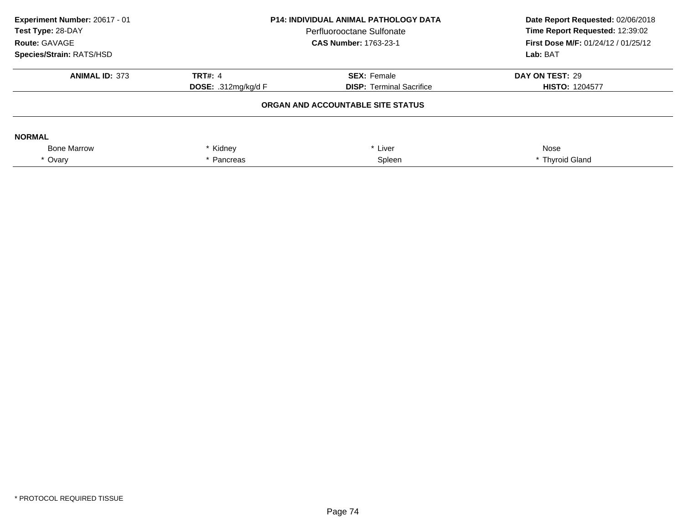| Experiment Number: 20617 - 01<br>Test Type: 28-DAY<br>Route: GAVAGE<br>Species/Strain: RATS/HSD | <b>P14: INDIVIDUAL ANIMAL PATHOLOGY DATA</b><br>Perfluorooctane Sulfonate<br><b>CAS Number: 1763-23-1</b> |                                   | Date Report Requested: 02/06/2018<br>Time Report Requested: 12:39:02<br><b>First Dose M/F: 01/24/12 / 01/25/12</b><br>Lab: BAT |
|-------------------------------------------------------------------------------------------------|-----------------------------------------------------------------------------------------------------------|-----------------------------------|--------------------------------------------------------------------------------------------------------------------------------|
| <b>ANIMAL ID: 373</b>                                                                           | TRT#: $4$                                                                                                 | <b>SEX: Female</b>                | DAY ON TEST: 29                                                                                                                |
|                                                                                                 | <b>DOSE:</b> .312mg/kg/d F                                                                                | <b>DISP:</b> Terminal Sacrifice   | <b>HISTO: 1204577</b>                                                                                                          |
|                                                                                                 |                                                                                                           | ORGAN AND ACCOUNTABLE SITE STATUS |                                                                                                                                |
| <b>NORMAL</b>                                                                                   |                                                                                                           |                                   |                                                                                                                                |
| <b>Bone Marrow</b>                                                                              | * Kidney<br>* Liver                                                                                       |                                   | Nose                                                                                                                           |
| * Ovary                                                                                         | Pancreas                                                                                                  | Spleen                            | * Thyroid Gland                                                                                                                |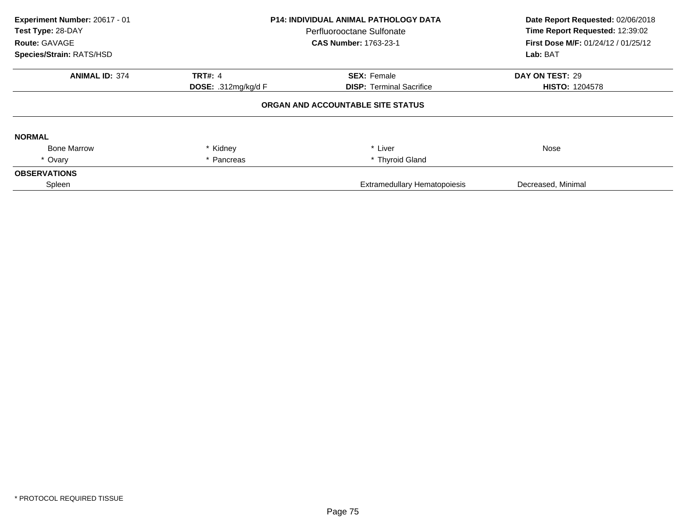| Experiment Number: 20617 - 01<br>Test Type: 28-DAY<br>Route: GAVAGE<br>Species/Strain: RATS/HSD | <b>P14: INDIVIDUAL ANIMAL PATHOLOGY DATA</b><br>Perfluorooctane Sulfonate<br><b>CAS Number: 1763-23-1</b> |                                   | Date Report Requested: 02/06/2018<br>Time Report Requested: 12:39:02<br>First Dose M/F: 01/24/12 / 01/25/12<br>Lab: BAT |
|-------------------------------------------------------------------------------------------------|-----------------------------------------------------------------------------------------------------------|-----------------------------------|-------------------------------------------------------------------------------------------------------------------------|
| <b>ANIMAL ID: 374</b>                                                                           | <b>TRT#: 4</b>                                                                                            | <b>SEX: Female</b>                | DAY ON TEST: 29                                                                                                         |
|                                                                                                 | <b>DOSE: .312mg/kg/d F</b>                                                                                | <b>DISP: Terminal Sacrifice</b>   | <b>HISTO: 1204578</b>                                                                                                   |
|                                                                                                 |                                                                                                           | ORGAN AND ACCOUNTABLE SITE STATUS |                                                                                                                         |
| <b>NORMAL</b>                                                                                   |                                                                                                           |                                   |                                                                                                                         |
| <b>Bone Marrow</b>                                                                              | * Kidney                                                                                                  | * Liver                           | Nose                                                                                                                    |
| * Ovary                                                                                         | * Pancreas                                                                                                | * Thyroid Gland                   |                                                                                                                         |
| <b>OBSERVATIONS</b>                                                                             |                                                                                                           |                                   |                                                                                                                         |
| Spleen                                                                                          |                                                                                                           | Extramedullary Hematopoiesis      | Decreased, Minimal                                                                                                      |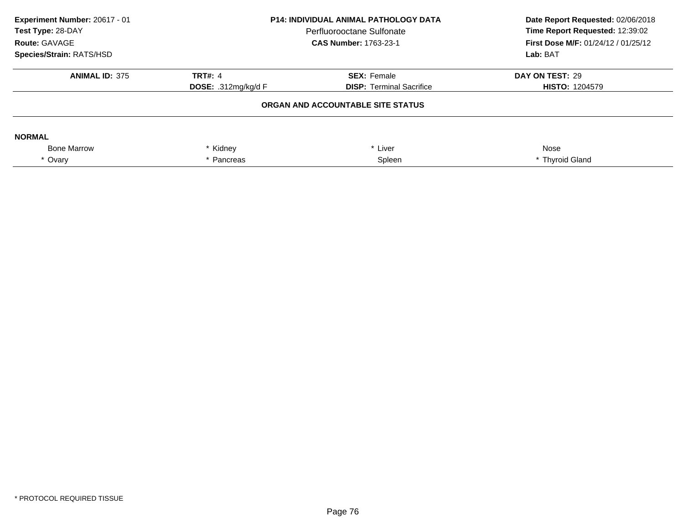| Experiment Number: 20617 - 01<br>Test Type: 28-DAY<br>Route: GAVAGE<br>Species/Strain: RATS/HSD | <b>P14: INDIVIDUAL ANIMAL PATHOLOGY DATA</b><br>Perfluorooctane Sulfonate<br><b>CAS Number: 1763-23-1</b> |                                   | Date Report Requested: 02/06/2018<br>Time Report Requested: 12:39:02<br><b>First Dose M/F: 01/24/12 / 01/25/12</b><br>Lab: BAT |
|-------------------------------------------------------------------------------------------------|-----------------------------------------------------------------------------------------------------------|-----------------------------------|--------------------------------------------------------------------------------------------------------------------------------|
| <b>ANIMAL ID: 375</b>                                                                           | TRT#: $4$                                                                                                 | <b>SEX: Female</b>                | DAY ON TEST: 29                                                                                                                |
|                                                                                                 | <b>DOSE:</b> .312mg/kg/d F                                                                                | <b>DISP:</b> Terminal Sacrifice   | <b>HISTO: 1204579</b>                                                                                                          |
|                                                                                                 |                                                                                                           | ORGAN AND ACCOUNTABLE SITE STATUS |                                                                                                                                |
| <b>NORMAL</b>                                                                                   |                                                                                                           |                                   |                                                                                                                                |
| <b>Bone Marrow</b>                                                                              | * Kidney                                                                                                  | * Liver                           | Nose                                                                                                                           |
| * Ovary                                                                                         | Pancreas                                                                                                  | Spleen                            | * Thyroid Gland                                                                                                                |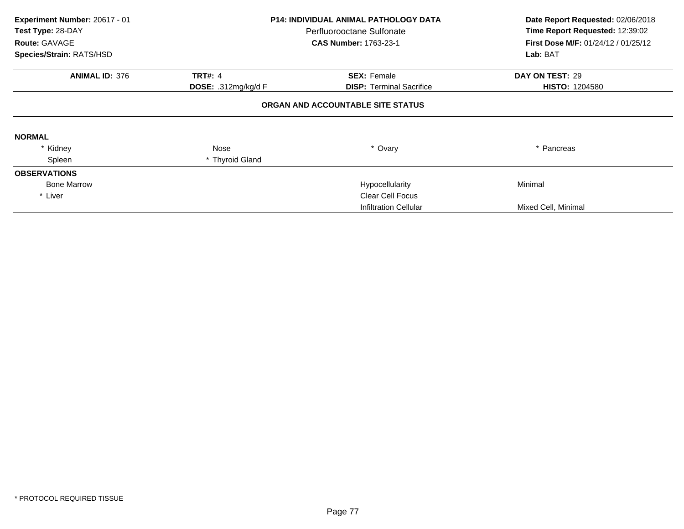| Experiment Number: 20617 - 01<br>Test Type: 28-DAY<br>Route: GAVAGE | <b>P14: INDIVIDUAL ANIMAL PATHOLOGY DATA</b><br>Perfluorooctane Sulfonate<br><b>CAS Number: 1763-23-1</b> |                                   | Date Report Requested: 02/06/2018<br>Time Report Requested: 12:39:02<br>First Dose M/F: 01/24/12 / 01/25/12 |
|---------------------------------------------------------------------|-----------------------------------------------------------------------------------------------------------|-----------------------------------|-------------------------------------------------------------------------------------------------------------|
| Species/Strain: RATS/HSD                                            |                                                                                                           |                                   | Lab: BAT                                                                                                    |
| <b>ANIMAL ID: 376</b>                                               | <b>TRT#: 4</b>                                                                                            | <b>SEX: Female</b>                | DAY ON TEST: 29                                                                                             |
|                                                                     | <b>DOSE:</b> .312mg/kg/d $F$                                                                              | <b>DISP:</b> Terminal Sacrifice   | <b>HISTO: 1204580</b>                                                                                       |
|                                                                     |                                                                                                           | ORGAN AND ACCOUNTABLE SITE STATUS |                                                                                                             |
| <b>NORMAL</b>                                                       |                                                                                                           |                                   |                                                                                                             |
| * Kidney                                                            | Nose                                                                                                      | * Ovary                           | * Pancreas                                                                                                  |
| Spleen                                                              | * Thyroid Gland                                                                                           |                                   |                                                                                                             |
| <b>OBSERVATIONS</b>                                                 |                                                                                                           |                                   |                                                                                                             |
| <b>Bone Marrow</b>                                                  |                                                                                                           | Hypocellularity                   | Minimal                                                                                                     |
| * Liver                                                             |                                                                                                           | <b>Clear Cell Focus</b>           |                                                                                                             |
|                                                                     |                                                                                                           | Infiltration Cellular             | Mixed Cell, Minimal                                                                                         |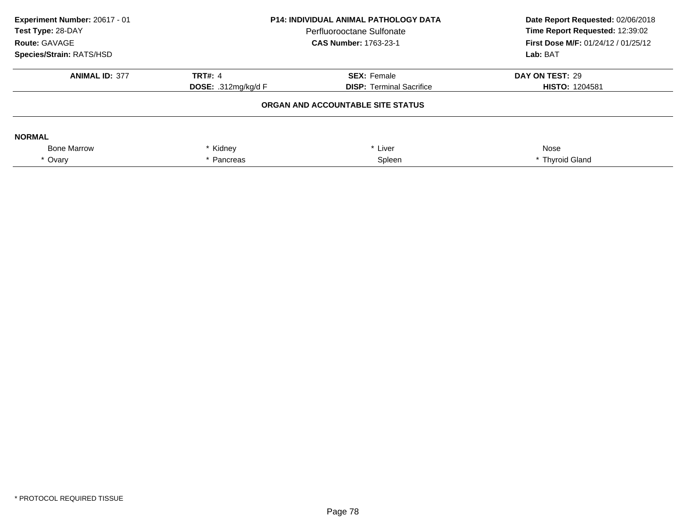| Experiment Number: 20617 - 01<br>Test Type: 28-DAY<br>Route: GAVAGE<br>Species/Strain: RATS/HSD | <b>P14: INDIVIDUAL ANIMAL PATHOLOGY DATA</b><br>Perfluorooctane Sulfonate<br><b>CAS Number: 1763-23-1</b> |                                   | Date Report Requested: 02/06/2018<br>Time Report Requested: 12:39:02<br><b>First Dose M/F: 01/24/12 / 01/25/12</b><br>Lab: BAT |
|-------------------------------------------------------------------------------------------------|-----------------------------------------------------------------------------------------------------------|-----------------------------------|--------------------------------------------------------------------------------------------------------------------------------|
| <b>ANIMAL ID: 377</b>                                                                           | TRT#: $4$                                                                                                 | <b>SEX: Female</b>                | DAY ON TEST: 29                                                                                                                |
|                                                                                                 | <b>DOSE:</b> .312mg/kg/d F                                                                                | <b>DISP:</b> Terminal Sacrifice   | <b>HISTO: 1204581</b>                                                                                                          |
|                                                                                                 |                                                                                                           | ORGAN AND ACCOUNTABLE SITE STATUS |                                                                                                                                |
| <b>NORMAL</b>                                                                                   |                                                                                                           |                                   |                                                                                                                                |
| <b>Bone Marrow</b>                                                                              | * Kidney<br>* Liver                                                                                       |                                   | Nose                                                                                                                           |
| * Ovary                                                                                         | Pancreas                                                                                                  | Spleen                            | * Thyroid Gland                                                                                                                |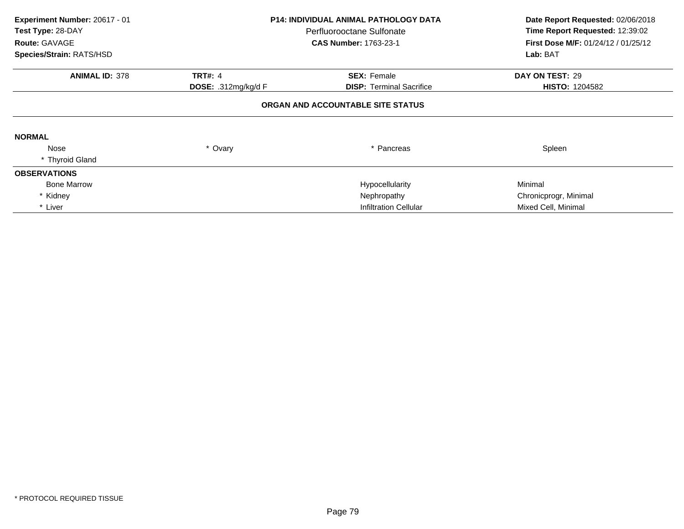| Experiment Number: 20617 - 01<br>Test Type: 28-DAY<br>Route: GAVAGE<br>Species/Strain: RATS/HSD | <b>P14: INDIVIDUAL ANIMAL PATHOLOGY DATA</b><br>Perfluorooctane Sulfonate<br><b>CAS Number: 1763-23-1</b> |                                   | Date Report Requested: 02/06/2018<br>Time Report Requested: 12:39:02<br>First Dose M/F: 01/24/12 / 01/25/12<br>Lab: BAT |
|-------------------------------------------------------------------------------------------------|-----------------------------------------------------------------------------------------------------------|-----------------------------------|-------------------------------------------------------------------------------------------------------------------------|
| <b>ANIMAL ID: 378</b>                                                                           | <b>TRT#: 4</b>                                                                                            | <b>SEX: Female</b>                | DAY ON TEST: 29                                                                                                         |
|                                                                                                 | <b>DOSE:</b> .312mg/kg/d F                                                                                | <b>DISP:</b> Terminal Sacrifice   | <b>HISTO: 1204582</b>                                                                                                   |
|                                                                                                 |                                                                                                           | ORGAN AND ACCOUNTABLE SITE STATUS |                                                                                                                         |
| <b>NORMAL</b>                                                                                   |                                                                                                           |                                   |                                                                                                                         |
| Nose                                                                                            | * Ovary                                                                                                   | * Pancreas                        | Spleen                                                                                                                  |
| * Thyroid Gland                                                                                 |                                                                                                           |                                   |                                                                                                                         |
| <b>OBSERVATIONS</b>                                                                             |                                                                                                           |                                   |                                                                                                                         |
| <b>Bone Marrow</b>                                                                              |                                                                                                           | Hypocellularity                   | Minimal                                                                                                                 |
| * Kidney                                                                                        |                                                                                                           | Nephropathy                       | Chronicprogr, Minimal                                                                                                   |
| * Liver                                                                                         |                                                                                                           | <b>Infiltration Cellular</b>      | Mixed Cell, Minimal                                                                                                     |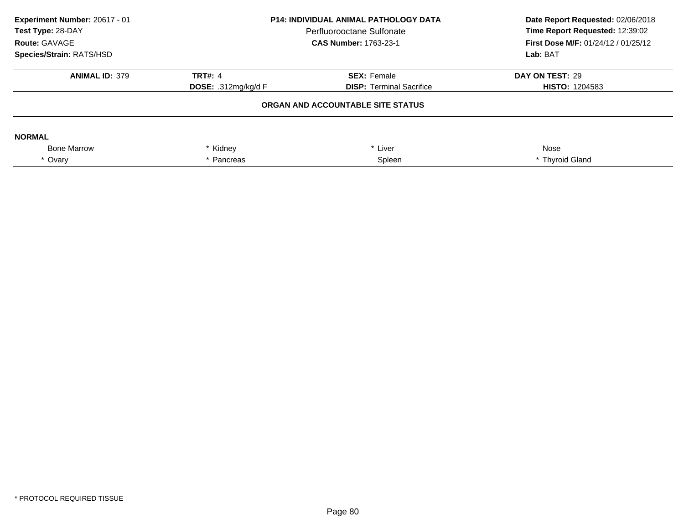| Experiment Number: 20617 - 01<br>Test Type: 28-DAY<br>Route: GAVAGE<br><b>Species/Strain: RATS/HSD</b> | <b>P14: INDIVIDUAL ANIMAL PATHOLOGY DATA</b><br>Perfluorooctane Sulfonate<br><b>CAS Number: 1763-23-1</b> |                                   | Date Report Requested: 02/06/2018<br>Time Report Requested: 12:39:02<br>First Dose M/F: 01/24/12 / 01/25/12<br>Lab: BAT |
|--------------------------------------------------------------------------------------------------------|-----------------------------------------------------------------------------------------------------------|-----------------------------------|-------------------------------------------------------------------------------------------------------------------------|
| <b>ANIMAL ID: 379</b>                                                                                  | TRT#: $4$                                                                                                 | <b>SEX: Female</b>                | DAY ON TEST: 29                                                                                                         |
|                                                                                                        | <b>DOSE: .312mg/kg/d F</b>                                                                                | <b>DISP:</b> Terminal Sacrifice   | <b>HISTO: 1204583</b>                                                                                                   |
|                                                                                                        |                                                                                                           | ORGAN AND ACCOUNTABLE SITE STATUS |                                                                                                                         |
| <b>NORMAL</b>                                                                                          |                                                                                                           |                                   |                                                                                                                         |
| <b>Bone Marrow</b>                                                                                     | * Kidney                                                                                                  | * Liver                           | Nose                                                                                                                    |
| * Ovary                                                                                                | * Pancreas                                                                                                | Spleen                            | * Thyroid Gland                                                                                                         |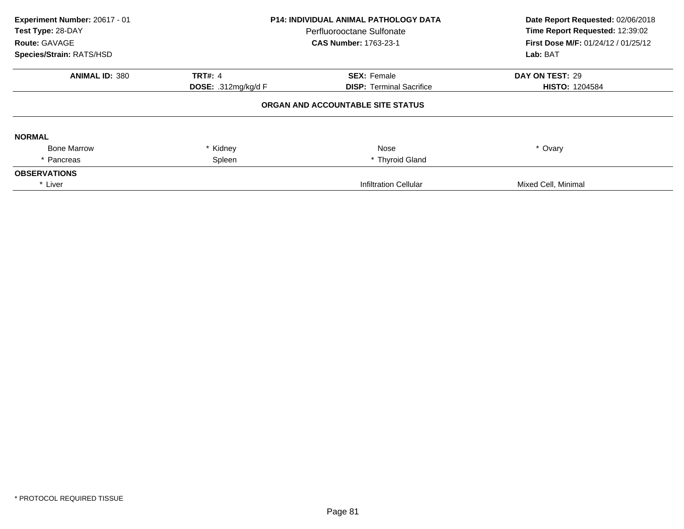| Experiment Number: 20617 - 01<br>Test Type: 28-DAY<br>Route: GAVAGE<br>Species/Strain: RATS/HSD | <b>P14: INDIVIDUAL ANIMAL PATHOLOGY DATA</b><br>Perfluorooctane Sulfonate<br><b>CAS Number: 1763-23-1</b> |                                   | Date Report Requested: 02/06/2018<br>Time Report Requested: 12:39:02<br><b>First Dose M/F: 01/24/12 / 01/25/12</b><br>Lab: BAT |
|-------------------------------------------------------------------------------------------------|-----------------------------------------------------------------------------------------------------------|-----------------------------------|--------------------------------------------------------------------------------------------------------------------------------|
| <b>ANIMAL ID: 380</b>                                                                           | <b>TRT#: 4</b>                                                                                            | <b>SEX: Female</b>                | DAY ON TEST: 29                                                                                                                |
|                                                                                                 | <b>DOSE:</b> .312mg/kg/d F                                                                                | <b>DISP:</b> Terminal Sacrifice   | <b>HISTO: 1204584</b>                                                                                                          |
|                                                                                                 |                                                                                                           | ORGAN AND ACCOUNTABLE SITE STATUS |                                                                                                                                |
| <b>NORMAL</b>                                                                                   |                                                                                                           |                                   |                                                                                                                                |
| <b>Bone Marrow</b>                                                                              | * Kidney                                                                                                  | Nose                              | * Ovary                                                                                                                        |
| * Pancreas                                                                                      | Spleen                                                                                                    | * Thyroid Gland                   |                                                                                                                                |
| <b>OBSERVATIONS</b>                                                                             |                                                                                                           |                                   |                                                                                                                                |
| * Liver                                                                                         |                                                                                                           | <b>Infiltration Cellular</b>      | Mixed Cell, Minimal                                                                                                            |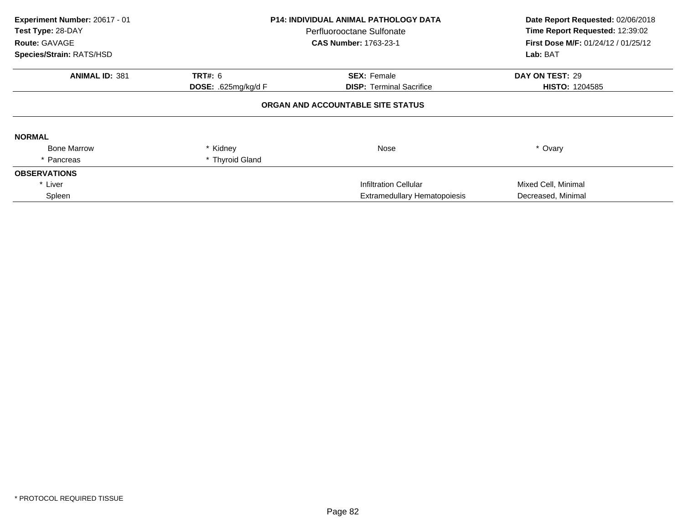| Experiment Number: 20617 - 01<br>Test Type: 28-DAY<br>Route: GAVAGE<br>Species/Strain: RATS/HSD | <b>P14: INDIVIDUAL ANIMAL PATHOLOGY DATA</b><br>Perfluorooctane Sulfonate<br><b>CAS Number: 1763-23-1</b> |                                     | Date Report Requested: 02/06/2018<br>Time Report Requested: 12:39:02<br>First Dose M/F: 01/24/12 / 01/25/12<br>Lab: BAT |
|-------------------------------------------------------------------------------------------------|-----------------------------------------------------------------------------------------------------------|-------------------------------------|-------------------------------------------------------------------------------------------------------------------------|
| <b>ANIMAL ID: 381</b>                                                                           | <b>TRT#: 6</b>                                                                                            | <b>SEX: Female</b>                  | DAY ON TEST: 29                                                                                                         |
|                                                                                                 | DOSE: .625mg/kg/d F                                                                                       | <b>DISP:</b> Terminal Sacrifice     | <b>HISTO: 1204585</b>                                                                                                   |
|                                                                                                 |                                                                                                           | ORGAN AND ACCOUNTABLE SITE STATUS   |                                                                                                                         |
| <b>NORMAL</b>                                                                                   |                                                                                                           |                                     |                                                                                                                         |
| <b>Bone Marrow</b>                                                                              | * Kidney                                                                                                  | Nose                                | * Ovary                                                                                                                 |
| * Pancreas                                                                                      | * Thyroid Gland                                                                                           |                                     |                                                                                                                         |
| <b>OBSERVATIONS</b>                                                                             |                                                                                                           |                                     |                                                                                                                         |
| * Liver                                                                                         |                                                                                                           | Infiltration Cellular               | Mixed Cell, Minimal                                                                                                     |
| Spleen                                                                                          |                                                                                                           | <b>Extramedullary Hematopoiesis</b> | Decreased, Minimal                                                                                                      |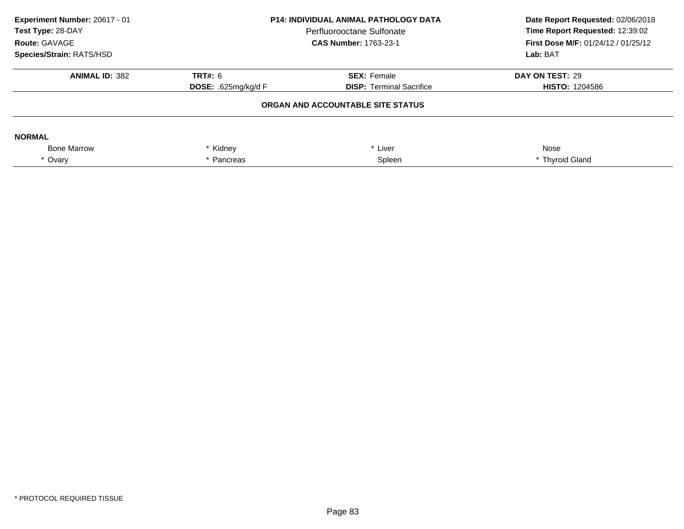| Experiment Number: 20617 - 01<br>Test Type: 28-DAY<br>Route: GAVAGE<br><b>Species/Strain: RATS/HSD</b> | <b>P14: INDIVIDUAL ANIMAL PATHOLOGY DATA</b><br>Perfluorooctane Sulfonate<br><b>CAS Number: 1763-23-1</b> |                                   | Date Report Requested: 02/06/2018<br>Time Report Requested: 12:39:02<br>First Dose M/F: 01/24/12 / 01/25/12<br>Lab: BAT |
|--------------------------------------------------------------------------------------------------------|-----------------------------------------------------------------------------------------------------------|-----------------------------------|-------------------------------------------------------------------------------------------------------------------------|
| <b>ANIMAL ID: 382</b>                                                                                  | TRT#: 6                                                                                                   | <b>SEX: Female</b>                | DAY ON TEST: 29                                                                                                         |
|                                                                                                        | <b>DOSE: .625mg/kg/d F</b>                                                                                | <b>DISP:</b> Terminal Sacrifice   | <b>HISTO: 1204586</b>                                                                                                   |
|                                                                                                        |                                                                                                           | ORGAN AND ACCOUNTABLE SITE STATUS |                                                                                                                         |
| <b>NORMAL</b>                                                                                          |                                                                                                           |                                   |                                                                                                                         |
| <b>Bone Marrow</b>                                                                                     | * Kidney<br>* Liver                                                                                       |                                   | Nose                                                                                                                    |
| * Ovary                                                                                                | * Pancreas                                                                                                | Spleen                            | * Thyroid Gland                                                                                                         |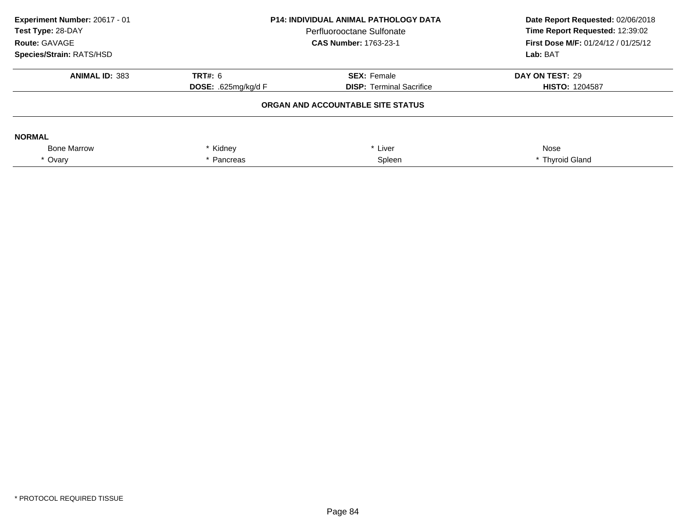| Experiment Number: 20617 - 01<br>Test Type: 28-DAY<br>Route: GAVAGE<br>Species/Strain: RATS/HSD | <b>P14: INDIVIDUAL ANIMAL PATHOLOGY DATA</b><br>Perfluorooctane Sulfonate<br><b>CAS Number: 1763-23-1</b> |                                   | Date Report Requested: 02/06/2018<br>Time Report Requested: 12:39:02<br><b>First Dose M/F: 01/24/12 / 01/25/12</b><br>Lab: BAT |
|-------------------------------------------------------------------------------------------------|-----------------------------------------------------------------------------------------------------------|-----------------------------------|--------------------------------------------------------------------------------------------------------------------------------|
| <b>ANIMAL ID: 383</b>                                                                           | <b>TRT#: 6</b>                                                                                            | <b>SEX: Female</b>                | DAY ON TEST: 29                                                                                                                |
|                                                                                                 | <b>DOSE: .625mg/kg/d F</b>                                                                                | <b>DISP:</b> Terminal Sacrifice   | <b>HISTO: 1204587</b>                                                                                                          |
|                                                                                                 |                                                                                                           | ORGAN AND ACCOUNTABLE SITE STATUS |                                                                                                                                |
| <b>NORMAL</b>                                                                                   |                                                                                                           |                                   |                                                                                                                                |
| <b>Bone Marrow</b>                                                                              | * Kidney                                                                                                  | * Liver                           | Nose                                                                                                                           |
| * Ovary                                                                                         | Pancreas                                                                                                  | Spleen                            | * Thyroid Gland                                                                                                                |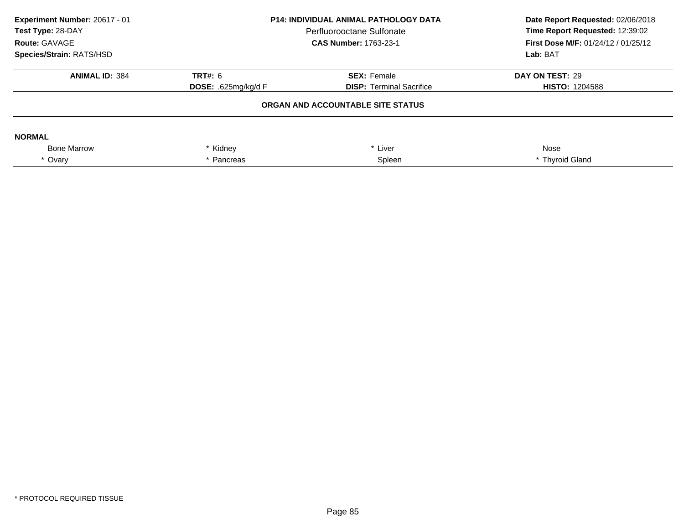| Experiment Number: 20617 - 01<br>Test Type: 28-DAY<br>Route: GAVAGE<br>Species/Strain: RATS/HSD | <b>P14: INDIVIDUAL ANIMAL PATHOLOGY DATA</b><br>Perfluorooctane Sulfonate<br><b>CAS Number: 1763-23-1</b> |                                   | Date Report Requested: 02/06/2018<br>Time Report Requested: 12:39:02<br><b>First Dose M/F: 01/24/12 / 01/25/12</b><br>Lab: BAT |
|-------------------------------------------------------------------------------------------------|-----------------------------------------------------------------------------------------------------------|-----------------------------------|--------------------------------------------------------------------------------------------------------------------------------|
| <b>ANIMAL ID: 384</b>                                                                           | <b>TRT#: 6</b>                                                                                            | <b>SEX: Female</b>                | DAY ON TEST: 29                                                                                                                |
|                                                                                                 | <b>DOSE: .625mg/kg/d F</b>                                                                                | <b>DISP:</b> Terminal Sacrifice   | <b>HISTO: 1204588</b>                                                                                                          |
|                                                                                                 |                                                                                                           | ORGAN AND ACCOUNTABLE SITE STATUS |                                                                                                                                |
| <b>NORMAL</b>                                                                                   |                                                                                                           |                                   |                                                                                                                                |
| <b>Bone Marrow</b>                                                                              | * Kidney<br>* Liver                                                                                       |                                   | Nose                                                                                                                           |
| * Ovary                                                                                         | Pancreas                                                                                                  | Spleen                            | * Thyroid Gland                                                                                                                |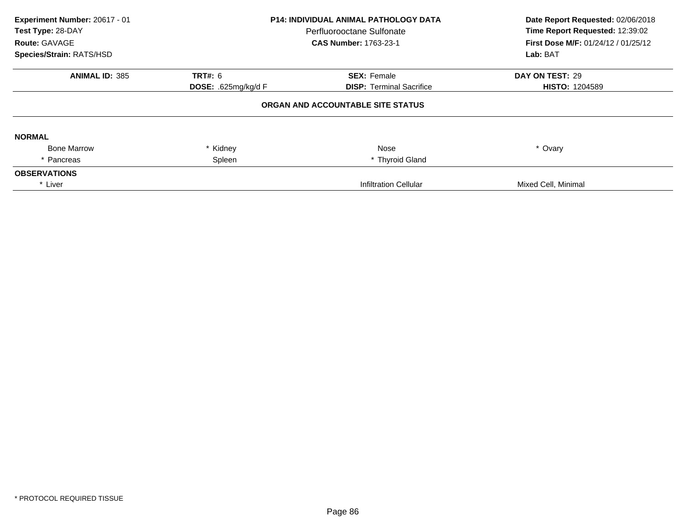| Experiment Number: 20617 - 01<br>Test Type: 28-DAY<br>Route: GAVAGE<br>Species/Strain: RATS/HSD | <b>P14: INDIVIDUAL ANIMAL PATHOLOGY DATA</b><br>Perfluorooctane Sulfonate<br><b>CAS Number: 1763-23-1</b> |                                   | Date Report Requested: 02/06/2018<br>Time Report Requested: 12:39:02<br><b>First Dose M/F: 01/24/12 / 01/25/12</b><br>Lab: BAT |
|-------------------------------------------------------------------------------------------------|-----------------------------------------------------------------------------------------------------------|-----------------------------------|--------------------------------------------------------------------------------------------------------------------------------|
| <b>ANIMAL ID: 385</b>                                                                           | <b>TRT#: 6</b>                                                                                            | <b>SEX: Female</b>                | DAY ON TEST: 29                                                                                                                |
|                                                                                                 | <b>DOSE:</b> .625mg/kg/d $F$                                                                              | <b>DISP:</b> Terminal Sacrifice   | <b>HISTO: 1204589</b>                                                                                                          |
|                                                                                                 |                                                                                                           | ORGAN AND ACCOUNTABLE SITE STATUS |                                                                                                                                |
| <b>NORMAL</b>                                                                                   |                                                                                                           |                                   |                                                                                                                                |
| <b>Bone Marrow</b>                                                                              | * Kidney                                                                                                  | Nose                              | * Ovary                                                                                                                        |
| * Pancreas                                                                                      | Spleen                                                                                                    | * Thyroid Gland                   |                                                                                                                                |
| <b>OBSERVATIONS</b>                                                                             |                                                                                                           |                                   |                                                                                                                                |
| * Liver                                                                                         |                                                                                                           | <b>Infiltration Cellular</b>      | Mixed Cell, Minimal                                                                                                            |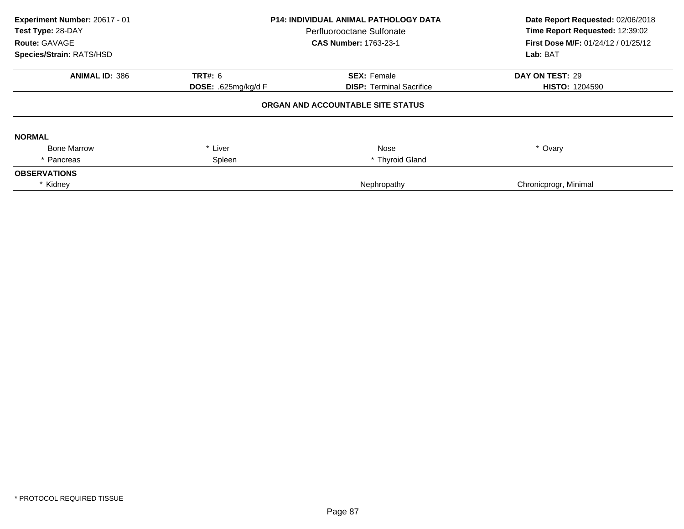| Experiment Number: 20617 - 01<br>Test Type: 28-DAY<br>Route: GAVAGE<br>Species/Strain: RATS/HSD | <b>P14: INDIVIDUAL ANIMAL PATHOLOGY DATA</b><br>Perfluorooctane Sulfonate<br><b>CAS Number: 1763-23-1</b> |                                   | Date Report Requested: 02/06/2018<br>Time Report Requested: 12:39:02<br>First Dose M/F: 01/24/12 / 01/25/12<br>Lab: BAT |
|-------------------------------------------------------------------------------------------------|-----------------------------------------------------------------------------------------------------------|-----------------------------------|-------------------------------------------------------------------------------------------------------------------------|
| <b>ANIMAL ID: 386</b>                                                                           | <b>TRT#: 6</b>                                                                                            | <b>SEX: Female</b>                | DAY ON TEST: 29                                                                                                         |
|                                                                                                 | DOSE: .625mg/kg/d F                                                                                       | <b>DISP: Terminal Sacrifice</b>   | <b>HISTO: 1204590</b>                                                                                                   |
|                                                                                                 |                                                                                                           | ORGAN AND ACCOUNTABLE SITE STATUS |                                                                                                                         |
| <b>NORMAL</b>                                                                                   |                                                                                                           |                                   |                                                                                                                         |
| <b>Bone Marrow</b>                                                                              | * Liver                                                                                                   | Nose                              | * Ovary                                                                                                                 |
| * Pancreas                                                                                      | Spleen                                                                                                    | * Thyroid Gland                   |                                                                                                                         |
| <b>OBSERVATIONS</b>                                                                             |                                                                                                           |                                   |                                                                                                                         |
| * Kidney                                                                                        |                                                                                                           | Nephropathy                       | Chronicprogr, Minimal                                                                                                   |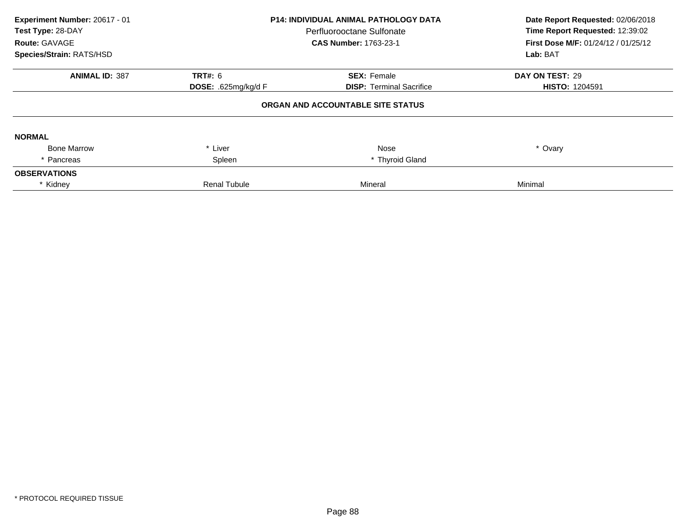| Experiment Number: 20617 - 01<br>Test Type: 28-DAY<br>Route: GAVAGE<br>Species/Strain: RATS/HSD | P14: INDIVIDUAL ANIMAL PATHOLOGY DATA<br>Perfluorooctane Sulfonate<br><b>CAS Number: 1763-23-1</b> |                                   | Date Report Requested: 02/06/2018<br>Time Report Requested: 12:39:02<br><b>First Dose M/F: 01/24/12 / 01/25/12</b><br>Lab: BAT |
|-------------------------------------------------------------------------------------------------|----------------------------------------------------------------------------------------------------|-----------------------------------|--------------------------------------------------------------------------------------------------------------------------------|
| <b>ANIMAL ID: 387</b>                                                                           | <b>TRT#: 6</b>                                                                                     | <b>SEX: Female</b>                | DAY ON TEST: 29                                                                                                                |
|                                                                                                 | <b>DOSE:</b> .625mg/kg/d $F$                                                                       | <b>DISP: Terminal Sacrifice</b>   | <b>HISTO: 1204591</b>                                                                                                          |
|                                                                                                 |                                                                                                    | ORGAN AND ACCOUNTABLE SITE STATUS |                                                                                                                                |
| <b>NORMAL</b>                                                                                   |                                                                                                    |                                   |                                                                                                                                |
| <b>Bone Marrow</b>                                                                              | * Liver                                                                                            | Nose                              | * Ovary                                                                                                                        |
| * Pancreas                                                                                      | Spleen                                                                                             | * Thyroid Gland                   |                                                                                                                                |
| <b>OBSERVATIONS</b>                                                                             |                                                                                                    |                                   |                                                                                                                                |
| * Kidney                                                                                        | <b>Renal Tubule</b>                                                                                | Mineral                           | Minimal                                                                                                                        |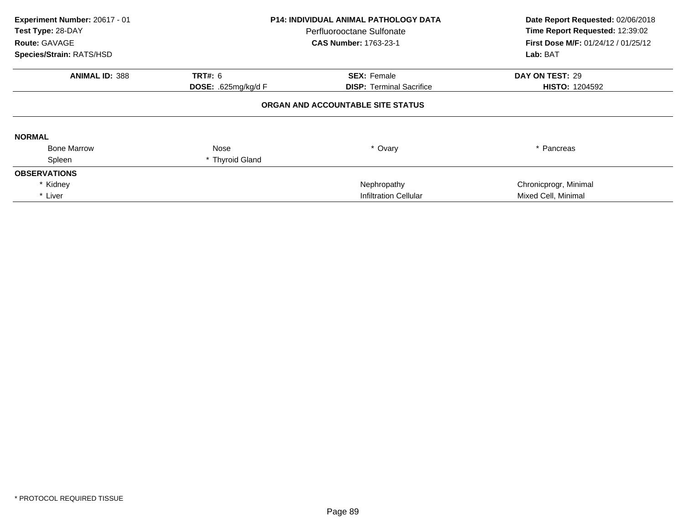| Experiment Number: 20617 - 01<br>Test Type: 28-DAY<br><b>Route: GAVAGE</b><br>Species/Strain: RATS/HSD | <b>P14: INDIVIDUAL ANIMAL PATHOLOGY DATA</b><br>Perfluorooctane Sulfonate<br><b>CAS Number: 1763-23-1</b> |                                                       | Date Report Requested: 02/06/2018<br>Time Report Requested: 12:39:02<br><b>First Dose M/F: 01/24/12 / 01/25/12</b><br>Lab: BAT |
|--------------------------------------------------------------------------------------------------------|-----------------------------------------------------------------------------------------------------------|-------------------------------------------------------|--------------------------------------------------------------------------------------------------------------------------------|
| <b>ANIMAL ID: 388</b>                                                                                  |                                                                                                           |                                                       | DAY ON TEST: 29                                                                                                                |
|                                                                                                        | <b>TRT#: 6</b><br><b>DOSE:</b> .625mg/kg/d $F$                                                            | <b>SEX: Female</b><br><b>DISP:</b> Terminal Sacrifice | <b>HISTO: 1204592</b>                                                                                                          |
|                                                                                                        |                                                                                                           | ORGAN AND ACCOUNTABLE SITE STATUS                     |                                                                                                                                |
| <b>NORMAL</b>                                                                                          |                                                                                                           |                                                       |                                                                                                                                |
| <b>Bone Marrow</b>                                                                                     | Nose                                                                                                      | * Ovary                                               | * Pancreas                                                                                                                     |
| Spleen                                                                                                 | * Thyroid Gland                                                                                           |                                                       |                                                                                                                                |
| <b>OBSERVATIONS</b>                                                                                    |                                                                                                           |                                                       |                                                                                                                                |
| * Kidney                                                                                               |                                                                                                           | Nephropathy                                           | Chronicprogr, Minimal                                                                                                          |
| * Liver                                                                                                |                                                                                                           | <b>Infiltration Cellular</b>                          | Mixed Cell, Minimal                                                                                                            |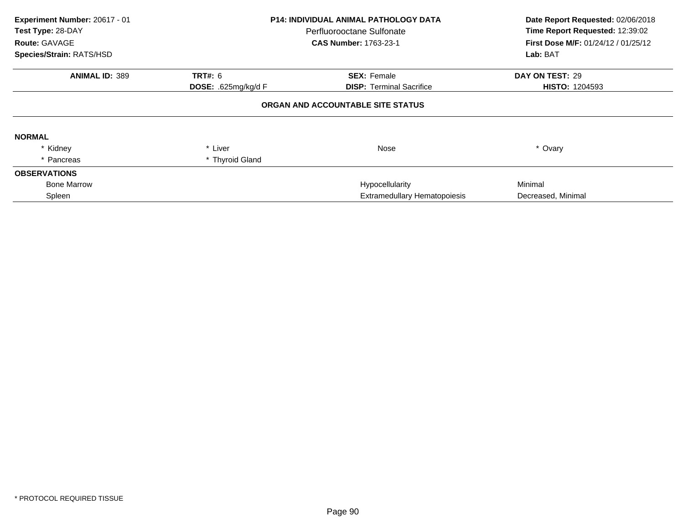| Experiment Number: 20617 - 01<br>Test Type: 28-DAY<br>Route: GAVAGE<br>Species/Strain: RATS/HSD | P14: INDIVIDUAL ANIMAL PATHOLOGY DATA<br>Perfluorooctane Sulfonate<br><b>CAS Number: 1763-23-1</b> |                                                       | Date Report Requested: 02/06/2018<br>Time Report Requested: 12:39:02<br>First Dose M/F: 01/24/12 / 01/25/12<br>Lab: BAT |
|-------------------------------------------------------------------------------------------------|----------------------------------------------------------------------------------------------------|-------------------------------------------------------|-------------------------------------------------------------------------------------------------------------------------|
|                                                                                                 |                                                                                                    |                                                       |                                                                                                                         |
| <b>ANIMAL ID: 389</b>                                                                           | <b>TRT#: 6</b><br>DOSE: .625mg/kg/d F                                                              | <b>SEX: Female</b><br><b>DISP:</b> Terminal Sacrifice | DAY ON TEST: 29<br><b>HISTO: 1204593</b>                                                                                |
|                                                                                                 |                                                                                                    | ORGAN AND ACCOUNTABLE SITE STATUS                     |                                                                                                                         |
| <b>NORMAL</b>                                                                                   |                                                                                                    |                                                       |                                                                                                                         |
| * Kidney                                                                                        | * Liver                                                                                            | Nose                                                  | * Ovary                                                                                                                 |
| * Pancreas                                                                                      | * Thyroid Gland                                                                                    |                                                       |                                                                                                                         |
| <b>OBSERVATIONS</b>                                                                             |                                                                                                    |                                                       |                                                                                                                         |
| <b>Bone Marrow</b>                                                                              |                                                                                                    | Hypocellularity                                       | Minimal                                                                                                                 |
| Spleen                                                                                          |                                                                                                    | <b>Extramedullary Hematopoiesis</b>                   | Decreased, Minimal                                                                                                      |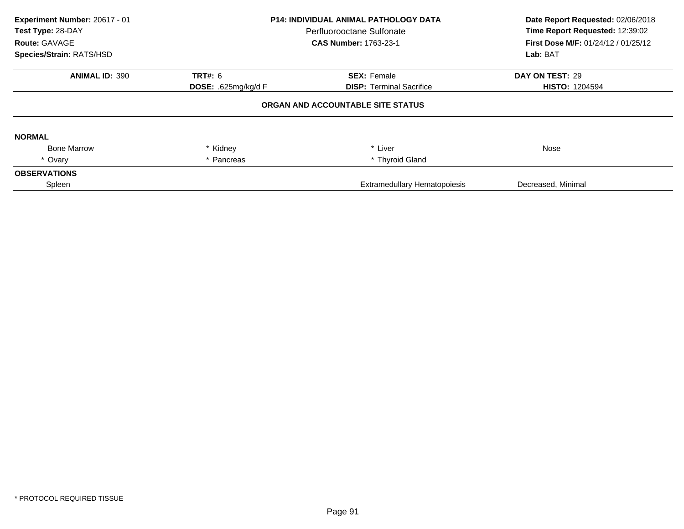| Experiment Number: 20617 - 01<br>Test Type: 28-DAY<br>Route: GAVAGE<br>Species/Strain: RATS/HSD | <b>P14: INDIVIDUAL ANIMAL PATHOLOGY DATA</b><br>Perfluorooctane Sulfonate<br><b>CAS Number: 1763-23-1</b> |                                     | Date Report Requested: 02/06/2018<br>Time Report Requested: 12:39:02<br>First Dose M/F: 01/24/12 / 01/25/12<br>Lab: BAT |
|-------------------------------------------------------------------------------------------------|-----------------------------------------------------------------------------------------------------------|-------------------------------------|-------------------------------------------------------------------------------------------------------------------------|
| <b>ANIMAL ID: 390</b>                                                                           | <b>TRT#: 6</b>                                                                                            | <b>SEX: Female</b>                  | DAY ON TEST: 29                                                                                                         |
|                                                                                                 | DOSE: .625mg/kg/d F                                                                                       | <b>DISP: Terminal Sacrifice</b>     | <b>HISTO: 1204594</b>                                                                                                   |
|                                                                                                 |                                                                                                           | ORGAN AND ACCOUNTABLE SITE STATUS   |                                                                                                                         |
| <b>NORMAL</b>                                                                                   |                                                                                                           |                                     |                                                                                                                         |
| <b>Bone Marrow</b>                                                                              | * Kidney                                                                                                  | * Liver                             | Nose                                                                                                                    |
| * Ovary                                                                                         | * Pancreas                                                                                                | * Thyroid Gland                     |                                                                                                                         |
| <b>OBSERVATIONS</b>                                                                             |                                                                                                           |                                     |                                                                                                                         |
| Spleen                                                                                          |                                                                                                           | <b>Extramedullary Hematopoiesis</b> | Decreased, Minimal                                                                                                      |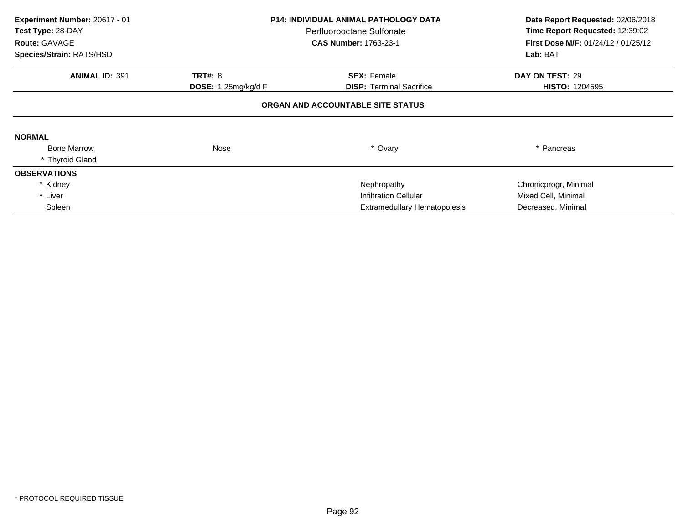| Experiment Number: 20617 - 01<br>Test Type: 28-DAY<br>Route: GAVAGE | <b>P14: INDIVIDUAL ANIMAL PATHOLOGY DATA</b><br>Perfluorooctane Sulfonate<br><b>CAS Number: 1763-23-1</b> |                                     | Date Report Requested: 02/06/2018<br>Time Report Requested: 12:39:02<br>First Dose M/F: 01/24/12 / 01/25/12 |
|---------------------------------------------------------------------|-----------------------------------------------------------------------------------------------------------|-------------------------------------|-------------------------------------------------------------------------------------------------------------|
| Species/Strain: RATS/HSD                                            |                                                                                                           |                                     | Lab: BAT                                                                                                    |
| <b>ANIMAL ID: 391</b>                                               | <b>TRT#: 8</b>                                                                                            | <b>SEX: Female</b>                  | DAY ON TEST: 29                                                                                             |
|                                                                     | <b>DOSE:</b> 1.25mg/kg/d F                                                                                | <b>DISP:</b> Terminal Sacrifice     | <b>HISTO: 1204595</b>                                                                                       |
|                                                                     |                                                                                                           | ORGAN AND ACCOUNTABLE SITE STATUS   |                                                                                                             |
| <b>NORMAL</b>                                                       |                                                                                                           |                                     |                                                                                                             |
| <b>Bone Marrow</b>                                                  | Nose                                                                                                      | * Ovary                             | * Pancreas                                                                                                  |
| * Thyroid Gland                                                     |                                                                                                           |                                     |                                                                                                             |
| <b>OBSERVATIONS</b>                                                 |                                                                                                           |                                     |                                                                                                             |
| * Kidney                                                            |                                                                                                           | Nephropathy                         | Chronicprogr, Minimal                                                                                       |
| * Liver                                                             |                                                                                                           | Infiltration Cellular               | Mixed Cell, Minimal                                                                                         |
| Spleen                                                              |                                                                                                           | <b>Extramedullary Hematopoiesis</b> | Decreased, Minimal                                                                                          |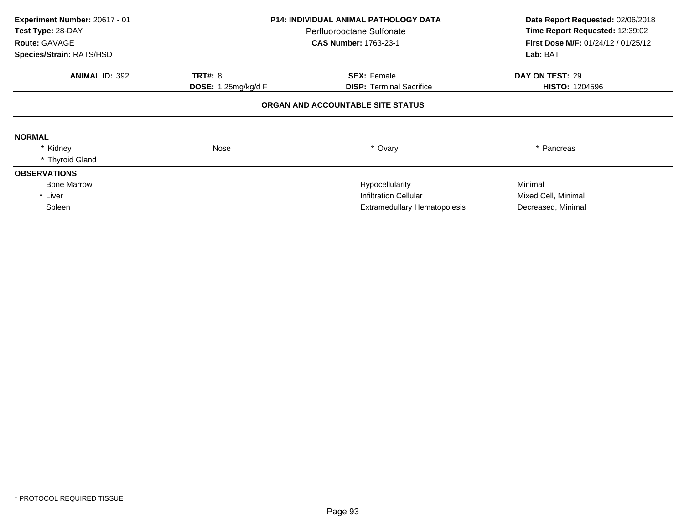| Experiment Number: 20617 - 01<br>Test Type: 28-DAY<br>Route: GAVAGE | <b>P14: INDIVIDUAL ANIMAL PATHOLOGY DATA</b><br>Perfluorooctane Sulfonate<br><b>CAS Number: 1763-23-1</b> |                                     | Date Report Requested: 02/06/2018<br>Time Report Requested: 12:39:02<br><b>First Dose M/F: 01/24/12 / 01/25/12</b> |  |
|---------------------------------------------------------------------|-----------------------------------------------------------------------------------------------------------|-------------------------------------|--------------------------------------------------------------------------------------------------------------------|--|
| Species/Strain: RATS/HSD                                            |                                                                                                           |                                     |                                                                                                                    |  |
| <b>ANIMAL ID: 392</b>                                               | <b>TRT#: 8</b>                                                                                            | <b>SEX: Female</b>                  | DAY ON TEST: 29                                                                                                    |  |
|                                                                     | <b>DOSE:</b> 1.25mg/kg/d F                                                                                | <b>DISP:</b> Terminal Sacrifice     | <b>HISTO: 1204596</b>                                                                                              |  |
|                                                                     |                                                                                                           | ORGAN AND ACCOUNTABLE SITE STATUS   |                                                                                                                    |  |
| <b>NORMAL</b>                                                       |                                                                                                           |                                     |                                                                                                                    |  |
| * Kidney                                                            | Nose                                                                                                      | * Ovary                             | * Pancreas                                                                                                         |  |
| * Thyroid Gland                                                     |                                                                                                           |                                     |                                                                                                                    |  |
| <b>OBSERVATIONS</b>                                                 |                                                                                                           |                                     |                                                                                                                    |  |
| <b>Bone Marrow</b>                                                  |                                                                                                           | Hypocellularity                     | Minimal                                                                                                            |  |
| * Liver                                                             |                                                                                                           | Infiltration Cellular               | Mixed Cell, Minimal                                                                                                |  |
| Spleen                                                              |                                                                                                           | <b>Extramedullary Hematopoiesis</b> | Decreased, Minimal                                                                                                 |  |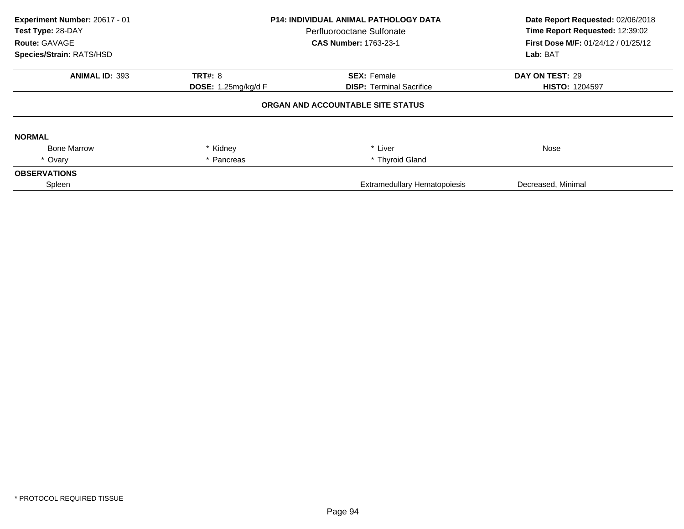| Experiment Number: 20617 - 01<br>Test Type: 28-DAY<br>Route: GAVAGE<br>Species/Strain: RATS/HSD | <b>P14: INDIVIDUAL ANIMAL PATHOLOGY DATA</b><br>Perfluorooctane Sulfonate<br><b>CAS Number: 1763-23-1</b> |                                     | Date Report Requested: 02/06/2018<br>Time Report Requested: 12:39:02<br>First Dose M/F: 01/24/12 / 01/25/12<br>Lab: BAT |  |
|-------------------------------------------------------------------------------------------------|-----------------------------------------------------------------------------------------------------------|-------------------------------------|-------------------------------------------------------------------------------------------------------------------------|--|
| <b>ANIMAL ID: 393</b>                                                                           | <b>TRT#: 8</b>                                                                                            | <b>SEX: Female</b>                  | DAY ON TEST: 29                                                                                                         |  |
|                                                                                                 | DOSE: 1.25mg/kg/d F                                                                                       | <b>DISP: Terminal Sacrifice</b>     | <b>HISTO: 1204597</b>                                                                                                   |  |
|                                                                                                 |                                                                                                           | ORGAN AND ACCOUNTABLE SITE STATUS   |                                                                                                                         |  |
| <b>NORMAL</b>                                                                                   |                                                                                                           |                                     |                                                                                                                         |  |
| <b>Bone Marrow</b>                                                                              | * Kidney                                                                                                  | * Liver                             | Nose                                                                                                                    |  |
| * Ovary                                                                                         | * Pancreas                                                                                                | * Thyroid Gland                     |                                                                                                                         |  |
| <b>OBSERVATIONS</b>                                                                             |                                                                                                           |                                     |                                                                                                                         |  |
| Spleen                                                                                          |                                                                                                           | <b>Extramedullary Hematopoiesis</b> | Decreased, Minimal                                                                                                      |  |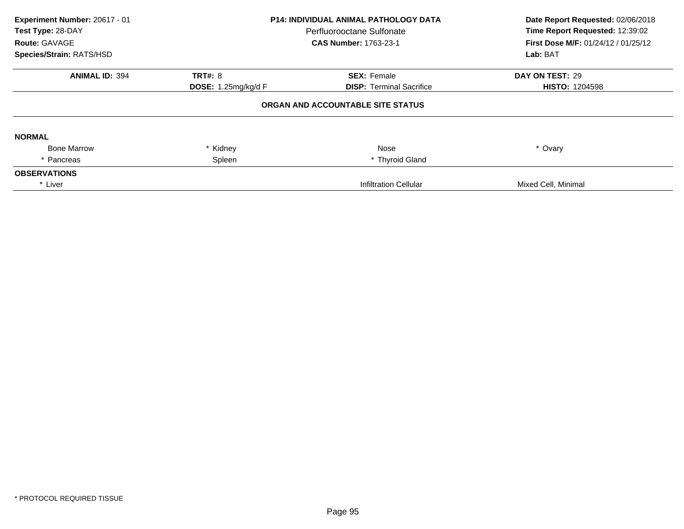| Experiment Number: 20617 - 01<br>Test Type: 28-DAY<br><b>Route: GAVAGE</b><br>Species/Strain: RATS/HSD | <b>P14: INDIVIDUAL ANIMAL PATHOLOGY DATA</b><br>Perfluorooctane Sulfonate<br><b>CAS Number: 1763-23-1</b> |                                   | Date Report Requested: 02/06/2018<br>Time Report Requested: 12:39:02<br><b>First Dose M/F: 01/24/12 / 01/25/12</b><br>Lab: BAT |
|--------------------------------------------------------------------------------------------------------|-----------------------------------------------------------------------------------------------------------|-----------------------------------|--------------------------------------------------------------------------------------------------------------------------------|
| <b>ANIMAL ID: 394</b>                                                                                  | <b>TRT#: 8</b>                                                                                            | <b>SEX: Female</b>                | DAY ON TEST: 29                                                                                                                |
|                                                                                                        | <b>DOSE: 1.25mg/kg/d F</b>                                                                                | <b>DISP: Terminal Sacrifice</b>   | <b>HISTO: 1204598</b>                                                                                                          |
|                                                                                                        |                                                                                                           | ORGAN AND ACCOUNTABLE SITE STATUS |                                                                                                                                |
| <b>NORMAL</b>                                                                                          |                                                                                                           |                                   |                                                                                                                                |
| <b>Bone Marrow</b>                                                                                     | * Kidney                                                                                                  | Nose                              | * Ovary                                                                                                                        |
| * Pancreas                                                                                             | Spleen                                                                                                    | * Thyroid Gland                   |                                                                                                                                |
| <b>OBSERVATIONS</b>                                                                                    |                                                                                                           |                                   |                                                                                                                                |
| * Liver                                                                                                |                                                                                                           | <b>Infiltration Cellular</b>      | Mixed Cell, Minimal                                                                                                            |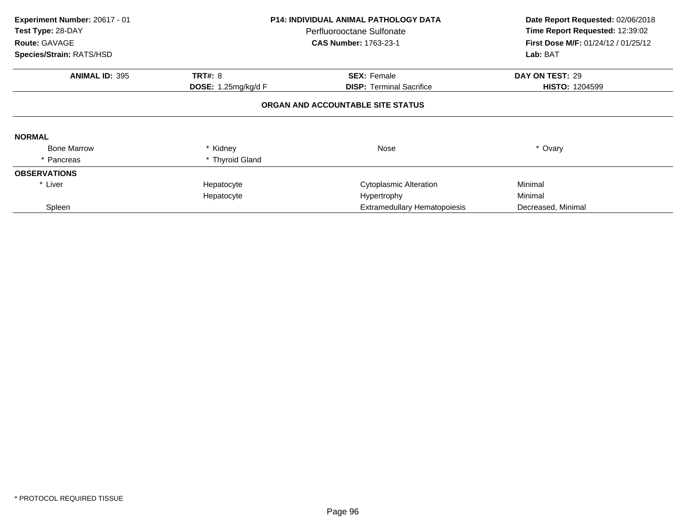| Experiment Number: 20617 - 01<br>Test Type: 28-DAY<br>Route: GAVAGE | <b>P14: INDIVIDUAL ANIMAL PATHOLOGY DATA</b><br>Perfluorooctane Sulfonate<br><b>CAS Number: 1763-23-1</b> |                                 | Date Report Requested: 02/06/2018<br>Time Report Requested: 12:39:02<br>First Dose M/F: 01/24/12 / 01/25/12 |  |  |  |  |
|---------------------------------------------------------------------|-----------------------------------------------------------------------------------------------------------|---------------------------------|-------------------------------------------------------------------------------------------------------------|--|--|--|--|
| Species/Strain: RATS/HSD                                            |                                                                                                           |                                 | Lab: BAT                                                                                                    |  |  |  |  |
| <b>ANIMAL ID: 395</b>                                               | <b>TRT#: 8</b>                                                                                            | <b>SEX: Female</b>              | DAY ON TEST: 29                                                                                             |  |  |  |  |
|                                                                     | <b>DOSE:</b> 1.25mg/kg/d F                                                                                | <b>DISP:</b> Terminal Sacrifice | <b>HISTO: 1204599</b>                                                                                       |  |  |  |  |
|                                                                     | ORGAN AND ACCOUNTABLE SITE STATUS                                                                         |                                 |                                                                                                             |  |  |  |  |
| <b>NORMAL</b>                                                       |                                                                                                           |                                 |                                                                                                             |  |  |  |  |
| <b>Bone Marrow</b>                                                  | * Kidney                                                                                                  | Nose                            | * Ovary                                                                                                     |  |  |  |  |
| * Pancreas                                                          | * Thyroid Gland                                                                                           |                                 |                                                                                                             |  |  |  |  |
| <b>OBSERVATIONS</b>                                                 |                                                                                                           |                                 |                                                                                                             |  |  |  |  |
| * Liver                                                             | Hepatocyte                                                                                                | <b>Cytoplasmic Alteration</b>   | Minimal                                                                                                     |  |  |  |  |
|                                                                     | Hepatocyte                                                                                                | Hypertrophy                     | Minimal                                                                                                     |  |  |  |  |
| Spleen                                                              |                                                                                                           | Extramedullary Hematopoiesis    | Decreased, Minimal                                                                                          |  |  |  |  |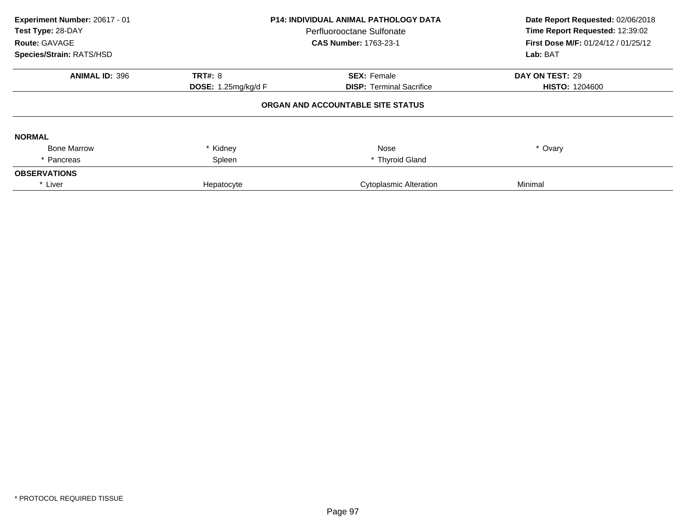| Experiment Number: 20617 - 01<br>Test Type: 28-DAY<br>Route: GAVAGE<br>Species/Strain: RATS/HSD | P14: INDIVIDUAL ANIMAL PATHOLOGY DATA<br>Perfluorooctane Sulfonate<br><b>CAS Number: 1763-23-1</b> |                                   | Date Report Requested: 02/06/2018<br>Time Report Requested: 12:39:02<br><b>First Dose M/F: 01/24/12 / 01/25/12</b><br>Lab: BAT |
|-------------------------------------------------------------------------------------------------|----------------------------------------------------------------------------------------------------|-----------------------------------|--------------------------------------------------------------------------------------------------------------------------------|
| <b>ANIMAL ID: 396</b>                                                                           | <b>TRT#: 8</b>                                                                                     | <b>SEX: Female</b>                | DAY ON TEST: 29                                                                                                                |
|                                                                                                 | <b>DOSE:</b> 1.25mg/kg/d F                                                                         | <b>DISP:</b> Terminal Sacrifice   | <b>HISTO: 1204600</b>                                                                                                          |
|                                                                                                 |                                                                                                    | ORGAN AND ACCOUNTABLE SITE STATUS |                                                                                                                                |
| <b>NORMAL</b>                                                                                   |                                                                                                    |                                   |                                                                                                                                |
| <b>Bone Marrow</b>                                                                              | * Kidney                                                                                           | Nose                              | * Ovary                                                                                                                        |
| * Pancreas                                                                                      | Spleen                                                                                             | * Thyroid Gland                   |                                                                                                                                |
| <b>OBSERVATIONS</b>                                                                             |                                                                                                    |                                   |                                                                                                                                |
| * Liver                                                                                         | Hepatocyte                                                                                         | <b>Cytoplasmic Alteration</b>     | Minimal                                                                                                                        |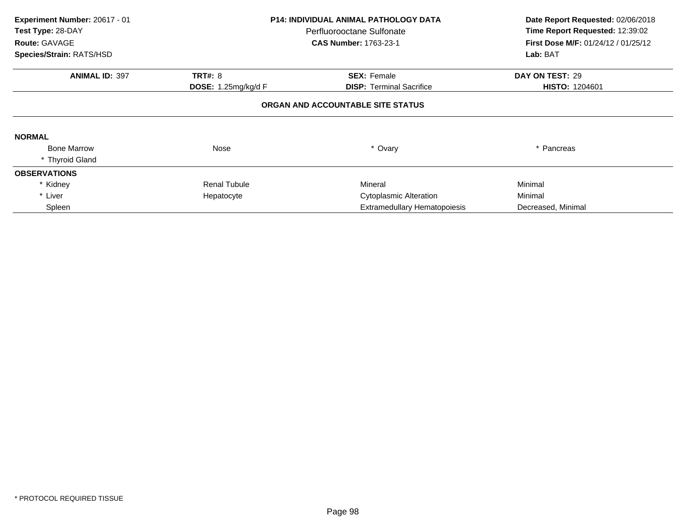| Experiment Number: 20617 - 01<br>Test Type: 28-DAY<br>Route: GAVAGE | <b>P14: INDIVIDUAL ANIMAL PATHOLOGY DATA</b><br>Perfluorooctane Sulfonate<br><b>CAS Number: 1763-23-1</b> |                                     | Date Report Requested: 02/06/2018<br>Time Report Requested: 12:39:02<br><b>First Dose M/F: 01/24/12 / 01/25/12</b> |
|---------------------------------------------------------------------|-----------------------------------------------------------------------------------------------------------|-------------------------------------|--------------------------------------------------------------------------------------------------------------------|
| Species/Strain: RATS/HSD                                            |                                                                                                           |                                     | Lab: BAT                                                                                                           |
| <b>ANIMAL ID: 397</b>                                               | <b>TRT#: 8</b>                                                                                            | <b>SEX: Female</b>                  | DAY ON TEST: 29                                                                                                    |
|                                                                     | <b>DOSE:</b> 1.25mg/kg/d $F$                                                                              | <b>DISP:</b> Terminal Sacrifice     | <b>HISTO: 1204601</b>                                                                                              |
|                                                                     |                                                                                                           | ORGAN AND ACCOUNTABLE SITE STATUS   |                                                                                                                    |
| <b>NORMAL</b>                                                       |                                                                                                           |                                     |                                                                                                                    |
| <b>Bone Marrow</b>                                                  | Nose                                                                                                      | * Ovary                             | * Pancreas                                                                                                         |
| * Thyroid Gland                                                     |                                                                                                           |                                     |                                                                                                                    |
| <b>OBSERVATIONS</b>                                                 |                                                                                                           |                                     |                                                                                                                    |
| * Kidney                                                            | <b>Renal Tubule</b>                                                                                       | Mineral                             | Minimal                                                                                                            |
| * Liver                                                             | Hepatocyte                                                                                                | <b>Cytoplasmic Alteration</b>       | Minimal                                                                                                            |
| Spleen                                                              |                                                                                                           | <b>Extramedullary Hematopoiesis</b> | Decreased, Minimal                                                                                                 |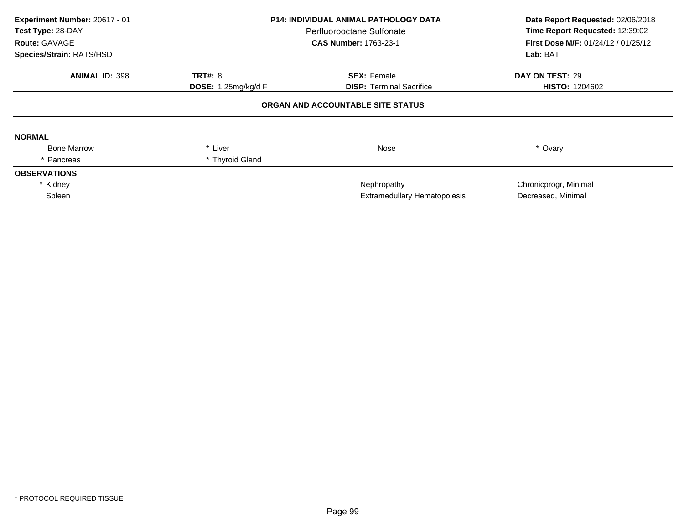| Experiment Number: 20617 - 01<br>Test Type: 28-DAY<br>Route: GAVAGE<br>Species/Strain: RATS/HSD | P14: INDIVIDUAL ANIMAL PATHOLOGY DATA<br>Perfluorooctane Sulfonate<br><b>CAS Number: 1763-23-1</b> |                                     | Date Report Requested: 02/06/2018<br>Time Report Requested: 12:39:02<br>First Dose M/F: 01/24/12 / 01/25/12<br>Lab: BAT |
|-------------------------------------------------------------------------------------------------|----------------------------------------------------------------------------------------------------|-------------------------------------|-------------------------------------------------------------------------------------------------------------------------|
| <b>ANIMAL ID: 398</b>                                                                           | <b>TRT#: 8</b>                                                                                     | <b>SEX: Female</b>                  | DAY ON TEST: 29                                                                                                         |
|                                                                                                 | <b>DOSE: 1.25mg/kg/d F</b>                                                                         | <b>DISP:</b> Terminal Sacrifice     | <b>HISTO: 1204602</b>                                                                                                   |
|                                                                                                 |                                                                                                    | ORGAN AND ACCOUNTABLE SITE STATUS   |                                                                                                                         |
| <b>NORMAL</b>                                                                                   |                                                                                                    |                                     |                                                                                                                         |
| <b>Bone Marrow</b>                                                                              | * Liver                                                                                            | Nose                                | * Ovary                                                                                                                 |
| * Pancreas                                                                                      | * Thyroid Gland                                                                                    |                                     |                                                                                                                         |
| <b>OBSERVATIONS</b>                                                                             |                                                                                                    |                                     |                                                                                                                         |
| * Kidney                                                                                        |                                                                                                    | Nephropathy                         | Chronicprogr, Minimal                                                                                                   |
| Spleen                                                                                          |                                                                                                    | <b>Extramedullary Hematopoiesis</b> | Decreased, Minimal                                                                                                      |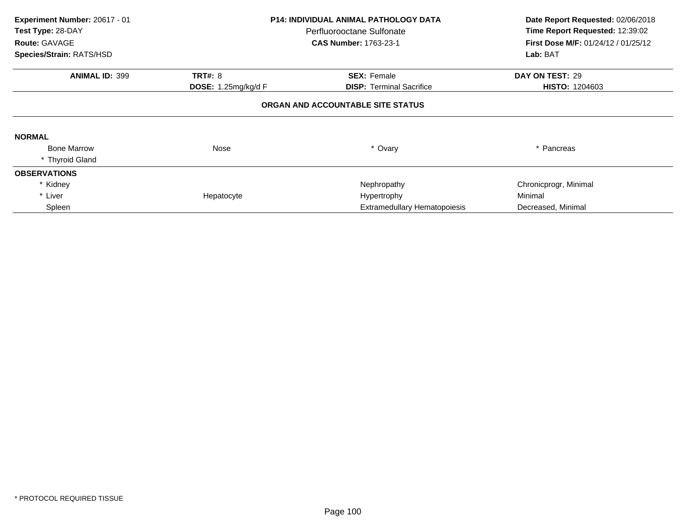| Experiment Number: 20617 - 01<br>Test Type: 28-DAY<br>Route: GAVAGE |                              | <b>P14: INDIVIDUAL ANIMAL PATHOLOGY DATA</b><br>Perfluorooctane Sulfonate<br><b>CAS Number: 1763-23-1</b> | Date Report Requested: 02/06/2018<br>Time Report Requested: 12:39:02<br><b>First Dose M/F: 01/24/12 / 01/25/12</b> |
|---------------------------------------------------------------------|------------------------------|-----------------------------------------------------------------------------------------------------------|--------------------------------------------------------------------------------------------------------------------|
| Species/Strain: RATS/HSD                                            |                              |                                                                                                           | Lab: BAT                                                                                                           |
| <b>ANIMAL ID: 399</b>                                               | <b>TRT#: 8</b>               | <b>SEX: Female</b>                                                                                        | DAY ON TEST: 29                                                                                                    |
|                                                                     | <b>DOSE:</b> 1.25mg/kg/d $F$ | <b>DISP:</b> Terminal Sacrifice                                                                           | <b>HISTO: 1204603</b>                                                                                              |
|                                                                     |                              | ORGAN AND ACCOUNTABLE SITE STATUS                                                                         |                                                                                                                    |
| <b>NORMAL</b>                                                       |                              |                                                                                                           |                                                                                                                    |
| <b>Bone Marrow</b>                                                  | Nose                         | * Ovary                                                                                                   | * Pancreas                                                                                                         |
| * Thyroid Gland                                                     |                              |                                                                                                           |                                                                                                                    |
| <b>OBSERVATIONS</b>                                                 |                              |                                                                                                           |                                                                                                                    |
| * Kidney                                                            |                              | Nephropathy                                                                                               | Chronicprogr, Minimal                                                                                              |
| * Liver                                                             | Hepatocyte                   | Hypertrophy                                                                                               | Minimal                                                                                                            |
| Spleen                                                              |                              | <b>Extramedullary Hematopoiesis</b>                                                                       | Decreased, Minimal                                                                                                 |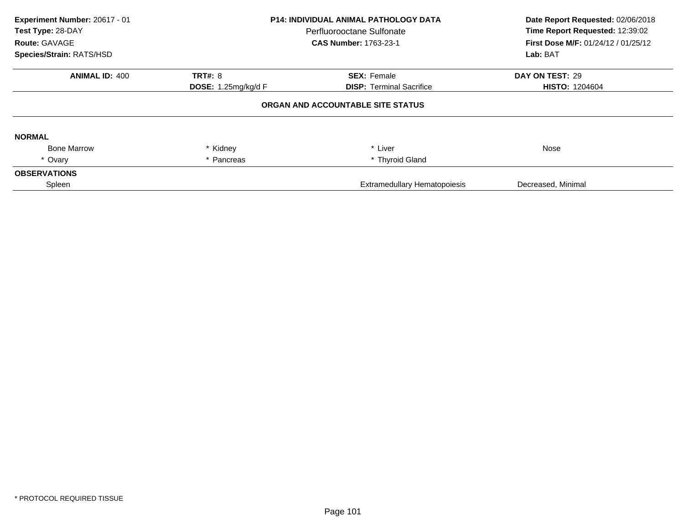| Experiment Number: 20617 - 01<br>Test Type: 28-DAY<br>Route: GAVAGE<br>Species/Strain: RATS/HSD | <b>P14: INDIVIDUAL ANIMAL PATHOLOGY DATA</b><br>Perfluorooctane Sulfonate<br><b>CAS Number: 1763-23-1</b> |                                   | Date Report Requested: 02/06/2018<br>Time Report Requested: 12:39:02<br>First Dose M/F: 01/24/12 / 01/25/12<br>Lab: BAT |
|-------------------------------------------------------------------------------------------------|-----------------------------------------------------------------------------------------------------------|-----------------------------------|-------------------------------------------------------------------------------------------------------------------------|
| <b>ANIMAL ID: 400</b>                                                                           | <b>TRT#: 8</b>                                                                                            | <b>SEX: Female</b>                | DAY ON TEST: 29                                                                                                         |
|                                                                                                 | <b>DOSE: 1.25mg/kg/d F</b>                                                                                | <b>DISP: Terminal Sacrifice</b>   | <b>HISTO: 1204604</b>                                                                                                   |
|                                                                                                 |                                                                                                           | ORGAN AND ACCOUNTABLE SITE STATUS |                                                                                                                         |
| <b>NORMAL</b>                                                                                   |                                                                                                           |                                   |                                                                                                                         |
| <b>Bone Marrow</b>                                                                              | * Kidney                                                                                                  | * Liver                           | Nose                                                                                                                    |
| * Ovary                                                                                         | * Pancreas                                                                                                | * Thyroid Gland                   |                                                                                                                         |
| <b>OBSERVATIONS</b>                                                                             |                                                                                                           |                                   |                                                                                                                         |
| Spleen                                                                                          |                                                                                                           | Extramedullary Hematopoiesis      | Decreased, Minimal                                                                                                      |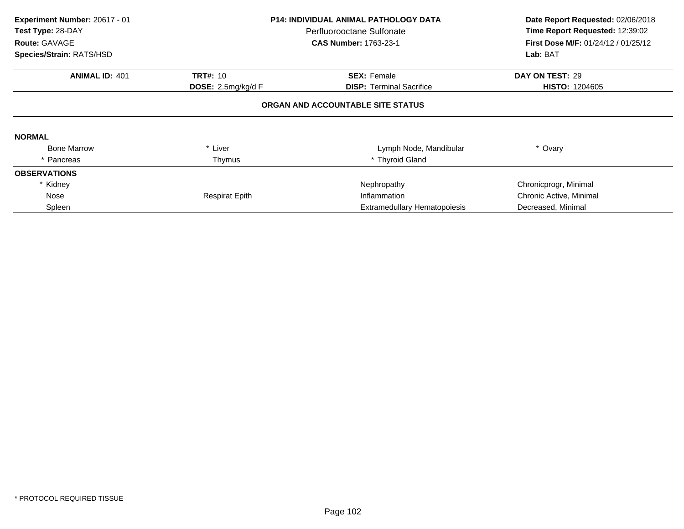| Experiment Number: 20617 - 01<br>Test Type: 28-DAY<br>Route: GAVAGE |                       | <b>P14: INDIVIDUAL ANIMAL PATHOLOGY DATA</b><br>Perfluorooctane Sulfonate<br><b>CAS Number: 1763-23-1</b> | Date Report Requested: 02/06/2018<br>Time Report Requested: 12:39:02<br><b>First Dose M/F: 01/24/12 / 01/25/12</b> |
|---------------------------------------------------------------------|-----------------------|-----------------------------------------------------------------------------------------------------------|--------------------------------------------------------------------------------------------------------------------|
| Species/Strain: RATS/HSD                                            |                       |                                                                                                           | Lab: BAT                                                                                                           |
| <b>ANIMAL ID: 401</b>                                               | <b>TRT#: 10</b>       | <b>SEX: Female</b>                                                                                        | DAY ON TEST: 29                                                                                                    |
|                                                                     | DOSE: 2.5mg/kg/d F    | <b>DISP:</b> Terminal Sacrifice                                                                           | <b>HISTO: 1204605</b>                                                                                              |
|                                                                     |                       | ORGAN AND ACCOUNTABLE SITE STATUS                                                                         |                                                                                                                    |
| <b>NORMAL</b>                                                       |                       |                                                                                                           |                                                                                                                    |
| <b>Bone Marrow</b>                                                  | * Liver               | Lymph Node, Mandibular                                                                                    | * Ovary                                                                                                            |
| * Pancreas                                                          | Thymus                | * Thyroid Gland                                                                                           |                                                                                                                    |
| <b>OBSERVATIONS</b>                                                 |                       |                                                                                                           |                                                                                                                    |
| * Kidney                                                            |                       | Nephropathy                                                                                               | Chronicprogr, Minimal                                                                                              |
| Nose                                                                | <b>Respirat Epith</b> | Inflammation                                                                                              | Chronic Active, Minimal                                                                                            |
| Spleen                                                              |                       | <b>Extramedullary Hematopoiesis</b>                                                                       | Decreased, Minimal                                                                                                 |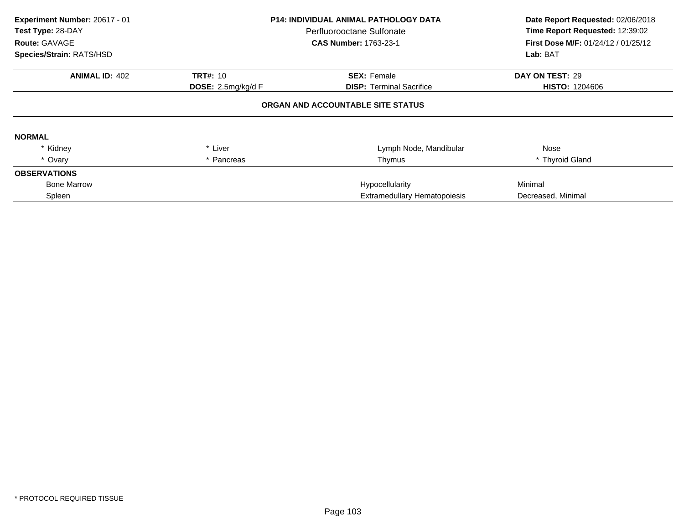| Experiment Number: 20617 - 01<br>Test Type: 28-DAY<br><b>Route: GAVAGE</b><br>Species/Strain: RATS/HSD |                                                | <b>P14: INDIVIDUAL ANIMAL PATHOLOGY DATA</b><br>Perfluorooctane Sulfonate<br><b>CAS Number: 1763-23-1</b> | Date Report Requested: 02/06/2018<br>Time Report Requested: 12:39:02<br><b>First Dose M/F: 01/24/12 / 01/25/12</b><br>Lab: BAT |
|--------------------------------------------------------------------------------------------------------|------------------------------------------------|-----------------------------------------------------------------------------------------------------------|--------------------------------------------------------------------------------------------------------------------------------|
| <b>ANIMAL ID: 402</b>                                                                                  |                                                | <b>SEX: Female</b>                                                                                        | DAY ON TEST: 29                                                                                                                |
|                                                                                                        | <b>TRT#: 10</b><br><b>DOSE:</b> 2.5mg/kg/d $F$ | <b>DISP: Terminal Sacrifice</b>                                                                           | <b>HISTO: 1204606</b>                                                                                                          |
|                                                                                                        |                                                | ORGAN AND ACCOUNTABLE SITE STATUS                                                                         |                                                                                                                                |
| <b>NORMAL</b>                                                                                          |                                                |                                                                                                           |                                                                                                                                |
| * Kidney                                                                                               | * Liver                                        | Lymph Node, Mandibular                                                                                    | Nose                                                                                                                           |
| * Ovary                                                                                                | Pancreas                                       | Thymus                                                                                                    | * Thyroid Gland                                                                                                                |
| <b>OBSERVATIONS</b>                                                                                    |                                                |                                                                                                           |                                                                                                                                |
| <b>Bone Marrow</b>                                                                                     |                                                | Hypocellularity                                                                                           | Minimal                                                                                                                        |
| Spleen                                                                                                 | <b>Extramedullary Hematopoiesis</b>            |                                                                                                           | Decreased, Minimal                                                                                                             |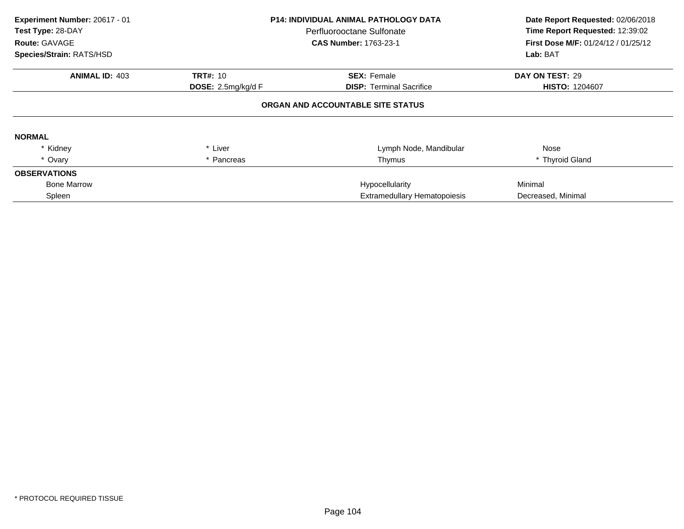| Experiment Number: 20617 - 01<br>Test Type: 28-DAY<br>Route: GAVAGE<br>Species/Strain: RATS/HSD |                              | <b>P14: INDIVIDUAL ANIMAL PATHOLOGY DATA</b><br>Perfluorooctane Sulfonate<br><b>CAS Number: 1763-23-1</b> | Date Report Requested: 02/06/2018<br>Time Report Requested: 12:39:02<br>First Dose M/F: 01/24/12 / 01/25/12<br>Lab: BAT |
|-------------------------------------------------------------------------------------------------|------------------------------|-----------------------------------------------------------------------------------------------------------|-------------------------------------------------------------------------------------------------------------------------|
|                                                                                                 |                              |                                                                                                           |                                                                                                                         |
| <b>ANIMAL ID: 403</b><br><b>TRT#: 10</b><br>DOSE: 2.5mg/kg/d F                                  |                              | <b>SEX: Female</b><br><b>DISP:</b> Terminal Sacrifice                                                     | DAY ON TEST: 29<br><b>HISTO: 1204607</b>                                                                                |
|                                                                                                 |                              | ORGAN AND ACCOUNTABLE SITE STATUS                                                                         |                                                                                                                         |
| <b>NORMAL</b>                                                                                   |                              |                                                                                                           |                                                                                                                         |
| * Kidney                                                                                        | * Liver                      | Lymph Node, Mandibular                                                                                    | Nose                                                                                                                    |
| * Ovary                                                                                         | * Pancreas                   | Thymus                                                                                                    | * Thyroid Gland                                                                                                         |
| <b>OBSERVATIONS</b>                                                                             |                              |                                                                                                           |                                                                                                                         |
| <b>Bone Marrow</b>                                                                              |                              | Hypocellularity                                                                                           | Minimal                                                                                                                 |
| Spleen                                                                                          | Extramedullary Hematopoiesis |                                                                                                           | Decreased, Minimal                                                                                                      |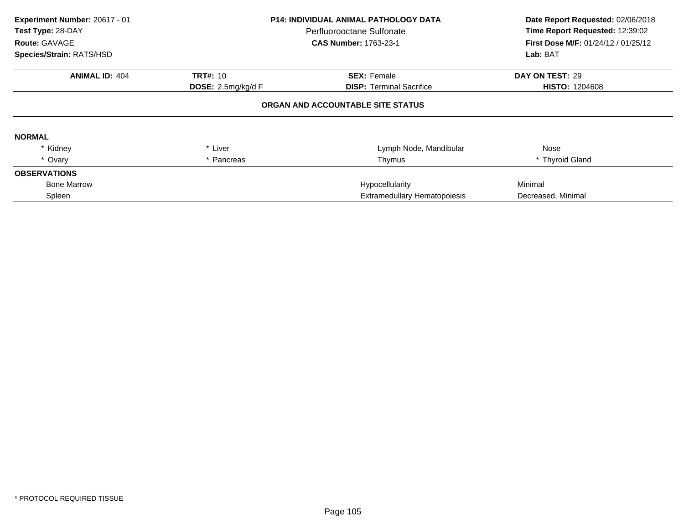| Experiment Number: 20617 - 01<br>Test Type: 28-DAY<br>Route: GAVAGE<br>Species/Strain: RATS/HSD |                              | <b>P14: INDIVIDUAL ANIMAL PATHOLOGY DATA</b><br>Perfluorooctane Sulfonate<br><b>CAS Number: 1763-23-1</b> | Date Report Requested: 02/06/2018<br>Time Report Requested: 12:39:02<br>First Dose M/F: 01/24/12 / 01/25/12<br>Lab: BAT |
|-------------------------------------------------------------------------------------------------|------------------------------|-----------------------------------------------------------------------------------------------------------|-------------------------------------------------------------------------------------------------------------------------|
|                                                                                                 |                              |                                                                                                           |                                                                                                                         |
| <b>ANIMAL ID: 404</b>                                                                           | <b>TRT#: 10</b>              | <b>SEX: Female</b>                                                                                        | DAY ON TEST: 29                                                                                                         |
|                                                                                                 | DOSE: 2.5mg/kg/d F           | <b>DISP:</b> Terminal Sacrifice                                                                           | <b>HISTO: 1204608</b>                                                                                                   |
|                                                                                                 |                              | ORGAN AND ACCOUNTABLE SITE STATUS                                                                         |                                                                                                                         |
| <b>NORMAL</b>                                                                                   |                              |                                                                                                           |                                                                                                                         |
| * Kidney                                                                                        | * Liver                      | Lymph Node, Mandibular                                                                                    | Nose                                                                                                                    |
| * Ovary                                                                                         | * Pancreas                   | Thymus                                                                                                    | * Thyroid Gland                                                                                                         |
| <b>OBSERVATIONS</b>                                                                             |                              |                                                                                                           |                                                                                                                         |
| <b>Bone Marrow</b>                                                                              |                              | Hypocellularity                                                                                           | Minimal                                                                                                                 |
| Spleen                                                                                          | Extramedullary Hematopoiesis |                                                                                                           | Decreased, Minimal                                                                                                      |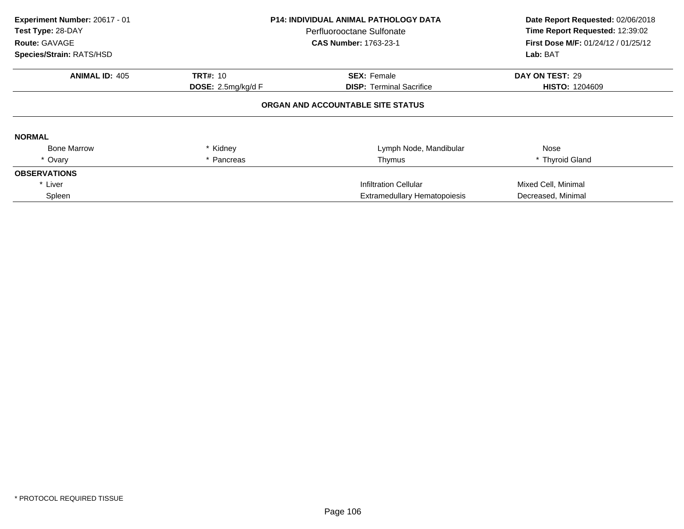| Experiment Number: 20617 - 01<br>Test Type: 28-DAY<br><b>Route: GAVAGE</b><br>Species/Strain: RATS/HSD |                              | <b>P14: INDIVIDUAL ANIMAL PATHOLOGY DATA</b><br>Perfluorooctane Sulfonate<br><b>CAS Number: 1763-23-1</b> | Date Report Requested: 02/06/2018<br>Time Report Requested: 12:39:02<br><b>First Dose M/F: 01/24/12 / 01/25/12</b><br>Lab: BAT |
|--------------------------------------------------------------------------------------------------------|------------------------------|-----------------------------------------------------------------------------------------------------------|--------------------------------------------------------------------------------------------------------------------------------|
| <b>ANIMAL ID: 405</b>                                                                                  | <b>TRT#: 10</b>              | <b>SEX: Female</b>                                                                                        | DAY ON TEST: 29                                                                                                                |
|                                                                                                        | DOSE: $2.5$ mg/kg/d F        | <b>DISP:</b> Terminal Sacrifice                                                                           | <b>HISTO: 1204609</b>                                                                                                          |
|                                                                                                        |                              | ORGAN AND ACCOUNTABLE SITE STATUS                                                                         |                                                                                                                                |
| <b>NORMAL</b>                                                                                          |                              |                                                                                                           |                                                                                                                                |
| <b>Bone Marrow</b>                                                                                     | * Kidney                     | Lymph Node, Mandibular                                                                                    | Nose                                                                                                                           |
| * Ovary                                                                                                | * Pancreas                   | Thymus                                                                                                    | * Thyroid Gland                                                                                                                |
| <b>OBSERVATIONS</b>                                                                                    |                              |                                                                                                           |                                                                                                                                |
| * Liver                                                                                                |                              | Infiltration Cellular                                                                                     | Mixed Cell, Minimal                                                                                                            |
| Spleen                                                                                                 | Extramedullary Hematopoiesis |                                                                                                           | Decreased, Minimal                                                                                                             |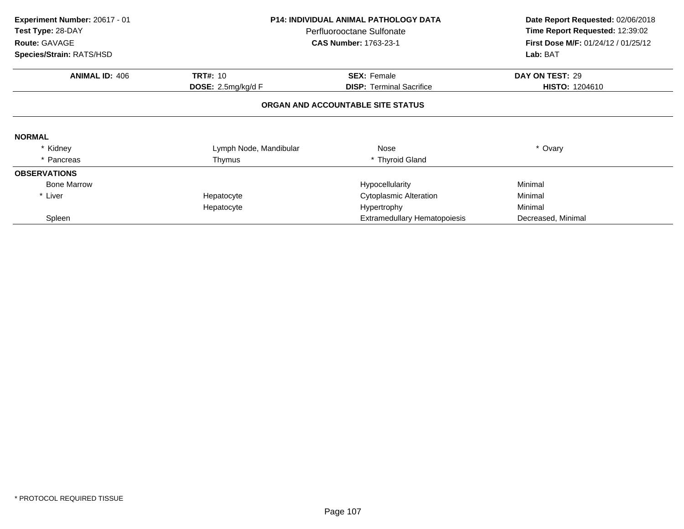| Experiment Number: 20617 - 01 | <b>P14: INDIVIDUAL ANIMAL PATHOLOGY DATA</b> |                                   | Date Report Requested: 02/06/2018   |
|-------------------------------|----------------------------------------------|-----------------------------------|-------------------------------------|
| Test Type: 28-DAY             |                                              | Perfluorooctane Sulfonate         | Time Report Requested: 12:39:02     |
| Route: GAVAGE                 |                                              | <b>CAS Number: 1763-23-1</b>      | First Dose M/F: 01/24/12 / 01/25/12 |
| Species/Strain: RATS/HSD      |                                              |                                   | Lab: BAT                            |
| <b>ANIMAL ID: 406</b>         | <b>TRT#: 10</b>                              | <b>SEX: Female</b>                | DAY ON TEST: 29                     |
|                               | DOSE: 2.5mg/kg/d F                           | <b>DISP:</b> Terminal Sacrifice   | <b>HISTO: 1204610</b>               |
|                               |                                              | ORGAN AND ACCOUNTABLE SITE STATUS |                                     |
| <b>NORMAL</b>                 |                                              |                                   |                                     |
| * Kidney                      | Lymph Node, Mandibular                       | Nose                              | * Ovary                             |
| * Pancreas                    | Thymus                                       | * Thyroid Gland                   |                                     |
| <b>OBSERVATIONS</b>           |                                              |                                   |                                     |
| <b>Bone Marrow</b>            |                                              | Hypocellularity                   | Minimal                             |
| * Liver                       | Hepatocyte                                   | Cytoplasmic Alteration            | Minimal                             |
|                               | Hepatocyte                                   | Hypertrophy                       | Minimal                             |
| Spleen                        |                                              | Extramedullary Hematopoiesis      | Decreased, Minimal                  |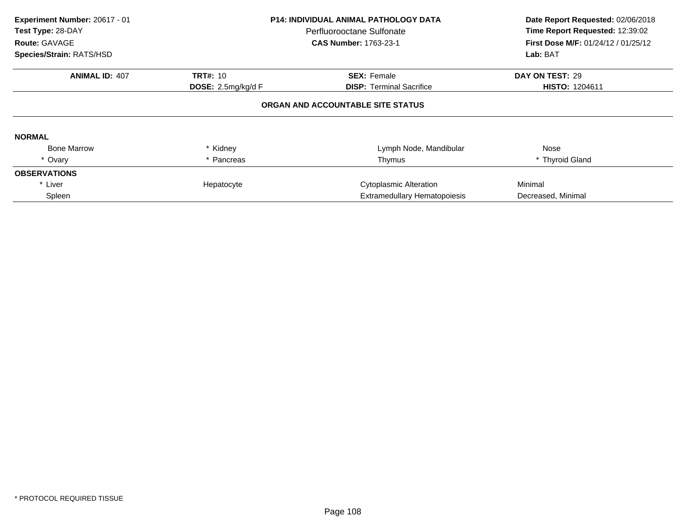| Experiment Number: 20617 - 01<br>Test Type: 28-DAY<br>Route: GAVAGE<br>Species/Strain: RATS/HSD |                             | <b>P14: INDIVIDUAL ANIMAL PATHOLOGY DATA</b><br>Perfluorooctane Sulfonate<br><b>CAS Number: 1763-23-1</b> | Date Report Requested: 02/06/2018<br>Time Report Requested: 12:39:02<br><b>First Dose M/F: 01/24/12 / 01/25/12</b><br>Lab: BAT |
|-------------------------------------------------------------------------------------------------|-----------------------------|-----------------------------------------------------------------------------------------------------------|--------------------------------------------------------------------------------------------------------------------------------|
| <b>ANIMAL ID: 407</b>                                                                           | <b>TRT#: 10</b>             | <b>SEX: Female</b>                                                                                        | DAY ON TEST: 29                                                                                                                |
|                                                                                                 | <b>DOSE:</b> 2.5mg/kg/d $F$ | <b>DISP:</b> Terminal Sacrifice                                                                           | <b>HISTO: 1204611</b>                                                                                                          |
|                                                                                                 |                             | ORGAN AND ACCOUNTABLE SITE STATUS                                                                         |                                                                                                                                |
| <b>NORMAL</b>                                                                                   |                             |                                                                                                           |                                                                                                                                |
| <b>Bone Marrow</b>                                                                              | * Kidney                    | Lymph Node, Mandibular                                                                                    | Nose                                                                                                                           |
| * Ovary                                                                                         | * Pancreas                  | Thymus                                                                                                    | * Thyroid Gland                                                                                                                |
| <b>OBSERVATIONS</b>                                                                             |                             |                                                                                                           |                                                                                                                                |
| * Liver                                                                                         | Hepatocyte                  | <b>Cytoplasmic Alteration</b>                                                                             | Minimal                                                                                                                        |
| Spleen                                                                                          |                             | <b>Extramedullary Hematopoiesis</b>                                                                       | Decreased, Minimal                                                                                                             |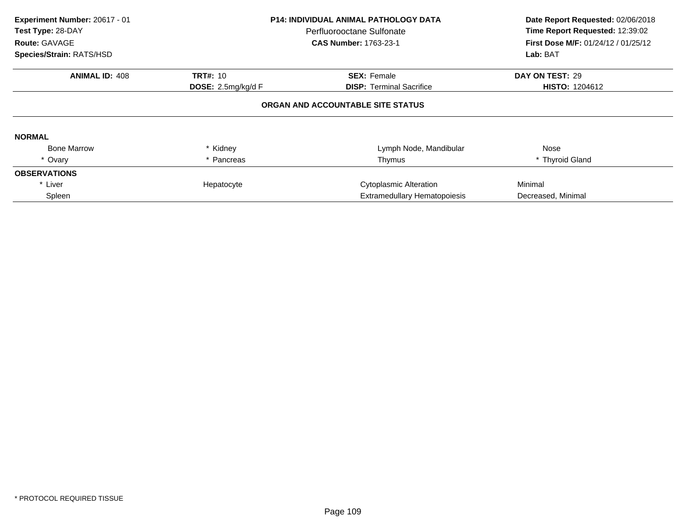| Experiment Number: 20617 - 01<br>Test Type: 28-DAY<br>Route: GAVAGE<br>Species/Strain: RATS/HSD |                                       | <b>P14: INDIVIDUAL ANIMAL PATHOLOGY DATA</b><br>Perfluorooctane Sulfonate<br><b>CAS Number: 1763-23-1</b> | Date Report Requested: 02/06/2018<br>Time Report Requested: 12:39:02<br><b>First Dose M/F: 01/24/12 / 01/25/12</b><br>Lab: BAT |
|-------------------------------------------------------------------------------------------------|---------------------------------------|-----------------------------------------------------------------------------------------------------------|--------------------------------------------------------------------------------------------------------------------------------|
| <b>ANIMAL ID: 408</b>                                                                           | <b>TRT#: 10</b><br><b>SEX: Female</b> |                                                                                                           | DAY ON TEST: 29                                                                                                                |
| <b>DOSE:</b> 2.5mg/kg/d $F$                                                                     |                                       | <b>DISP:</b> Terminal Sacrifice                                                                           | <b>HISTO: 1204612</b>                                                                                                          |
|                                                                                                 |                                       | ORGAN AND ACCOUNTABLE SITE STATUS                                                                         |                                                                                                                                |
| <b>NORMAL</b>                                                                                   |                                       |                                                                                                           |                                                                                                                                |
| <b>Bone Marrow</b>                                                                              | * Kidney                              | Lymph Node, Mandibular                                                                                    | Nose                                                                                                                           |
| * Ovary                                                                                         | * Pancreas                            | Thymus                                                                                                    | * Thyroid Gland                                                                                                                |
| <b>OBSERVATIONS</b>                                                                             |                                       |                                                                                                           |                                                                                                                                |
| * Liver                                                                                         | Hepatocyte                            | <b>Cytoplasmic Alteration</b>                                                                             | Minimal                                                                                                                        |
| Spleen                                                                                          |                                       | <b>Extramedullary Hematopoiesis</b>                                                                       | Decreased, Minimal                                                                                                             |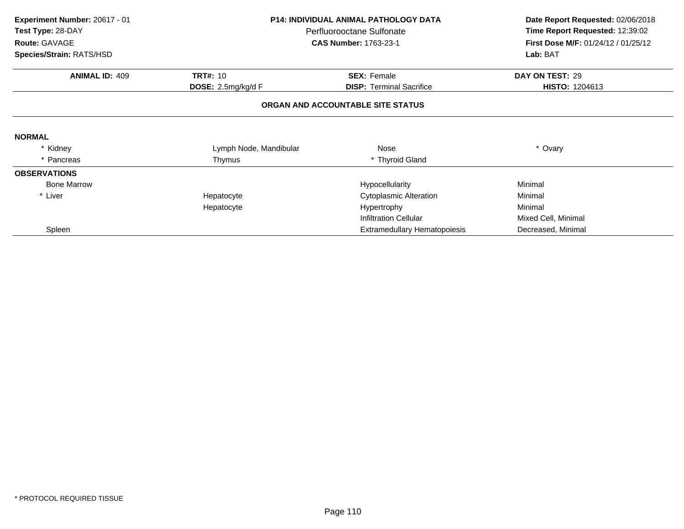| Experiment Number: 20617 - 01 | <b>P14: INDIVIDUAL ANIMAL PATHOLOGY DATA</b> |                                     |                                     |  | Date Report Requested: 02/06/2018 |
|-------------------------------|----------------------------------------------|-------------------------------------|-------------------------------------|--|-----------------------------------|
| Test Type: 28-DAY             |                                              | Perfluorooctane Sulfonate           | Time Report Requested: 12:39:02     |  |                                   |
| Route: GAVAGE                 |                                              | <b>CAS Number: 1763-23-1</b>        | First Dose M/F: 01/24/12 / 01/25/12 |  |                                   |
| Species/Strain: RATS/HSD      |                                              |                                     | Lab: BAT                            |  |                                   |
| <b>ANIMAL ID: 409</b>         | <b>TRT#: 10</b>                              | <b>SEX: Female</b>                  | DAY ON TEST: 29                     |  |                                   |
|                               | <b>DOSE:</b> 2.5mg/kg/d F                    | <b>DISP:</b> Terminal Sacrifice     | <b>HISTO: 1204613</b>               |  |                                   |
|                               |                                              | ORGAN AND ACCOUNTABLE SITE STATUS   |                                     |  |                                   |
| <b>NORMAL</b>                 |                                              |                                     |                                     |  |                                   |
| * Kidney                      | Lymph Node, Mandibular                       | Nose                                | * Ovary                             |  |                                   |
| * Pancreas                    | Thymus                                       | * Thyroid Gland                     |                                     |  |                                   |
| <b>OBSERVATIONS</b>           |                                              |                                     |                                     |  |                                   |
| <b>Bone Marrow</b>            |                                              | Hypocellularity                     | Minimal                             |  |                                   |
| * Liver                       | Hepatocyte                                   | Cytoplasmic Alteration              | Minimal                             |  |                                   |
|                               | Hepatocyte                                   | Hypertrophy                         | Minimal                             |  |                                   |
|                               |                                              | Infiltration Cellular               | Mixed Cell, Minimal                 |  |                                   |
| Spleen                        |                                              | <b>Extramedullary Hematopoiesis</b> | Decreased, Minimal                  |  |                                   |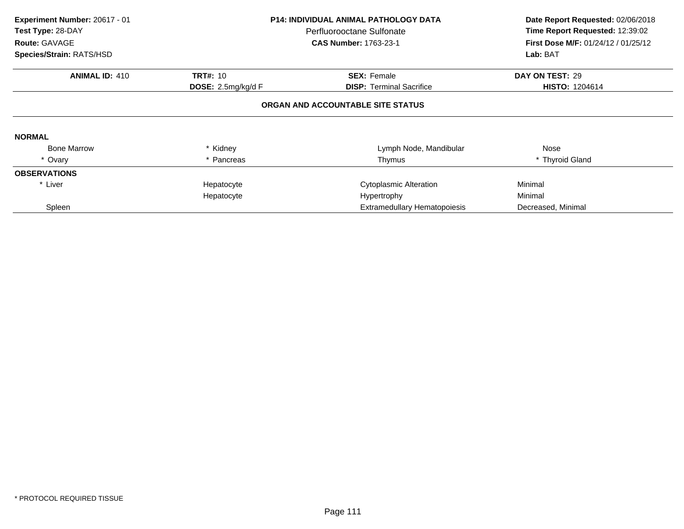| Experiment Number: 20617 - 01<br>Test Type: 28-DAY<br>Route: GAVAGE |                                   | <b>P14: INDIVIDUAL ANIMAL PATHOLOGY DATA</b><br>Perfluorooctane Sulfonate<br><b>CAS Number: 1763-23-1</b> | Date Report Requested: 02/06/2018<br>Time Report Requested: 12:39:02<br>First Dose M/F: 01/24/12 / 01/25/12 |  |  |  |  |
|---------------------------------------------------------------------|-----------------------------------|-----------------------------------------------------------------------------------------------------------|-------------------------------------------------------------------------------------------------------------|--|--|--|--|
| Species/Strain: RATS/HSD                                            |                                   |                                                                                                           | Lab: BAT                                                                                                    |  |  |  |  |
| <b>ANIMAL ID: 410</b>                                               | <b>TRT#: 10</b>                   | <b>SEX: Female</b>                                                                                        | DAY ON TEST: 29                                                                                             |  |  |  |  |
|                                                                     | <b>DOSE:</b> $2.5mg/kg/dF$        | <b>DISP:</b> Terminal Sacrifice                                                                           | <b>HISTO: 1204614</b>                                                                                       |  |  |  |  |
|                                                                     | ORGAN AND ACCOUNTABLE SITE STATUS |                                                                                                           |                                                                                                             |  |  |  |  |
| <b>NORMAL</b>                                                       |                                   |                                                                                                           |                                                                                                             |  |  |  |  |
| <b>Bone Marrow</b>                                                  | * Kidney                          | Lymph Node, Mandibular                                                                                    | Nose                                                                                                        |  |  |  |  |
| * Ovary                                                             | * Pancreas                        | Thymus                                                                                                    | * Thyroid Gland                                                                                             |  |  |  |  |
| <b>OBSERVATIONS</b>                                                 |                                   |                                                                                                           |                                                                                                             |  |  |  |  |
| * Liver                                                             | Hepatocyte                        | <b>Cytoplasmic Alteration</b>                                                                             | Minimal                                                                                                     |  |  |  |  |
|                                                                     | Hepatocyte                        | Hypertrophy                                                                                               | Minimal                                                                                                     |  |  |  |  |
| Spleen                                                              |                                   | Extramedullary Hematopoiesis                                                                              | Decreased, Minimal                                                                                          |  |  |  |  |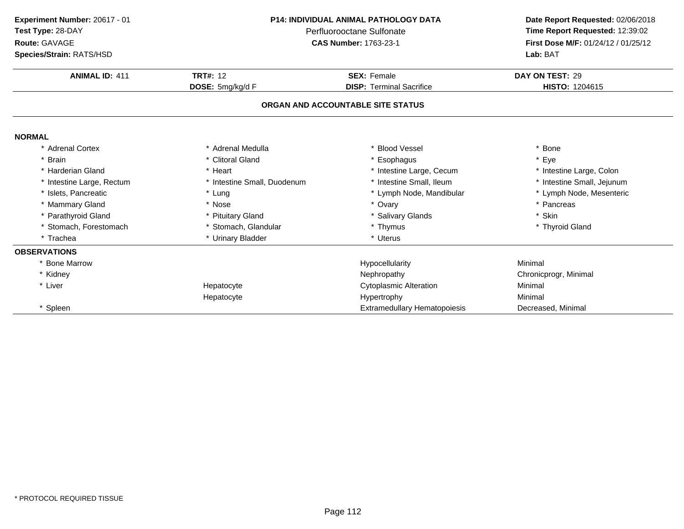| P14: INDIVIDUAL ANIMAL PATHOLOGY DATA<br>Experiment Number: 20617 - 01<br>Test Type: 28-DAY<br>Perfluorooctane Sulfonate |                              | Date Report Requested: 02/06/2018   |                                     |
|--------------------------------------------------------------------------------------------------------------------------|------------------------------|-------------------------------------|-------------------------------------|
|                                                                                                                          |                              | Time Report Requested: 12:39:02     |                                     |
| Route: GAVAGE                                                                                                            | <b>CAS Number: 1763-23-1</b> |                                     | First Dose M/F: 01/24/12 / 01/25/12 |
| Species/Strain: RATS/HSD                                                                                                 |                              |                                     | Lab: BAT                            |
| <b>ANIMAL ID: 411</b>                                                                                                    | <b>TRT#: 12</b>              | <b>SEX: Female</b>                  | DAY ON TEST: 29                     |
|                                                                                                                          | DOSE: 5mg/kg/d F             | <b>DISP: Terminal Sacrifice</b>     | HISTO: 1204615                      |
|                                                                                                                          |                              | ORGAN AND ACCOUNTABLE SITE STATUS   |                                     |
| <b>NORMAL</b>                                                                                                            |                              |                                     |                                     |
| * Adrenal Cortex                                                                                                         | * Adrenal Medulla            | <b>Blood Vessel</b>                 | * Bone                              |
| * Brain                                                                                                                  | * Clitoral Gland             | * Esophagus                         | * Eye                               |
| * Harderian Gland                                                                                                        | * Heart                      | * Intestine Large, Cecum            | * Intestine Large, Colon            |
| * Intestine Large, Rectum                                                                                                | * Intestine Small, Duodenum  | * Intestine Small, Ileum            | * Intestine Small, Jejunum          |
| * Islets, Pancreatic                                                                                                     | * Lung                       | * Lymph Node, Mandibular            | * Lymph Node, Mesenteric            |
| * Mammary Gland                                                                                                          | * Nose                       | * Ovary                             | * Pancreas                          |
| * Parathyroid Gland                                                                                                      | * Pituitary Gland            | * Salivary Glands                   | * Skin                              |
| * Stomach, Forestomach                                                                                                   | * Stomach, Glandular         | * Thymus                            | * Thyroid Gland                     |
| * Trachea                                                                                                                | * Urinary Bladder            | * Uterus                            |                                     |
| <b>OBSERVATIONS</b>                                                                                                      |                              |                                     |                                     |
| * Bone Marrow                                                                                                            |                              | Hypocellularity                     | Minimal                             |
| * Kidney                                                                                                                 |                              | Nephropathy                         | Chronicprogr, Minimal               |
| * Liver                                                                                                                  | Hepatocyte                   | <b>Cytoplasmic Alteration</b>       | Minimal                             |
|                                                                                                                          | Hepatocyte                   | Hypertrophy                         | Minimal                             |
| * Spleen                                                                                                                 |                              | <b>Extramedullary Hematopoiesis</b> | Decreased, Minimal                  |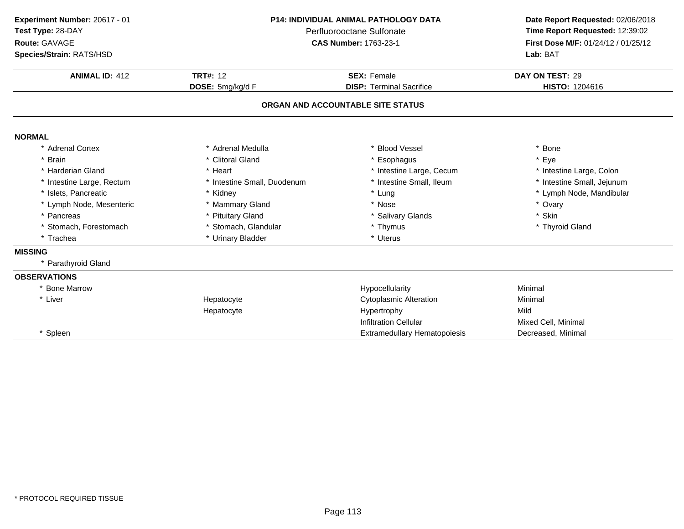| Experiment Number: 20617 - 01<br>Test Type: 28-DAY<br>Route: GAVAGE | P14: INDIVIDUAL ANIMAL PATHOLOGY DATA<br>Perfluorooctane Sulfonate<br><b>CAS Number: 1763-23-1</b> |                                   | Date Report Requested: 02/06/2018<br>Time Report Requested: 12:39:02<br>First Dose M/F: 01/24/12 / 01/25/12 |  |
|---------------------------------------------------------------------|----------------------------------------------------------------------------------------------------|-----------------------------------|-------------------------------------------------------------------------------------------------------------|--|
| Species/Strain: RATS/HSD                                            |                                                                                                    |                                   | Lab: BAT                                                                                                    |  |
| <b>ANIMAL ID: 412</b>                                               | <b>TRT#: 12</b>                                                                                    | <b>SEX: Female</b>                | DAY ON TEST: 29                                                                                             |  |
|                                                                     | DOSE: 5mg/kg/d F                                                                                   | <b>DISP: Terminal Sacrifice</b>   | HISTO: 1204616                                                                                              |  |
|                                                                     |                                                                                                    | ORGAN AND ACCOUNTABLE SITE STATUS |                                                                                                             |  |
| <b>NORMAL</b>                                                       |                                                                                                    |                                   |                                                                                                             |  |
| * Adrenal Cortex                                                    | * Adrenal Medulla                                                                                  | * Blood Vessel                    | * Bone                                                                                                      |  |
| * Brain                                                             | * Clitoral Gland                                                                                   | * Esophagus                       | * Eye                                                                                                       |  |
| * Harderian Gland                                                   | * Heart                                                                                            | * Intestine Large, Cecum          | * Intestine Large, Colon                                                                                    |  |
| * Intestine Large, Rectum                                           | * Intestine Small, Duodenum                                                                        | * Intestine Small, Ileum          | * Intestine Small, Jejunum                                                                                  |  |
| * Islets, Pancreatic                                                | * Kidney                                                                                           | * Lung                            | * Lymph Node, Mandibular                                                                                    |  |
| * Lymph Node, Mesenteric                                            | * Mammary Gland                                                                                    | * Nose                            | * Ovary                                                                                                     |  |
| * Pancreas                                                          | * Pituitary Gland                                                                                  | * Salivary Glands                 | * Skin                                                                                                      |  |
| * Stomach, Forestomach                                              | * Stomach, Glandular                                                                               | * Thymus                          | * Thyroid Gland                                                                                             |  |
| * Trachea                                                           | * Urinary Bladder                                                                                  | * Uterus                          |                                                                                                             |  |
| <b>MISSING</b>                                                      |                                                                                                    |                                   |                                                                                                             |  |
| * Parathyroid Gland                                                 |                                                                                                    |                                   |                                                                                                             |  |
| <b>OBSERVATIONS</b>                                                 |                                                                                                    |                                   |                                                                                                             |  |
| * Bone Marrow                                                       |                                                                                                    | Hypocellularity                   | Minimal                                                                                                     |  |
| * Liver                                                             | Hepatocyte                                                                                         | <b>Cytoplasmic Alteration</b>     | Minimal                                                                                                     |  |
|                                                                     | Hepatocyte                                                                                         | Hypertrophy                       | Mild                                                                                                        |  |
|                                                                     |                                                                                                    | <b>Infiltration Cellular</b>      | Mixed Cell, Minimal                                                                                         |  |
| * Spleen                                                            |                                                                                                    | Extramedullary Hematopoiesis      | Decreased, Minimal                                                                                          |  |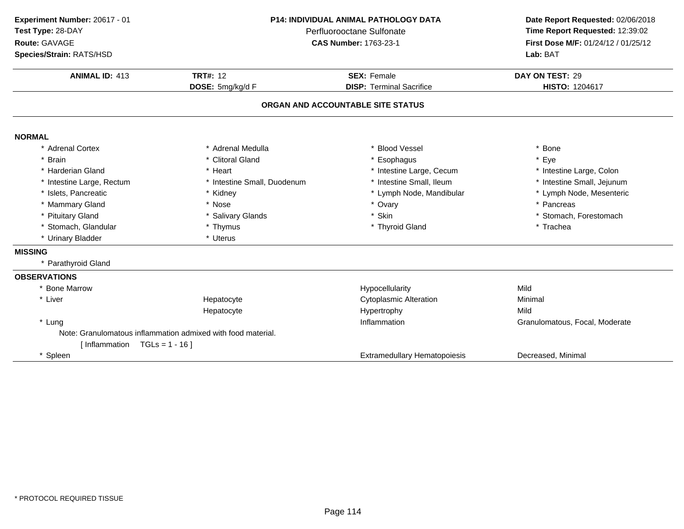| Experiment Number: 20617 - 01<br>Test Type: 28-DAY<br>Route: GAVAGE<br>Species/Strain: RATS/HSD | <b>P14: INDIVIDUAL ANIMAL PATHOLOGY DATA</b><br>Perfluorooctane Sulfonate<br><b>CAS Number: 1763-23-1</b> |                                     | Date Report Requested: 02/06/2018<br>Time Report Requested: 12:39:02<br>First Dose M/F: 01/24/12 / 01/25/12<br>Lab: BAT |
|-------------------------------------------------------------------------------------------------|-----------------------------------------------------------------------------------------------------------|-------------------------------------|-------------------------------------------------------------------------------------------------------------------------|
| <b>ANIMAL ID: 413</b>                                                                           | <b>TRT#: 12</b>                                                                                           | <b>SEX: Female</b>                  |                                                                                                                         |
|                                                                                                 | DOSE: 5mg/kg/d F                                                                                          | <b>DISP: Terminal Sacrifice</b>     | <b>HISTO: 1204617</b>                                                                                                   |
|                                                                                                 |                                                                                                           | ORGAN AND ACCOUNTABLE SITE STATUS   |                                                                                                                         |
| <b>NORMAL</b>                                                                                   |                                                                                                           |                                     |                                                                                                                         |
| * Adrenal Cortex                                                                                | * Adrenal Medulla                                                                                         | * Blood Vessel                      | * Bone                                                                                                                  |
| <b>Brain</b>                                                                                    | * Clitoral Gland                                                                                          | * Esophagus                         | * Eye                                                                                                                   |
| * Harderian Gland                                                                               | * Heart                                                                                                   | * Intestine Large, Cecum            | * Intestine Large, Colon                                                                                                |
| * Intestine Large, Rectum                                                                       | * Intestine Small, Duodenum                                                                               | * Intestine Small, Ileum            | * Intestine Small, Jejunum                                                                                              |
| * Islets, Pancreatic                                                                            | * Kidney                                                                                                  | * Lymph Node, Mandibular            | * Lymph Node, Mesenteric                                                                                                |
| * Mammary Gland                                                                                 | * Nose                                                                                                    | * Ovary                             | * Pancreas                                                                                                              |
| * Pituitary Gland                                                                               | * Salivary Glands                                                                                         | * Skin                              | * Stomach, Forestomach                                                                                                  |
| * Stomach, Glandular                                                                            | * Thymus                                                                                                  | * Thyroid Gland                     | * Trachea                                                                                                               |
| * Urinary Bladder                                                                               | * Uterus                                                                                                  |                                     |                                                                                                                         |
| <b>MISSING</b>                                                                                  |                                                                                                           |                                     |                                                                                                                         |
| * Parathyroid Gland                                                                             |                                                                                                           |                                     |                                                                                                                         |
| <b>OBSERVATIONS</b>                                                                             |                                                                                                           |                                     |                                                                                                                         |
| * Bone Marrow                                                                                   |                                                                                                           | Hypocellularity                     | Mild                                                                                                                    |
| * Liver                                                                                         | Hepatocyte                                                                                                | <b>Cytoplasmic Alteration</b>       | Minimal                                                                                                                 |
|                                                                                                 | Hepatocyte                                                                                                | Hypertrophy                         | Mild                                                                                                                    |
| * Lung                                                                                          |                                                                                                           | Inflammation                        | Granulomatous, Focal, Moderate                                                                                          |
|                                                                                                 | Note: Granulomatous inflammation admixed with food material.                                              |                                     |                                                                                                                         |
| [Inflammation $TGLs = 1 - 16$ ]                                                                 |                                                                                                           |                                     |                                                                                                                         |
| Spleen                                                                                          |                                                                                                           | <b>Extramedullary Hematopoiesis</b> | Decreased, Minimal                                                                                                      |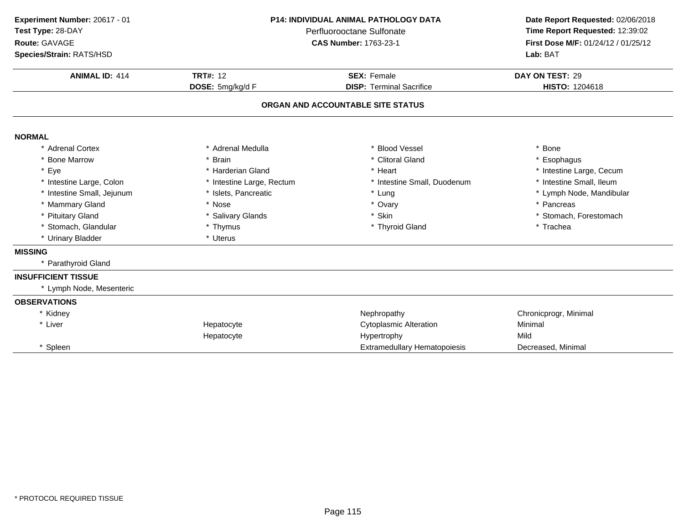| Experiment Number: 20617 - 01 |                           | P14: INDIVIDUAL ANIMAL PATHOLOGY DATA | Date Report Requested: 02/06/2018   |  |
|-------------------------------|---------------------------|---------------------------------------|-------------------------------------|--|
| Test Type: 28-DAY             |                           | Perfluorooctane Sulfonate             | Time Report Requested: 12:39:02     |  |
| Route: GAVAGE                 |                           | <b>CAS Number: 1763-23-1</b>          | First Dose M/F: 01/24/12 / 01/25/12 |  |
| Species/Strain: RATS/HSD      |                           |                                       | Lab: BAT                            |  |
| <b>ANIMAL ID: 414</b>         | <b>TRT#: 12</b>           | <b>SEX: Female</b>                    | DAY ON TEST: 29                     |  |
|                               | DOSE: 5mg/kg/d F          | <b>DISP: Terminal Sacrifice</b>       | HISTO: 1204618                      |  |
|                               |                           | ORGAN AND ACCOUNTABLE SITE STATUS     |                                     |  |
| <b>NORMAL</b>                 |                           |                                       |                                     |  |
| * Adrenal Cortex              | * Adrenal Medulla         | * Blood Vessel                        | * Bone                              |  |
| * Bone Marrow                 | * Brain                   | * Clitoral Gland                      | * Esophagus                         |  |
| * Eye                         | * Harderian Gland         | * Heart                               | * Intestine Large, Cecum            |  |
| * Intestine Large, Colon      | * Intestine Large, Rectum | * Intestine Small, Duodenum           | * Intestine Small, Ileum            |  |
| * Intestine Small, Jejunum    | * Islets, Pancreatic      | * Lung                                | * Lymph Node, Mandibular            |  |
| * Mammary Gland               | * Nose                    | * Ovary                               | * Pancreas                          |  |
| * Pituitary Gland             | * Salivary Glands         | * Skin                                | * Stomach, Forestomach              |  |
| * Stomach, Glandular          | * Thymus                  | * Thyroid Gland                       | * Trachea                           |  |
| * Urinary Bladder             | * Uterus                  |                                       |                                     |  |
| <b>MISSING</b>                |                           |                                       |                                     |  |
| * Parathyroid Gland           |                           |                                       |                                     |  |
| <b>INSUFFICIENT TISSUE</b>    |                           |                                       |                                     |  |
| * Lymph Node, Mesenteric      |                           |                                       |                                     |  |
| <b>OBSERVATIONS</b>           |                           |                                       |                                     |  |
| * Kidney                      |                           | Nephropathy                           | Chronicprogr, Minimal               |  |
| * Liver                       | Hepatocyte                | <b>Cytoplasmic Alteration</b>         | Minimal                             |  |
|                               | Hepatocyte                | Hypertrophy                           | Mild                                |  |
| * Spleen                      |                           | <b>Extramedullary Hematopoiesis</b>   | Decreased, Minimal                  |  |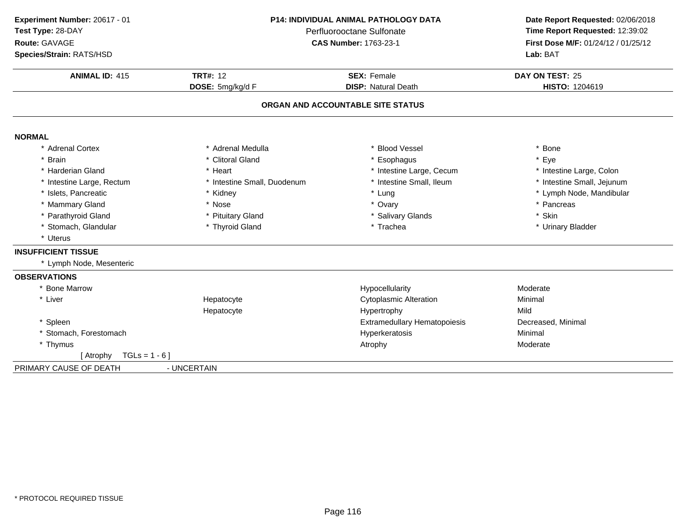| Experiment Number: 20617 - 01<br>Test Type: 28-DAY |                                       | <b>P14: INDIVIDUAL ANIMAL PATHOLOGY DATA</b><br>Perfluorooctane Sulfonate | Date Report Requested: 02/06/2018<br>Time Report Requested: 12:39:02<br>First Dose M/F: 01/24/12 / 01/25/12<br>Lab: BAT |
|----------------------------------------------------|---------------------------------------|---------------------------------------------------------------------------|-------------------------------------------------------------------------------------------------------------------------|
| Route: GAVAGE<br>Species/Strain: RATS/HSD          |                                       | <b>CAS Number: 1763-23-1</b>                                              |                                                                                                                         |
| <b>ANIMAL ID: 415</b>                              | <b>TRT#: 12</b><br><b>SEX: Female</b> |                                                                           | DAY ON TEST: 25                                                                                                         |
|                                                    | DOSE: 5mg/kg/d F                      | <b>DISP: Natural Death</b>                                                | HISTO: 1204619                                                                                                          |
|                                                    |                                       | ORGAN AND ACCOUNTABLE SITE STATUS                                         |                                                                                                                         |
| <b>NORMAL</b>                                      |                                       |                                                                           |                                                                                                                         |
| * Adrenal Cortex                                   | * Adrenal Medulla                     | <b>Blood Vessel</b>                                                       | * Bone                                                                                                                  |
| * Brain                                            | * Clitoral Gland                      | Esophagus                                                                 | * Eye                                                                                                                   |
| * Harderian Gland                                  | * Heart                               | * Intestine Large, Cecum                                                  | * Intestine Large, Colon                                                                                                |
| * Intestine Large, Rectum                          | * Intestine Small, Duodenum           | * Intestine Small, Ileum                                                  | * Intestine Small, Jejunum                                                                                              |
| * Islets, Pancreatic                               | * Kidney                              | * Lung                                                                    | * Lymph Node, Mandibular                                                                                                |
| * Mammary Gland                                    | * Nose                                | * Ovary                                                                   | * Pancreas                                                                                                              |
| * Parathyroid Gland                                | * Pituitary Gland                     | * Salivary Glands                                                         | * Skin                                                                                                                  |
| * Stomach, Glandular                               | * Thyroid Gland                       | * Trachea                                                                 | * Urinary Bladder                                                                                                       |
| * Uterus                                           |                                       |                                                                           |                                                                                                                         |
| <b>INSUFFICIENT TISSUE</b>                         |                                       |                                                                           |                                                                                                                         |
| * Lymph Node, Mesenteric                           |                                       |                                                                           |                                                                                                                         |
| <b>OBSERVATIONS</b>                                |                                       |                                                                           |                                                                                                                         |
| * Bone Marrow                                      |                                       | Hypocellularity                                                           | Moderate                                                                                                                |
| * Liver                                            | Hepatocyte                            | <b>Cytoplasmic Alteration</b>                                             | Minimal                                                                                                                 |
|                                                    | Hepatocyte                            | Hypertrophy                                                               | Mild                                                                                                                    |
| * Spleen                                           |                                       | <b>Extramedullary Hematopoiesis</b>                                       | Decreased, Minimal                                                                                                      |
| * Stomach, Forestomach                             |                                       | Hyperkeratosis                                                            | Minimal                                                                                                                 |
| * Thymus                                           |                                       | Atrophy                                                                   | Moderate                                                                                                                |
| $TGLs = 1 - 6$ ]<br>[ Atrophy                      |                                       |                                                                           |                                                                                                                         |
| PRIMARY CAUSE OF DEATH                             | - UNCERTAIN                           |                                                                           |                                                                                                                         |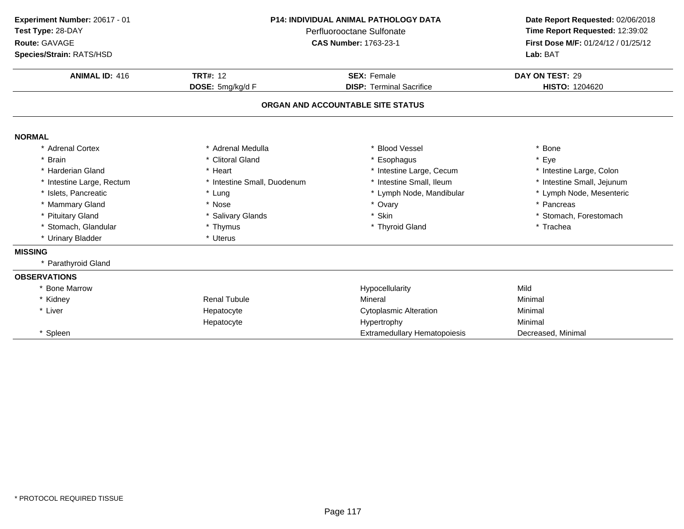| Experiment Number: 20617 - 01 |                             | <b>P14: INDIVIDUAL ANIMAL PATHOLOGY DATA</b> | Date Report Requested: 02/06/2018   |
|-------------------------------|-----------------------------|----------------------------------------------|-------------------------------------|
| Test Type: 28-DAY             | Perfluorooctane Sulfonate   |                                              | Time Report Requested: 12:39:02     |
| Route: GAVAGE                 |                             | <b>CAS Number: 1763-23-1</b>                 | First Dose M/F: 01/24/12 / 01/25/12 |
| Species/Strain: RATS/HSD      |                             |                                              | Lab: BAT                            |
| <b>ANIMAL ID: 416</b>         | <b>TRT#: 12</b>             | <b>SEX: Female</b>                           | DAY ON TEST: 29                     |
|                               | DOSE: 5mg/kg/d F            | <b>DISP: Terminal Sacrifice</b>              | HISTO: 1204620                      |
|                               |                             | ORGAN AND ACCOUNTABLE SITE STATUS            |                                     |
| <b>NORMAL</b>                 |                             |                                              |                                     |
| * Adrenal Cortex              | * Adrenal Medulla           | * Blood Vessel                               | * Bone                              |
| * Brain                       | * Clitoral Gland            | * Esophagus                                  | * Eye                               |
| * Harderian Gland             | * Heart                     | * Intestine Large, Cecum                     | * Intestine Large, Colon            |
| * Intestine Large, Rectum     | * Intestine Small, Duodenum | * Intestine Small, Ileum                     | * Intestine Small, Jejunum          |
| * Islets, Pancreatic          | * Lung                      | * Lymph Node, Mandibular                     | * Lymph Node, Mesenteric            |
| * Mammary Gland               | * Nose                      | * Ovary                                      | * Pancreas                          |
| * Pituitary Gland             | * Salivary Glands           | * Skin                                       | * Stomach, Forestomach              |
| * Stomach, Glandular          | * Thymus                    | * Thyroid Gland                              | * Trachea                           |
| * Urinary Bladder             | * Uterus                    |                                              |                                     |
| <b>MISSING</b>                |                             |                                              |                                     |
| * Parathyroid Gland           |                             |                                              |                                     |
| <b>OBSERVATIONS</b>           |                             |                                              |                                     |
| * Bone Marrow                 |                             | Hypocellularity                              | Mild                                |
| * Kidney                      | <b>Renal Tubule</b>         | Mineral                                      | Minimal                             |
| * Liver                       | Hepatocyte                  | <b>Cytoplasmic Alteration</b>                | Minimal                             |
|                               | Hepatocyte                  | Hypertrophy                                  | Minimal                             |
| * Spleen                      |                             | <b>Extramedullary Hematopoiesis</b>          | Decreased, Minimal                  |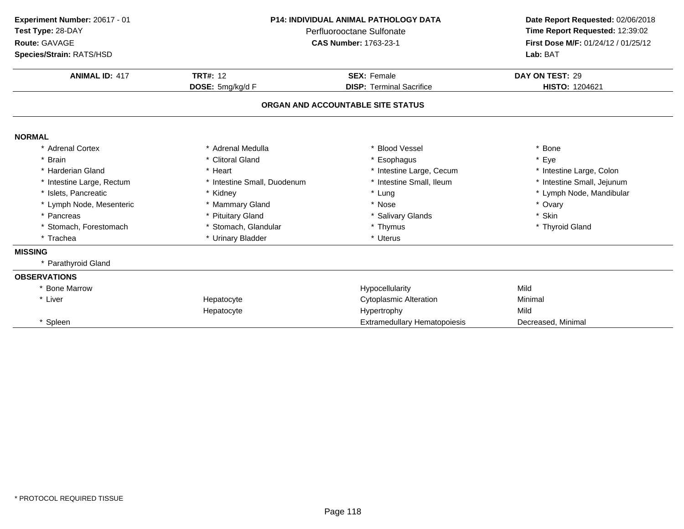| Experiment Number: 20617 - 01 |                             | P14: INDIVIDUAL ANIMAL PATHOLOGY DATA |                                     |
|-------------------------------|-----------------------------|---------------------------------------|-------------------------------------|
| Test Type: 28-DAY             | Perfluorooctane Sulfonate   |                                       | Time Report Requested: 12:39:02     |
| Route: GAVAGE                 |                             | <b>CAS Number: 1763-23-1</b>          | First Dose M/F: 01/24/12 / 01/25/12 |
| Species/Strain: RATS/HSD      |                             |                                       | Lab: BAT                            |
| <b>ANIMAL ID: 417</b>         | <b>TRT#: 12</b>             | <b>SEX: Female</b>                    | DAY ON TEST: 29                     |
|                               | DOSE: 5mg/kg/d F            | <b>DISP: Terminal Sacrifice</b>       | HISTO: 1204621                      |
|                               |                             | ORGAN AND ACCOUNTABLE SITE STATUS     |                                     |
| <b>NORMAL</b>                 |                             |                                       |                                     |
| * Adrenal Cortex              | * Adrenal Medulla           | * Blood Vessel                        | * Bone                              |
| * Brain                       | * Clitoral Gland            | Esophagus                             | * Eye                               |
| * Harderian Gland             | * Heart                     | * Intestine Large, Cecum              | * Intestine Large, Colon            |
| * Intestine Large, Rectum     | * Intestine Small, Duodenum | * Intestine Small, Ileum              | * Intestine Small, Jejunum          |
| * Islets, Pancreatic          | * Kidney                    | * Lung                                | * Lymph Node, Mandibular            |
| * Lymph Node, Mesenteric      | * Mammary Gland             | * Nose                                | * Ovary                             |
| * Pancreas                    | * Pituitary Gland           | * Salivary Glands                     | * Skin                              |
| * Stomach, Forestomach        | * Stomach, Glandular        | * Thymus                              | * Thyroid Gland                     |
| * Trachea                     | * Urinary Bladder           | * Uterus                              |                                     |
| <b>MISSING</b>                |                             |                                       |                                     |
| * Parathyroid Gland           |                             |                                       |                                     |
| <b>OBSERVATIONS</b>           |                             |                                       |                                     |
| * Bone Marrow                 |                             | Hypocellularity                       | Mild                                |
| * Liver                       | Hepatocyte                  | <b>Cytoplasmic Alteration</b>         | Minimal                             |
|                               | Hepatocyte                  | Hypertrophy                           | Mild                                |
| * Spleen                      |                             | <b>Extramedullary Hematopoiesis</b>   | Decreased, Minimal                  |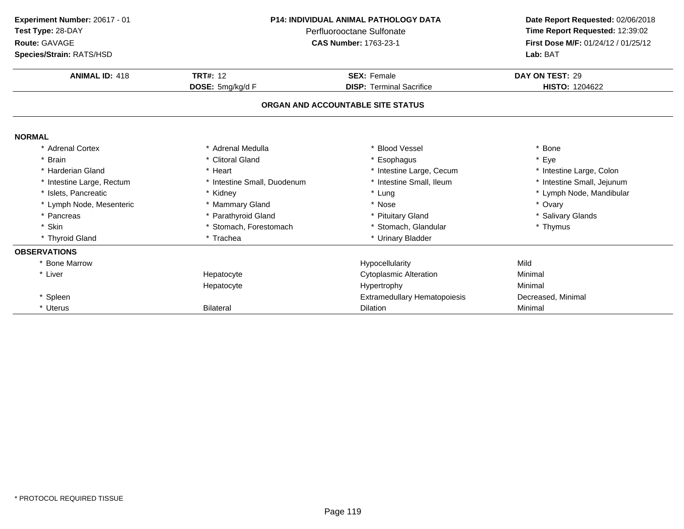| Experiment Number: 20617 - 01 | P14: INDIVIDUAL ANIMAL PATHOLOGY DATA<br>Perfluorooctane Sulfonate |                                     | Date Report Requested: 02/06/2018   |  |
|-------------------------------|--------------------------------------------------------------------|-------------------------------------|-------------------------------------|--|
| Test Type: 28-DAY             |                                                                    |                                     | Time Report Requested: 12:39:02     |  |
| Route: GAVAGE                 |                                                                    | <b>CAS Number: 1763-23-1</b>        | First Dose M/F: 01/24/12 / 01/25/12 |  |
| Species/Strain: RATS/HSD      |                                                                    |                                     | Lab: BAT                            |  |
| <b>ANIMAL ID: 418</b>         | <b>TRT#: 12</b>                                                    | <b>SEX: Female</b>                  | DAY ON TEST: 29                     |  |
|                               | DOSE: 5mg/kg/d F                                                   | <b>DISP: Terminal Sacrifice</b>     | HISTO: 1204622                      |  |
|                               |                                                                    | ORGAN AND ACCOUNTABLE SITE STATUS   |                                     |  |
| <b>NORMAL</b>                 |                                                                    |                                     |                                     |  |
| * Adrenal Cortex              | * Adrenal Medulla                                                  | * Blood Vessel                      | * Bone                              |  |
| * Brain                       | * Clitoral Gland                                                   | * Esophagus                         | * Eye                               |  |
| * Harderian Gland             | * Heart                                                            | * Intestine Large, Cecum            | * Intestine Large, Colon            |  |
| * Intestine Large, Rectum     | * Intestine Small, Duodenum                                        | * Intestine Small, Ileum            | * Intestine Small, Jejunum          |  |
| * Islets. Pancreatic          | * Kidney                                                           | * Lung                              | * Lymph Node, Mandibular            |  |
| * Lymph Node, Mesenteric      | * Mammary Gland                                                    | * Nose                              | * Ovary                             |  |
| * Pancreas                    | * Parathyroid Gland                                                | * Pituitary Gland                   | * Salivary Glands                   |  |
| * Skin                        | * Stomach, Forestomach                                             | * Stomach, Glandular                | * Thymus                            |  |
| * Thyroid Gland               | * Trachea                                                          | * Urinary Bladder                   |                                     |  |
| <b>OBSERVATIONS</b>           |                                                                    |                                     |                                     |  |
| <b>Bone Marrow</b>            |                                                                    | Hypocellularity                     | Mild                                |  |
| * Liver                       | Hepatocyte                                                         | <b>Cytoplasmic Alteration</b>       | Minimal                             |  |
|                               | Hepatocyte                                                         | Hypertrophy                         | Minimal                             |  |
| * Spleen                      |                                                                    | <b>Extramedullary Hematopoiesis</b> | Decreased, Minimal                  |  |
| * Uterus                      | <b>Bilateral</b>                                                   | <b>Dilation</b>                     | Minimal                             |  |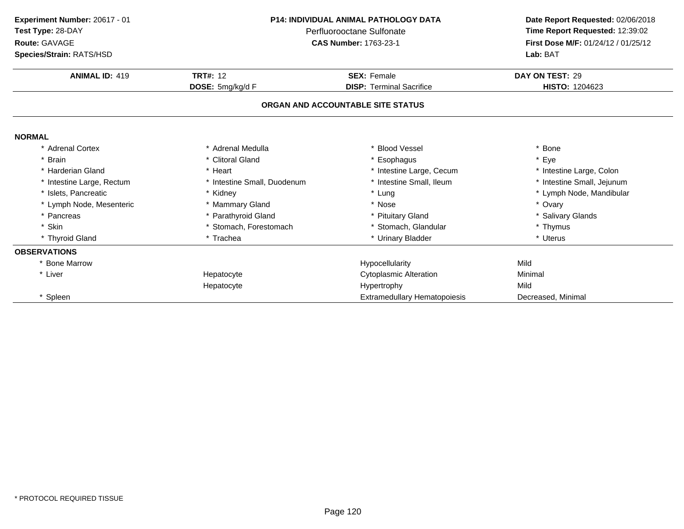| Experiment Number: 20617 - 01 | <b>P14: INDIVIDUAL ANIMAL PATHOLOGY DATA</b><br>Perfluorooctane Sulfonate |                                     | Date Report Requested: 02/06/2018   |
|-------------------------------|---------------------------------------------------------------------------|-------------------------------------|-------------------------------------|
| Test Type: 28-DAY             |                                                                           |                                     | Time Report Requested: 12:39:02     |
| Route: GAVAGE                 |                                                                           | <b>CAS Number: 1763-23-1</b>        | First Dose M/F: 01/24/12 / 01/25/12 |
| Species/Strain: RATS/HSD      |                                                                           |                                     | Lab: BAT                            |
| <b>ANIMAL ID: 419</b>         | <b>TRT#: 12</b>                                                           | <b>SEX: Female</b>                  | DAY ON TEST: 29                     |
|                               | DOSE: 5mg/kg/d F                                                          | <b>DISP: Terminal Sacrifice</b>     | HISTO: 1204623                      |
|                               |                                                                           | ORGAN AND ACCOUNTABLE SITE STATUS   |                                     |
| <b>NORMAL</b>                 |                                                                           |                                     |                                     |
| * Adrenal Cortex              | * Adrenal Medulla                                                         | <b>Blood Vessel</b>                 | * Bone                              |
| * Brain                       | * Clitoral Gland                                                          | Esophagus                           | * Eye                               |
| * Harderian Gland             | * Heart                                                                   | * Intestine Large, Cecum            | * Intestine Large, Colon            |
| * Intestine Large, Rectum     | * Intestine Small, Duodenum                                               | * Intestine Small, Ileum            | * Intestine Small, Jejunum          |
| * Islets. Pancreatic          | * Kidney                                                                  | * Lung                              | * Lymph Node, Mandibular            |
| * Lymph Node, Mesenteric      | * Mammary Gland                                                           | * Nose                              | * Ovary                             |
| * Pancreas                    | * Parathyroid Gland                                                       | * Pituitary Gland                   | * Salivary Glands                   |
| * Skin                        | * Stomach, Forestomach                                                    | * Stomach, Glandular                | * Thymus                            |
| * Thyroid Gland               | * Trachea                                                                 | * Urinary Bladder                   | * Uterus                            |
| <b>OBSERVATIONS</b>           |                                                                           |                                     |                                     |
| * Bone Marrow                 |                                                                           | Hypocellularity                     | Mild                                |
| * Liver                       | Hepatocyte                                                                | <b>Cytoplasmic Alteration</b>       | Minimal                             |
|                               | Hepatocyte                                                                | Hypertrophy                         | Mild                                |
| * Spleen                      |                                                                           | <b>Extramedullary Hematopoiesis</b> | Decreased, Minimal                  |